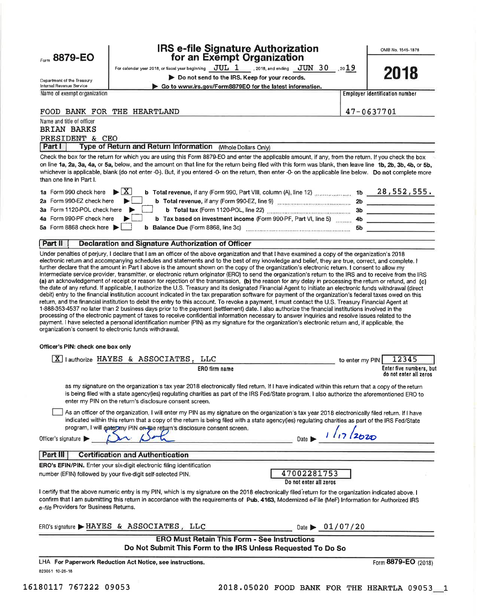Form 8879-EO

### **IRS e-file Signature Authorization** for an Exempt Organization

OMB No. 1545-1878

For calendar year 2018, or fiscal year beginning  $JUL_1$ , 2018, and ending  $JUN_30$ , 2019

Do not send to the IRS. Keep for your records.

information.

| Department of the Treasury<br>Internal Revenue Service                                                                                                                                                                                                                                                                                       |                                       |   |           | $\blacktriangleright$ Do not send to the IRS. Keep for your re<br>Go to www.irs.gov/Form8879EO for the latest |                                                               |  |
|----------------------------------------------------------------------------------------------------------------------------------------------------------------------------------------------------------------------------------------------------------------------------------------------------------------------------------------------|---------------------------------------|---|-----------|---------------------------------------------------------------------------------------------------------------|---------------------------------------------------------------|--|
| Name of exempt organization                                                                                                                                                                                                                                                                                                                  |                                       |   |           |                                                                                                               |                                                               |  |
| FOOD BANK FOR THE                                                                                                                                                                                                                                                                                                                            |                                       |   | HEARTLAND |                                                                                                               |                                                               |  |
| Name and title of officer                                                                                                                                                                                                                                                                                                                    |                                       |   |           |                                                                                                               |                                                               |  |
| <b>BRIAN BARKS</b>                                                                                                                                                                                                                                                                                                                           |                                       |   |           |                                                                                                               |                                                               |  |
| PRESIDENT & CEO                                                                                                                                                                                                                                                                                                                              |                                       |   |           |                                                                                                               |                                                               |  |
| Part                                                                                                                                                                                                                                                                                                                                         | Type of Return and Return Information |   |           |                                                                                                               | (Whole Dollars Only)                                          |  |
| Check the box for the return for which you are using this Form 8879-EO and enter the applicable<br>on line 1a, 2a, 3a, 4a, or 5a, below, and the amount on that line for the return being filed with the<br>whichever is applicable, blank (do not enter -0-). But, if you entered -0- on the return, then enter<br>than one line in Part I. |                                       |   |           |                                                                                                               |                                                               |  |
| 1a Form 990 check here                                                                                                                                                                                                                                                                                                                       |                                       | X |           |                                                                                                               | <b>b</b> Total revenue, if any (Form 990, Part VIII, column ( |  |
| 2a Form 990-EZ check here                                                                                                                                                                                                                                                                                                                    |                                       |   |           |                                                                                                               | <b>b</b> Total revenue, if any (Form 990-EZ, line 9)          |  |
| 3a Form 1120-POL check here                                                                                                                                                                                                                                                                                                                  |                                       |   |           |                                                                                                               | b Total tax (Form 1120-POL, line 22)                          |  |

**Employer identification number** 

47-0637701

Check the le amount, if any, from the return. If you check the box his form was blank, then leave line 1b, 2b, 3b, 4b, or 5b. on line 1a whicheve -0- on the applicable line below. Do not complete more than one A), line 12) \_\_\_\_\_\_\_\_\_\_\_\_\_\_\_ 1b \_\_\_\_\_28 , 552 , 555 . 1a Form 2a Form 3a Form  $9 \frac{1}{2}$  3b  $t = t$ 4n Form 000 DE check house

|                                                                                         | <b>D</b> Lax based on investment income (Form 990-PF, Part VI, line 5) |  |
|-----------------------------------------------------------------------------------------|------------------------------------------------------------------------|--|
| 5a Form 8868 check here $\blacktriangleright$ <b>b</b> Balance Due (Form 8868, line 3c) |                                                                        |  |
|                                                                                         |                                                                        |  |

#### Part II Declaration and Signature Authorization of Officer

Under penalties of perjury, I declare that I am an officer of the above organization and that I have examined a copy of the organization's 2018 electronic return and accompanying schedules and statements and to the best of my knowledge and belief, they are true, correct, and complete. I further declare that the amount in Part I above is the amount shown on the copy of the organization's electronic return. I consent to allow my intermediate service provider, transmitter, or electronic return originator (ERO) to send the organization's return to the IRS and to receive from the IRS (a) an acknowledgement of receipt or reason for rejection of the transmission, (b) the reason for any delay in processing the return or refund, and (c) the date of any refund. If applicable, I authorize the U.S. Treasury and its designated Financial Agent to initiate an electronic funds withdrawal (direct debit) entry to the financial institution account indicated in the tax preparation software for payment of the organization's federal taxes owed on this return, and the financial institution to debit the entry to this account. To revoke a payment, I must contact the U.S. Treasury Financial Agent at 1-888-353-4537 no later than 2 business days prior to the payment (settlement) date. I also authorize the financial institutions involved in the processing of the electronic payment of taxes to receive confidential information necessary to answer inquiries and resolve issues related to the payment. I have selected a personal identification number (PIN) as my signature for the organization's electronic return and, if applicable, the organization's consent to electronic funds withdrawal.

Officer's PIN: check one box only

| lauthorize HAYES & ASSOCIATES,<br>LLC<br>ΧI                                                                                                                                                                                                                                                                                                                                                                      | 12345<br>to enter my PIN                          |  |  |  |  |  |  |
|------------------------------------------------------------------------------------------------------------------------------------------------------------------------------------------------------------------------------------------------------------------------------------------------------------------------------------------------------------------------------------------------------------------|---------------------------------------------------|--|--|--|--|--|--|
| ERO firm name                                                                                                                                                                                                                                                                                                                                                                                                    | Enter five numbers, but<br>do not enter all zeros |  |  |  |  |  |  |
| as my signature on the organization's tax year 2018 electronically filed return. If I have indicated within this return that a copy of the return<br>is being filed with a state agency(ies) regulating charities as part of the IRS Fed/State program, I also authorize the aforementioned ERO to<br>enter my PIN on the return's disclosure consent screen.                                                    |                                                   |  |  |  |  |  |  |
| As an officer of the organization, I will enter my PIN as my signature on the organization's tax year 2018 electronically filed return. If I have<br>indicated within this return that a copy of the return is being filed with a state agency(ies) regulating charities as part of the IRS Fed/State<br>program, I will entermy PIN on the return's disclosure consent screen.<br>Date I<br>Officer's signature |                                                   |  |  |  |  |  |  |
| <b>Certification and Authentication</b><br>Part III                                                                                                                                                                                                                                                                                                                                                              |                                                   |  |  |  |  |  |  |
| <b>ERO's EFIN/PIN.</b> Enter your six-digit electronic filing identification<br>47002281753<br>number (EFIN) followed by your five-digit self-selected PIN.<br>Do not enter all zeros                                                                                                                                                                                                                            |                                                   |  |  |  |  |  |  |
| I certify that the above numeric entry is my PIN, which is my signature on the 2018 electronically filed return for the organization indicated above. I<br>confirm that I am submitting this return in accordance with the requirements of Pub. 4163, Modernized e-File (MeF) Information for Authorized IRS<br>e-file Providers for Business Returns.                                                           |                                                   |  |  |  |  |  |  |
| ERO's signature > HAYES & ASSOCIATES, LLC                                                                                                                                                                                                                                                                                                                                                                        | Date $\bigtriangledown 01/07/20$                  |  |  |  |  |  |  |
| <b>ERO Must Retain This Form - See Instructions</b><br>Do Not Submit This Form to the IRS Unless Requested To Do So                                                                                                                                                                                                                                                                                              |                                                   |  |  |  |  |  |  |
| LHA For Paperwork Reduction Act Notice, see instructions,                                                                                                                                                                                                                                                                                                                                                        | Form 8879-EO (2018)                               |  |  |  |  |  |  |

823051 10-26-18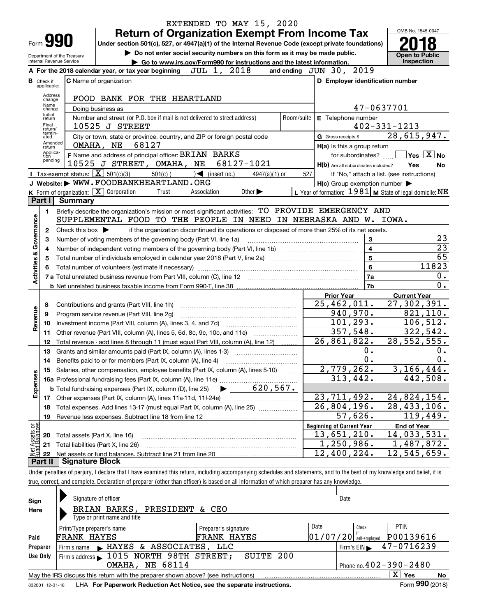|                         |                                  |                                                   |                                                                                                                                                                            |                                                      | EXTENDED TO MAY 15, 2020                                               |            |                                  |                                                     |                                                           |
|-------------------------|----------------------------------|---------------------------------------------------|----------------------------------------------------------------------------------------------------------------------------------------------------------------------------|------------------------------------------------------|------------------------------------------------------------------------|------------|----------------------------------|-----------------------------------------------------|-----------------------------------------------------------|
|                         |                                  |                                                   | <b>Return of Organization Exempt From Income Tax</b>                                                                                                                       |                                                      |                                                                        |            |                                  |                                                     | OMB No. 1545-0047                                         |
|                         |                                  | Form <b>990</b>                                   | Under section 501(c), 527, or 4947(a)(1) of the Internal Revenue Code (except private foundations)                                                                         |                                                      |                                                                        |            |                                  |                                                     |                                                           |
|                         |                                  | Department of the Treasury                        | Do not enter social security numbers on this form as it may be made public.                                                                                                |                                                      |                                                                        |            |                                  |                                                     | <b>Open to Public</b>                                     |
|                         |                                  | Internal Revenue Service                          |                                                                                                                                                                            |                                                      | Go to www.irs.gov/Form990 for instructions and the latest information. |            |                                  |                                                     | Inspection                                                |
|                         |                                  |                                                   | A For the 2018 calendar year, or tax year beginning                                                                                                                        | JUL 1, 2018                                          |                                                                        |            | and ending JUN 30, 2019          |                                                     |                                                           |
|                         | <b>B</b> Check if<br>applicable: |                                                   | <b>C</b> Name of organization                                                                                                                                              |                                                      |                                                                        |            |                                  | D Employer identification number                    |                                                           |
|                         | Address<br>change                |                                                   | FOOD BANK FOR THE HEARTLAND                                                                                                                                                |                                                      |                                                                        |            |                                  |                                                     |                                                           |
|                         | Name<br>change                   |                                                   | Doing business as                                                                                                                                                          |                                                      |                                                                        |            |                                  | 47-0637701                                          |                                                           |
|                         | Initial<br>return<br>Final       |                                                   | Number and street (or P.O. box if mail is not delivered to street address)<br>10525 J STREET                                                                               |                                                      |                                                                        | Room/suite | E Telephone number               |                                                     | $402 - 331 - 1213$                                        |
|                         | return/<br>termin-               |                                                   |                                                                                                                                                                            |                                                      |                                                                        |            | G Gross receipts \$              |                                                     | 28,615,947.                                               |
|                         | ated<br>Amended                  |                                                   | City or town, state or province, country, and ZIP or foreign postal code<br>68127<br>OMAHA, NE                                                                             |                                                      |                                                                        |            |                                  |                                                     |                                                           |
|                         | return<br>Applica-               |                                                   | F Name and address of principal officer: BRIAN BARKS                                                                                                                       |                                                      |                                                                        |            |                                  | H(a) Is this a group return<br>for subordinates?    | $\blacksquare$ Yes $\boxed{\text{X}}$ No                  |
|                         | tion<br>pending                  |                                                   | 10525 J STREET, OMAHA, NE 68127-1021                                                                                                                                       |                                                      |                                                                        |            |                                  | H(b) Are all subordinates included?                 | Yes<br>No                                                 |
|                         |                                  | Tax-exempt status: $\boxed{\mathbf{X}}$ 501(c)(3) |                                                                                                                                                                            | $501(c)$ $\left( \qquad \qquad \right)$ (insert no.) | $4947(a)(1)$ or                                                        |            | 527                              |                                                     | If "No," attach a list. (see instructions)                |
|                         |                                  |                                                   | J Website: WWW.FOODBANKHEARTLAND.ORG                                                                                                                                       |                                                      |                                                                        |            |                                  | $H(c)$ Group exemption number $\blacktriangleright$ |                                                           |
|                         |                                  | K Form of organization: $X$ Corporation           | Trust                                                                                                                                                                      | Association                                          | Other $\blacktriangleright$                                            |            |                                  |                                                     | L Year of formation: $1981$ M State of legal domicile: NE |
|                         | Part I                           | Summary                                           |                                                                                                                                                                            |                                                      |                                                                        |            |                                  |                                                     |                                                           |
|                         | 1.                               |                                                   | Briefly describe the organization's mission or most significant activities: TO PROVIDE EMERGENCY AND                                                                       |                                                      |                                                                        |            |                                  |                                                     |                                                           |
|                         |                                  |                                                   | SUPPLEMENTAL FOOD TO THE PEOPLE IN NEED IN NEBRASKA AND W. IOWA.                                                                                                           |                                                      |                                                                        |            |                                  |                                                     |                                                           |
| Governance              | 2                                | Check this box $\blacktriangleright$              | if the organization discontinued its operations or disposed of more than 25% of its net assets.                                                                            |                                                      |                                                                        |            |                                  |                                                     |                                                           |
|                         | 3                                |                                                   | Number of voting members of the governing body (Part VI, line 1a)                                                                                                          |                                                      |                                                                        |            |                                  | $\bf 3$                                             | 23                                                        |
|                         | 4                                |                                                   |                                                                                                                                                                            |                                                      |                                                                        |            |                                  | $\overline{\mathbf{4}}$                             | $\overline{23}$                                           |
|                         | 5                                |                                                   |                                                                                                                                                                            |                                                      |                                                                        |            |                                  | 5                                                   | 65                                                        |
| <b>Activities &amp;</b> |                                  |                                                   |                                                                                                                                                                            |                                                      |                                                                        |            |                                  | 6                                                   | 11823                                                     |
|                         | 6                                |                                                   |                                                                                                                                                                            |                                                      |                                                                        |            |                                  | <b>7a</b>                                           | 0.                                                        |
|                         |                                  |                                                   |                                                                                                                                                                            |                                                      |                                                                        |            |                                  | <b>7b</b>                                           | $\overline{0}$ .                                          |
|                         |                                  |                                                   |                                                                                                                                                                            |                                                      |                                                                        |            | <b>Prior Year</b>                |                                                     | <b>Current Year</b>                                       |
|                         |                                  |                                                   |                                                                                                                                                                            |                                                      |                                                                        |            | 25,462,011.                      |                                                     | 27,302,391.                                               |
|                         | 8                                |                                                   | Contributions and grants (Part VIII, line 1h)                                                                                                                              |                                                      |                                                                        |            |                                  | 940,970.                                            | 821, 110.                                                 |
| Revenue                 | 9                                |                                                   | Program service revenue (Part VIII, line 2g)                                                                                                                               |                                                      |                                                                        |            |                                  | 101, 293.                                           | 106, 512.                                                 |
|                         | 10                               |                                                   |                                                                                                                                                                            |                                                      |                                                                        |            |                                  | 357,548.                                            | 322, 542.                                                 |
|                         | 11                               |                                                   | Other revenue (Part VIII, column (A), lines 5, 6d, 8c, 9c, 10c, and 11e)                                                                                                   |                                                      |                                                                        |            | 26,861,822.                      |                                                     | 28, 552, 555.                                             |
|                         | 12                               |                                                   | Total revenue - add lines 8 through 11 (must equal Part VIII, column (A), line 12)                                                                                         |                                                      |                                                                        |            |                                  | 0.                                                  |                                                           |
|                         | 13                               |                                                   | Grants and similar amounts paid (Part IX, column (A), lines 1-3)                                                                                                           |                                                      |                                                                        |            |                                  | 0.                                                  | $0$ .<br>0.                                               |
|                         | 14                               |                                                   |                                                                                                                                                                            |                                                      |                                                                        |            |                                  |                                                     |                                                           |
|                         | 15                               |                                                   | Salaries, other compensation, employee benefits (Part IX, column (A), lines 5-10)                                                                                          |                                                      |                                                                        |            | 2,779,262.                       |                                                     | 3, 166, 444.                                              |
| Expenses                |                                  |                                                   |                                                                                                                                                                            |                                                      |                                                                        |            |                                  | 313,442.                                            | 442,508.                                                  |
|                         |                                  |                                                   | <b>b</b> Total fundraising expenses (Part IX, column (D), line 25)                                                                                                         |                                                      | 620, 567.                                                              |            |                                  |                                                     |                                                           |
|                         |                                  |                                                   |                                                                                                                                                                            |                                                      |                                                                        |            | 23,711,492.                      |                                                     | 24,824,154.                                               |
|                         | 18                               |                                                   | Total expenses. Add lines 13-17 (must equal Part IX, column (A), line 25) [                                                                                                |                                                      |                                                                        |            | 26,804,196.                      |                                                     | 28, 433, 106.                                             |
|                         | 19                               |                                                   |                                                                                                                                                                            |                                                      |                                                                        |            |                                  | 57,626.                                             | 119,449.                                                  |
| Assets or<br>dBalances  |                                  |                                                   |                                                                                                                                                                            |                                                      |                                                                        |            | <b>Beginning of Current Year</b> |                                                     | <b>End of Year</b>                                        |
|                         | 20                               | Total assets (Part X, line 16)                    |                                                                                                                                                                            |                                                      |                                                                        |            | 13,651,210.                      |                                                     | 14,033,531.                                               |
| Net.                    | 21                               |                                                   | Total liabilities (Part X, line 26)                                                                                                                                        |                                                      |                                                                        |            | 1,250,986.                       |                                                     | 1,487,872.                                                |
|                         | 22                               |                                                   |                                                                                                                                                                            |                                                      |                                                                        |            | 12,400,224.                      |                                                     | 12,545,659.                                               |
|                         | Part II                          | <b>Signature Block</b>                            |                                                                                                                                                                            |                                                      |                                                                        |            |                                  |                                                     |                                                           |
|                         |                                  |                                                   | Under penalties of perjury, I declare that I have examined this return, including accompanying schedules and statements, and to the best of my knowledge and belief, it is |                                                      |                                                                        |            |                                  |                                                     |                                                           |
|                         |                                  |                                                   | true, correct, and complete. Declaration of preparer (other than officer) is based on all information of which preparer has any knowledge.                                 |                                                      |                                                                        |            |                                  |                                                     |                                                           |
|                         |                                  |                                                   |                                                                                                                                                                            |                                                      |                                                                        |            |                                  |                                                     |                                                           |

| Sign     | Signature of officer                                                                                                   |                      | Date                     |                              |  |  |  |  |  |
|----------|------------------------------------------------------------------------------------------------------------------------|----------------------|--------------------------|------------------------------|--|--|--|--|--|
| Here     | BRIAN BARKS, PRESIDENT & CEO                                                                                           |                      |                          |                              |  |  |  |  |  |
|          | Type or print name and title                                                                                           |                      |                          |                              |  |  |  |  |  |
|          | Print/Type preparer's name                                                                                             | Preparer's signature | Date                     | <b>PTIN</b><br>Check         |  |  |  |  |  |
| Paid     | <b>FRANK HAYES</b>                                                                                                     | <b>FRANK HAYES</b>   | $01/07/20$ self-employed | P00139616                    |  |  |  |  |  |
| Preparer | Firm's name MAYES & ASSOCIATES, LLC                                                                                    |                      |                          | 47-0716239<br>Firm's $EIN$   |  |  |  |  |  |
| Use Only | Firm's address 1015 NORTH 98TH STREET;                                                                                 | SUITE 200            |                          |                              |  |  |  |  |  |
|          | <b>OMAHA, NE 68114</b>                                                                                                 |                      |                          | Phone no. $402 - 390 - 2480$ |  |  |  |  |  |
|          | $\overline{\mathrm{X}}$ Yes<br>May the IRS discuss this return with the preparer shown above? (see instructions)<br>No |                      |                          |                              |  |  |  |  |  |
|          | Form 990 (2018)<br>LHA For Paperwork Reduction Act Notice, see the separate instructions.<br>832001 12-31-18           |                      |                          |                              |  |  |  |  |  |

832001 12-31-18 LHA **For Paperwork Reduction Act Notice, see the separate instructions.**<br> **Back Contract Contract Contract Contract Contract Contract Contract Contract Contract Contract Contract Contr**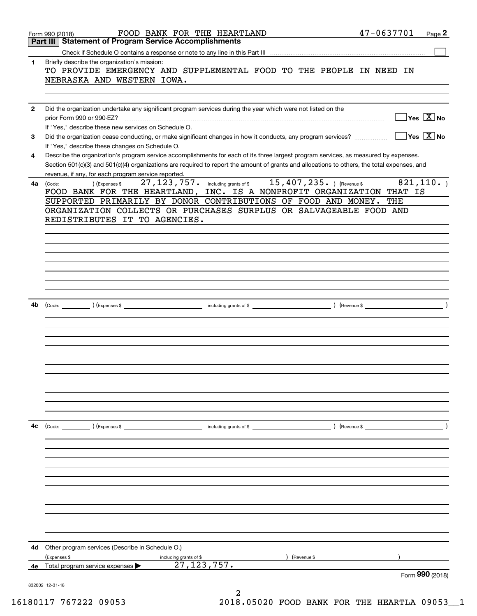|              | FOOD BANK FOR THE HEARTLAND<br>Form 990 (2018)                                                                                               | 47-0637701<br>Page 2                  |
|--------------|----------------------------------------------------------------------------------------------------------------------------------------------|---------------------------------------|
|              | <b>Statement of Program Service Accomplishments</b><br>Part III                                                                              |                                       |
|              |                                                                                                                                              |                                       |
| 1            | Briefly describe the organization's mission:                                                                                                 |                                       |
|              | TO PROVIDE EMERGENCY AND SUPPLEMENTAL FOOD TO THE PEOPLE IN NEED IN                                                                          |                                       |
|              | NEBRASKA AND WESTERN IOWA.                                                                                                                   |                                       |
|              |                                                                                                                                              |                                       |
| $\mathbf{2}$ | Did the organization undertake any significant program services during the year which were not listed on the                                 |                                       |
|              | prior Form 990 or 990-EZ?                                                                                                                    | $\exists$ Yes $\boxed{\text{X}}$ No   |
|              | If "Yes," describe these new services on Schedule O.                                                                                         |                                       |
| 3            | Did the organization cease conducting, or make significant changes in how it conducts, any program services?                                 | $\exists$ Yes $\boxed{\mathrm{X}}$ No |
|              | If "Yes," describe these changes on Schedule O.                                                                                              |                                       |
| 4            | Describe the organization's program service accomplishments for each of its three largest program services, as measured by expenses.         |                                       |
|              | Section 501(c)(3) and 501(c)(4) organizations are required to report the amount of grants and allocations to others, the total expenses, and |                                       |
|              | revenue, if any, for each program service reported.                                                                                          |                                       |
| 4а           | 27, 123, 757. including grants of \$15, 407, 235. ) (Revenue \$<br>) (Expenses \$<br>(Code:                                                  | 821, 110.                             |
|              | FOOD BANK FOR THE HEARTLAND, INC. IS A NONPROFIT ORGANIZATION THAT IS                                                                        |                                       |
|              | SUPPORTED PRIMARILY BY DONOR CONTRIBUTIONS OF FOOD AND MONEY.                                                                                | THE                                   |
|              | ORGANIZATION COLLECTS OR PURCHASES SURPLUS OR SALVAGEABLE FOOD AND                                                                           |                                       |
|              | REDISTRIBUTES IT TO AGENCIES.                                                                                                                |                                       |
|              |                                                                                                                                              |                                       |
|              |                                                                                                                                              |                                       |
|              |                                                                                                                                              |                                       |
|              |                                                                                                                                              |                                       |
|              |                                                                                                                                              |                                       |
|              |                                                                                                                                              |                                       |
|              |                                                                                                                                              |                                       |
|              |                                                                                                                                              |                                       |
| 4b           | $\text{(Code:}\n$ $\text{(Code:}\n$                                                                                                          | $\left($ Revenue \$ $\right)$         |
|              |                                                                                                                                              |                                       |
|              |                                                                                                                                              |                                       |
|              |                                                                                                                                              |                                       |
|              |                                                                                                                                              |                                       |
|              |                                                                                                                                              |                                       |
|              |                                                                                                                                              |                                       |
|              |                                                                                                                                              |                                       |
|              |                                                                                                                                              |                                       |
|              |                                                                                                                                              |                                       |
|              |                                                                                                                                              |                                       |
|              |                                                                                                                                              |                                       |
|              |                                                                                                                                              |                                       |
| 4c           | $\left(\text{Code:} \right)$ $\left(\text{Expenses $}\right)$<br>) (Revenue \$<br>including grants of \$                                     |                                       |
|              |                                                                                                                                              |                                       |
|              |                                                                                                                                              |                                       |
|              |                                                                                                                                              |                                       |
|              |                                                                                                                                              |                                       |
|              |                                                                                                                                              |                                       |
|              |                                                                                                                                              |                                       |
|              |                                                                                                                                              |                                       |
|              |                                                                                                                                              |                                       |
|              |                                                                                                                                              |                                       |
|              |                                                                                                                                              |                                       |
|              |                                                                                                                                              |                                       |
| 4d           | Other program services (Describe in Schedule O.)                                                                                             |                                       |
|              | (Expenses \$                                                                                                                                 |                                       |
| 4е           | including grants of \$<br>Revenue \$<br>27, 123, 757.<br>Total program service expenses                                                      |                                       |
|              |                                                                                                                                              | Form 990 (2018)                       |
|              | 832002 12-31-18                                                                                                                              |                                       |
|              | 2                                                                                                                                            |                                       |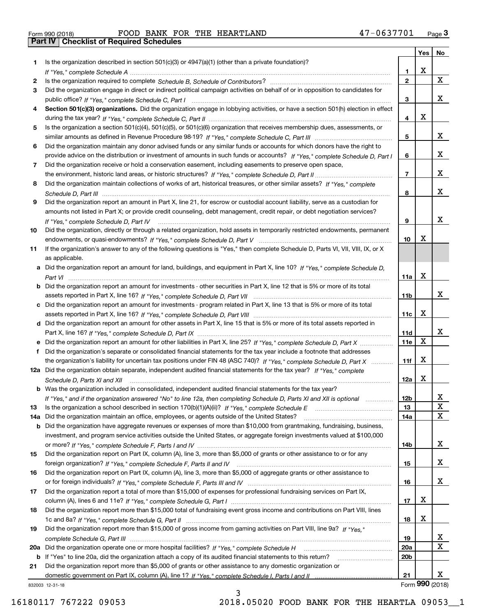| Form 990 (2018) |                                                  |  | FOOD BANK FOR THE HEARTLAND | 47-0637701 | Page $3$ |
|-----------------|--------------------------------------------------|--|-----------------------------|------------|----------|
|                 | <b>Part IV   Checklist of Required Schedules</b> |  |                             |            |          |

|     |                                                                                                                                                                         |                 | Yes | No                      |
|-----|-------------------------------------------------------------------------------------------------------------------------------------------------------------------------|-----------------|-----|-------------------------|
| 1   | Is the organization described in section $501(c)(3)$ or $4947(a)(1)$ (other than a private foundation)?                                                                 |                 |     |                         |
|     |                                                                                                                                                                         | 1.              | х   |                         |
| 2   |                                                                                                                                                                         | $\mathbf{2}$    |     | $\mathbf{X}$            |
| 3   | Did the organization engage in direct or indirect political campaign activities on behalf of or in opposition to candidates for                                         |                 |     |                         |
|     |                                                                                                                                                                         | 3               |     | x                       |
| 4   | Section 501(c)(3) organizations. Did the organization engage in lobbying activities, or have a section 501(h) election in effect                                        |                 |     |                         |
|     |                                                                                                                                                                         | 4               | X   |                         |
| 5   | Is the organization a section 501(c)(4), 501(c)(5), or 501(c)(6) organization that receives membership dues, assessments, or                                            |                 |     |                         |
|     |                                                                                                                                                                         | 5               |     | x                       |
| 6   | Did the organization maintain any donor advised funds or any similar funds or accounts for which donors have the right to                                               |                 |     |                         |
|     | provide advice on the distribution or investment of amounts in such funds or accounts? If "Yes," complete Schedule D, Part I                                            | 6               |     | x                       |
| 7   | Did the organization receive or hold a conservation easement, including easements to preserve open space,                                                               |                 |     |                         |
|     |                                                                                                                                                                         | $\overline{7}$  |     | x                       |
| 8   | Did the organization maintain collections of works of art, historical treasures, or other similar assets? If "Yes," complete                                            |                 |     | x                       |
|     |                                                                                                                                                                         | 8               |     |                         |
| 9   | Did the organization report an amount in Part X, line 21, for escrow or custodial account liability, serve as a custodian for                                           |                 |     |                         |
|     | amounts not listed in Part X; or provide credit counseling, debt management, credit repair, or debt negotiation services?                                               |                 |     | x                       |
| 10  | If "Yes," complete Schedule D, Part IV<br>Did the organization, directly or through a related organization, hold assets in temporarily restricted endowments, permanent | 9               |     |                         |
|     |                                                                                                                                                                         | 10              | х   |                         |
| 11  | If the organization's answer to any of the following questions is "Yes," then complete Schedule D, Parts VI, VII, VIII, IX, or X                                        |                 |     |                         |
|     | as applicable.                                                                                                                                                          |                 |     |                         |
|     | Did the organization report an amount for land, buildings, and equipment in Part X, line 10? If "Yes," complete Schedule D.                                             |                 |     |                         |
|     |                                                                                                                                                                         | 11a             | X   |                         |
| b   | Did the organization report an amount for investments - other securities in Part X, line 12 that is 5% or more of its total                                             |                 |     |                         |
|     |                                                                                                                                                                         | 11b             |     | x                       |
|     | c Did the organization report an amount for investments - program related in Part X, line 13 that is 5% or more of its total                                            |                 |     |                         |
|     |                                                                                                                                                                         | 11c             | X   |                         |
|     | d Did the organization report an amount for other assets in Part X, line 15 that is 5% or more of its total assets reported in                                          |                 |     |                         |
|     |                                                                                                                                                                         | 11d             |     | x                       |
|     |                                                                                                                                                                         | 11e             | X   |                         |
| f   | Did the organization's separate or consolidated financial statements for the tax year include a footnote that addresses                                                 |                 |     |                         |
|     | the organization's liability for uncertain tax positions under FIN 48 (ASC 740)? If "Yes," complete Schedule D, Part X                                                  | 11f             | х   |                         |
|     | 12a Did the organization obtain separate, independent audited financial statements for the tax year? If "Yes," complete                                                 |                 |     |                         |
|     | Schedule D, Parts XI and XII                                                                                                                                            | 12a             | X   |                         |
|     | <b>b</b> Was the organization included in consolidated, independent audited financial statements for the tax year?                                                      |                 |     |                         |
|     | If "Yes," and if the organization answered "No" to line 12a, then completing Schedule D, Parts XI and XII is optional                                                   | 12 <sub>b</sub> |     | 41                      |
| 13  |                                                                                                                                                                         | 13              |     | X                       |
| 14a | Did the organization maintain an office, employees, or agents outside of the United States?                                                                             | 14a             |     | X                       |
| b   | Did the organization have aggregate revenues or expenses of more than \$10,000 from grantmaking, fundraising, business,                                                 |                 |     |                         |
|     | investment, and program service activities outside the United States, or aggregate foreign investments valued at \$100,000                                              |                 |     |                         |
|     |                                                                                                                                                                         | 14b             |     | X                       |
| 15  | Did the organization report on Part IX, column (A), line 3, more than \$5,000 of grants or other assistance to or for any                                               |                 |     |                         |
|     |                                                                                                                                                                         | 15              |     | X.                      |
| 16  | Did the organization report on Part IX, column (A), line 3, more than \$5,000 of aggregate grants or other assistance to                                                |                 |     |                         |
|     |                                                                                                                                                                         | 16              |     | X.                      |
| 17  | Did the organization report a total of more than \$15,000 of expenses for professional fundraising services on Part IX,                                                 |                 |     |                         |
|     |                                                                                                                                                                         | 17              | X   |                         |
| 18  | Did the organization report more than \$15,000 total of fundraising event gross income and contributions on Part VIII, lines                                            |                 |     |                         |
|     |                                                                                                                                                                         | 18              | х   |                         |
| 19  | Did the organization report more than \$15,000 of gross income from gaming activities on Part VIII, line 9a? If "Yes."                                                  |                 |     |                         |
|     |                                                                                                                                                                         | 19              |     | X                       |
| 20a |                                                                                                                                                                         | 20a             |     | $\overline{\mathbf{X}}$ |
| b   | If "Yes" to line 20a, did the organization attach a copy of its audited financial statements to this return?                                                            | 20 <sub>b</sub> |     |                         |
| 21  | Did the organization report more than \$5,000 of grants or other assistance to any domestic organization or                                                             |                 |     |                         |
|     |                                                                                                                                                                         | 21              |     | x                       |
|     | 832003 12-31-18                                                                                                                                                         |                 |     | Form $990$ (2018)       |

3

832003 12-31-18

16180117 767222 09053 2018.05020 FOOD BANK FOR THE HEARTLA 09053\_\_1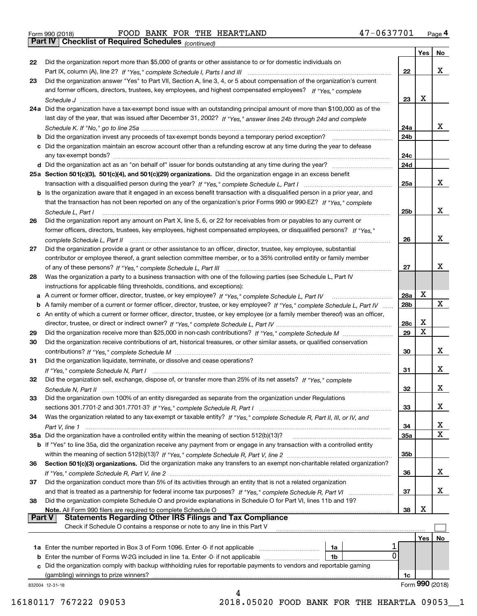Form 990 (2018) Page **4Part IV Checklist of Required Schedules** FOOD BANK FOR THE HEARTLAND 47-0637701

*(continued)*

|               |                                                                                                                                   |                 | Yes | No              |
|---------------|-----------------------------------------------------------------------------------------------------------------------------------|-----------------|-----|-----------------|
| 22            | Did the organization report more than \$5,000 of grants or other assistance to or for domestic individuals on                     |                 |     |                 |
|               |                                                                                                                                   | 22              |     | x               |
| 23            | Did the organization answer "Yes" to Part VII, Section A, line 3, 4, or 5 about compensation of the organization's current        |                 |     |                 |
|               | and former officers, directors, trustees, key employees, and highest compensated employees? If "Yes," complete                    |                 |     |                 |
|               |                                                                                                                                   | 23              | х   |                 |
|               | 24a Did the organization have a tax-exempt bond issue with an outstanding principal amount of more than \$100,000 as of the       |                 |     |                 |
|               | last day of the year, that was issued after December 31, 2002? If "Yes," answer lines 24b through 24d and complete                |                 |     |                 |
|               |                                                                                                                                   | 24a             |     | x               |
|               | <b>b</b> Did the organization invest any proceeds of tax-exempt bonds beyond a temporary period exception?                        | 24 <sub>b</sub> |     |                 |
|               | c Did the organization maintain an escrow account other than a refunding escrow at any time during the year to defease            |                 |     |                 |
|               |                                                                                                                                   | 24c             |     |                 |
|               | d Did the organization act as an "on behalf of" issuer for bonds outstanding at any time during the year?                         | 24d             |     |                 |
|               | 25a Section 501(c)(3), 501(c)(4), and 501(c)(29) organizations. Did the organization engage in an excess benefit                  |                 |     |                 |
|               |                                                                                                                                   | 25a             |     | x               |
|               | b Is the organization aware that it engaged in an excess benefit transaction with a disqualified person in a prior year, and      |                 |     |                 |
|               | that the transaction has not been reported on any of the organization's prior Forms 990 or 990-EZ? If "Yes." complete             |                 |     |                 |
|               | Schedule L. Part I                                                                                                                | 25 <sub>b</sub> |     | х               |
| 26            | Did the organization report any amount on Part X, line 5, 6, or 22 for receivables from or payables to any current or             |                 |     |                 |
|               | former officers, directors, trustees, key employees, highest compensated employees, or disqualified persons? If "Yes."            |                 |     |                 |
|               |                                                                                                                                   | 26              |     | х               |
| 27            | Did the organization provide a grant or other assistance to an officer, director, trustee, key employee, substantial              |                 |     |                 |
|               | contributor or employee thereof, a grant selection committee member, or to a 35% controlled entity or family member               |                 |     |                 |
|               |                                                                                                                                   | 27              |     | х               |
| 28            | Was the organization a party to a business transaction with one of the following parties (see Schedule L, Part IV                 |                 |     |                 |
|               | instructions for applicable filing thresholds, conditions, and exceptions):                                                       |                 |     |                 |
|               |                                                                                                                                   | <b>28a</b>      | х   |                 |
|               | b A family member of a current or former officer, director, trustee, or key employee? If "Yes," complete Schedule L, Part IV      | 28b             |     | X               |
|               | c An entity of which a current or former officer, director, trustee, or key employee (or a family member thereof) was an officer, |                 |     |                 |
|               |                                                                                                                                   | 28c             | x   |                 |
| 29            |                                                                                                                                   | 29              | Χ   |                 |
| 30            | Did the organization receive contributions of art, historical treasures, or other similar assets, or qualified conservation       |                 |     |                 |
|               |                                                                                                                                   | 30              |     | x               |
| 31            | Did the organization liquidate, terminate, or dissolve and cease operations?                                                      |                 |     |                 |
|               |                                                                                                                                   | 31              |     | x               |
| 32            | Did the organization sell, exchange, dispose of, or transfer more than 25% of its net assets? If "Yes," complete                  |                 |     |                 |
|               |                                                                                                                                   | 32              |     | х               |
| 33            | Did the organization own 100% of an entity disregarded as separate from the organization under Regulations                        |                 |     |                 |
|               |                                                                                                                                   | 33              |     | х               |
| 34            | Was the organization related to any tax-exempt or taxable entity? If "Yes," complete Schedule R, Part II, III, or IV, and         |                 |     |                 |
|               |                                                                                                                                   | 34              |     | x               |
|               | 35a Did the organization have a controlled entity within the meaning of section 512(b)(13)?                                       | 35a             |     | X               |
|               | b If "Yes" to line 35a, did the organization receive any payment from or engage in any transaction with a controlled entity       |                 |     |                 |
|               |                                                                                                                                   | 35b             |     |                 |
| 36            | Section 501(c)(3) organizations. Did the organization make any transfers to an exempt non-charitable related organization?        |                 |     |                 |
|               |                                                                                                                                   | 36              |     | x               |
| 37            | Did the organization conduct more than 5% of its activities through an entity that is not a related organization                  |                 |     |                 |
|               | and that is treated as a partnership for federal income tax purposes? If "Yes," complete Schedule R, Part VI                      | 37              |     | x               |
| 38            | Did the organization complete Schedule O and provide explanations in Schedule O for Part VI, lines 11b and 19?                    |                 |     |                 |
|               | Note. All Form 990 filers are required to complete Schedule O                                                                     | 38              | х   |                 |
| <b>Part V</b> | <b>Statements Regarding Other IRS Filings and Tax Compliance</b>                                                                  |                 |     |                 |
|               | Check if Schedule O contains a response or note to any line in this Part V                                                        |                 |     |                 |
|               |                                                                                                                                   |                 | Yes | No.             |
|               | 1a Enter the number reported in Box 3 of Form 1096. Enter -0- if not applicable<br>1a                                             |                 |     |                 |
|               | 0<br><b>b</b> Enter the number of Forms W-2G included in line 1a. Enter -0- if not applicable<br>1b                               |                 |     |                 |
|               | c Did the organization comply with backup withholding rules for reportable payments to vendors and reportable gaming              |                 |     |                 |
|               | (gambling) winnings to prize winners?                                                                                             | 1c              |     |                 |
|               | 832004 12-31-18                                                                                                                   |                 |     | Form 990 (2018) |
|               | 4                                                                                                                                 |                 |     |                 |
|               |                                                                                                                                   |                 |     |                 |

16180117 767222 09053 2018.05020 FOOD BANK FOR THE HEARTLA 09053\_\_1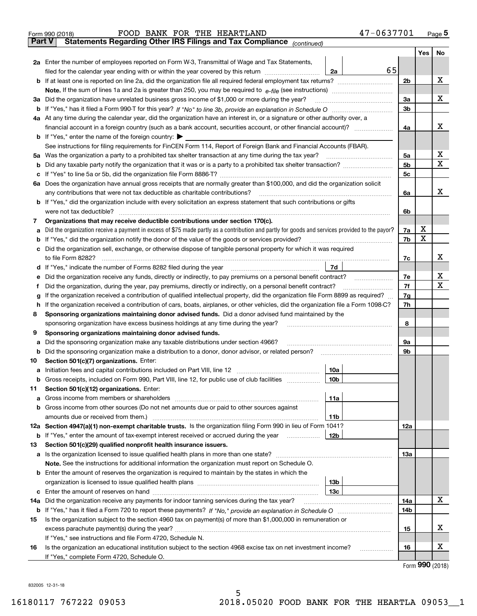|               | 47-0637701<br>FOOD BANK FOR THE HEARTLAND<br>Form 990 (2018)                                                                                                               |                |     | $_{\text{Page}}$ 5 |  |  |
|---------------|----------------------------------------------------------------------------------------------------------------------------------------------------------------------------|----------------|-----|--------------------|--|--|
| <b>Part V</b> | Statements Regarding Other IRS Filings and Tax Compliance (continued)                                                                                                      |                |     |                    |  |  |
|               |                                                                                                                                                                            |                | Yes | No                 |  |  |
|               | 2a Enter the number of employees reported on Form W-3, Transmittal of Wage and Tax Statements,                                                                             |                |     |                    |  |  |
|               | 65<br>filed for the calendar year ending with or within the year covered by this return<br>2a                                                                              |                |     |                    |  |  |
|               |                                                                                                                                                                            | 2b             |     | х                  |  |  |
|               |                                                                                                                                                                            |                |     |                    |  |  |
| За            | Did the organization have unrelated business gross income of \$1,000 or more during the year?                                                                              | 3a             |     | х                  |  |  |
|               |                                                                                                                                                                            | 3 <sub>b</sub> |     |                    |  |  |
|               | 4a At any time during the calendar year, did the organization have an interest in, or a signature or other authority over, a                                               |                |     |                    |  |  |
|               |                                                                                                                                                                            | 4a             |     | x                  |  |  |
|               | <b>b</b> If "Yes," enter the name of the foreign country: $\blacktriangleright$                                                                                            |                |     |                    |  |  |
|               | See instructions for filing requirements for FinCEN Form 114, Report of Foreign Bank and Financial Accounts (FBAR).                                                        |                |     |                    |  |  |
| 5a            | Was the organization a party to a prohibited tax shelter transaction at any time during the tax year?                                                                      | 5а             |     | х                  |  |  |
| b             |                                                                                                                                                                            | 5 <sub>b</sub> |     | X                  |  |  |
| с             |                                                                                                                                                                            | 5c             |     |                    |  |  |
|               | 6a Does the organization have annual gross receipts that are normally greater than \$100,000, and did the organization solicit                                             |                |     |                    |  |  |
|               | any contributions that were not tax deductible as charitable contributions?                                                                                                | 6a             |     | x                  |  |  |
|               | <b>b</b> If "Yes," did the organization include with every solicitation an express statement that such contributions or gifts                                              |                |     |                    |  |  |
|               | were not tax deductible?                                                                                                                                                   | 6b             |     |                    |  |  |
| 7             | Organizations that may receive deductible contributions under section 170(c).                                                                                              |                |     |                    |  |  |
| а             | Did the organization receive a payment in excess of \$75 made partly as a contribution and partly for goods and services provided to the payor?                            | 7a             | x   |                    |  |  |
| b             | If "Yes," did the organization notify the donor of the value of the goods or services provided?                                                                            | 7b             | X   |                    |  |  |
| с             | Did the organization sell, exchange, or otherwise dispose of tangible personal property for which it was required                                                          |                |     |                    |  |  |
|               |                                                                                                                                                                            | 7c             |     | х                  |  |  |
|               | 7d<br>d If "Yes," indicate the number of Forms 8282 filed during the year [11,111] The set response to the number of Forms 8282 filed during the year                      |                |     |                    |  |  |
| е             |                                                                                                                                                                            | 7e             |     | х                  |  |  |
| f             | Did the organization, during the year, pay premiums, directly or indirectly, on a personal benefit contract?                                                               | 7f<br>7g       |     | X                  |  |  |
|               | If the organization received a contribution of qualified intellectual property, did the organization file Form 8899 as required?<br>g                                      |                |     |                    |  |  |
| h             | If the organization received a contribution of cars, boats, airplanes, or other vehicles, did the organization file a Form 1098-C?                                         | 7h             |     |                    |  |  |
| 8             | Sponsoring organizations maintaining donor advised funds. Did a donor advised fund maintained by the                                                                       |                |     |                    |  |  |
|               | sponsoring organization have excess business holdings at any time during the year?                                                                                         | 8              |     |                    |  |  |
| 9             | Sponsoring organizations maintaining donor advised funds.                                                                                                                  |                |     |                    |  |  |
| а             | Did the sponsoring organization make any taxable distributions under section 4966?                                                                                         | 9а<br>9b       |     |                    |  |  |
| b<br>10       | Did the sponsoring organization make a distribution to a donor, donor advisor, or related person?<br>Section 501(c)(7) organizations. Enter:                               |                |     |                    |  |  |
|               | 10a<br>a Initiation fees and capital contributions included on Part VIII, line 12 [111] [11] [11] Initiation fees and capital contributions included on Part VIII, line 12 |                |     |                    |  |  |
|               | 10 <sub>b</sub><br>Gross receipts, included on Form 990, Part VIII, line 12, for public use of club facilities                                                             |                |     |                    |  |  |
| 11            | Section 501(c)(12) organizations. Enter:                                                                                                                                   |                |     |                    |  |  |
| a             | Gross income from members or shareholders<br>11a                                                                                                                           |                |     |                    |  |  |
| b             | Gross income from other sources (Do not net amounts due or paid to other sources against                                                                                   |                |     |                    |  |  |
|               | 11b                                                                                                                                                                        |                |     |                    |  |  |
|               | 12a Section 4947(a)(1) non-exempt charitable trusts. Is the organization filing Form 990 in lieu of Form 1041?                                                             | 12a            |     |                    |  |  |
|               | 12 <sub>b</sub><br><b>b</b> If "Yes," enter the amount of tax-exempt interest received or accrued during the year                                                          |                |     |                    |  |  |
| 13            | Section 501(c)(29) qualified nonprofit health insurance issuers.                                                                                                           |                |     |                    |  |  |
| a             | Is the organization licensed to issue qualified health plans in more than one state?                                                                                       | 13a            |     |                    |  |  |
|               | Note. See the instructions for additional information the organization must report on Schedule O.                                                                          |                |     |                    |  |  |
| b             | Enter the amount of reserves the organization is required to maintain by the states in which the                                                                           |                |     |                    |  |  |
|               | 13 <sub>b</sub>                                                                                                                                                            |                |     |                    |  |  |
|               | 13c                                                                                                                                                                        |                |     |                    |  |  |
| 14a           | Did the organization receive any payments for indoor tanning services during the tax year?                                                                                 | 14a            |     | x                  |  |  |
|               |                                                                                                                                                                            | 14b            |     |                    |  |  |
| 15            | Is the organization subject to the section 4960 tax on payment(s) of more than \$1,000,000 in remuneration or                                                              |                |     |                    |  |  |
|               |                                                                                                                                                                            | 15             |     | х                  |  |  |
|               | If "Yes," see instructions and file Form 4720, Schedule N.                                                                                                                 |                |     |                    |  |  |
| 16            | Is the organization an educational institution subject to the section 4968 excise tax on net investment income?                                                            | 16             |     | х                  |  |  |
|               | If "Yes," complete Form 4720, Schedule O.                                                                                                                                  |                |     |                    |  |  |

Form (2018) **990**

832005 12-31-18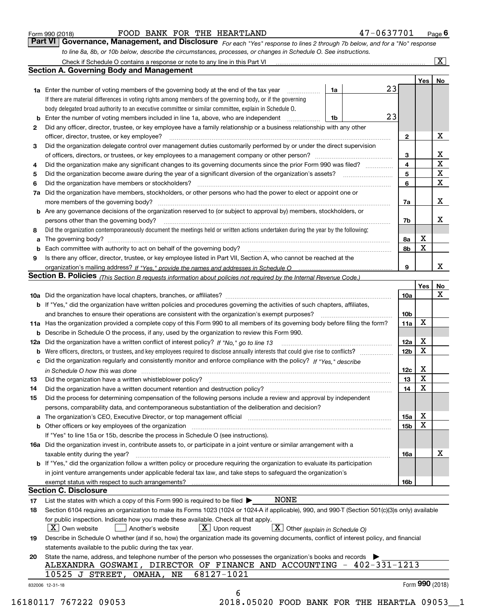|  | Form 990 (2018) |  |
|--|-----------------|--|
|  |                 |  |

FOOD BANK FOR THE HEARTLAND 47-0637701

*For each "Yes" response to lines 2 through 7b below, and for a "No" response to line 8a, 8b, or 10b below, describe the circumstances, processes, or changes in Schedule O. See instructions.* Form 990 (2018) **Form 990 (2018)** FOOD BANK FOR THE HEARTLAND **1998 1-0637701 Page 6**<br>**Part VI Governance, Management, and Disclosure** For each "Yes" response to lines 2 through 7b below, and for a "No" response

|        | Check if Schedule O contains a response or note to any line in this Part VI                                                                                                   |    |    |                 |                 | $\boxed{\text{X}}$ |
|--------|-------------------------------------------------------------------------------------------------------------------------------------------------------------------------------|----|----|-----------------|-----------------|--------------------|
|        | <b>Section A. Governing Body and Management</b>                                                                                                                               |    |    |                 |                 |                    |
|        |                                                                                                                                                                               |    |    |                 | Yes             | No                 |
|        | <b>1a</b> Enter the number of voting members of the governing body at the end of the tax year                                                                                 | 1a | 23 |                 |                 |                    |
|        | If there are material differences in voting rights among members of the governing body, or if the governing                                                                   |    |    |                 |                 |                    |
|        | body delegated broad authority to an executive committee or similar committee, explain in Schedule O.                                                                         |    |    |                 |                 |                    |
| b      | Enter the number of voting members included in line 1a, above, who are independent                                                                                            | 1b | 23 |                 |                 |                    |
| 2      | Did any officer, director, trustee, or key employee have a family relationship or a business relationship with any other                                                      |    |    |                 |                 |                    |
|        | officer, director, trustee, or key employee?                                                                                                                                  |    | .  | 2               |                 | х                  |
| 3      | Did the organization delegate control over management duties customarily performed by or under the direct supervision                                                         |    |    |                 |                 |                    |
|        |                                                                                                                                                                               |    |    | 3               |                 | x                  |
| 4      | Did the organization make any significant changes to its governing documents since the prior Form 990 was filed?                                                              |    |    | 4               |                 | $\mathbf X$        |
| 5      |                                                                                                                                                                               |    |    | 5               |                 | $\mathbf X$        |
| 6      | Did the organization have members or stockholders?                                                                                                                            |    |    | 6               |                 | X                  |
| 7a     | Did the organization have members, stockholders, or other persons who had the power to elect or appoint one or                                                                |    |    |                 |                 |                    |
|        | more members of the governing body?                                                                                                                                           |    |    | 7a              |                 | х                  |
|        | b Are any governance decisions of the organization reserved to (or subject to approval by) members, stockholders, or                                                          |    |    |                 |                 |                    |
|        | persons other than the governing body?                                                                                                                                        |    |    | 7b              |                 | х                  |
|        | Did the organization contemporaneously document the meetings held or written actions undertaken during the year by the following:                                             |    |    |                 |                 |                    |
| 8      |                                                                                                                                                                               |    |    |                 | х               |                    |
| a      |                                                                                                                                                                               |    |    | 8a              | X               |                    |
| b<br>9 |                                                                                                                                                                               |    |    | 8b              |                 |                    |
|        | Is there any officer, director, trustee, or key employee listed in Part VII, Section A, who cannot be reached at the                                                          |    |    | 9               |                 | x                  |
|        |                                                                                                                                                                               |    |    |                 |                 |                    |
|        | <b>Section B. Policies</b> (This Section B requests information about policies not required by the Internal Revenue Code.)                                                    |    |    |                 |                 |                    |
|        |                                                                                                                                                                               |    |    |                 | Yes             | No<br>х            |
|        |                                                                                                                                                                               |    |    | 10a             |                 |                    |
|        | <b>b</b> If "Yes," did the organization have written policies and procedures governing the activities of such chapters, affiliates,                                           |    |    | 10 <sub>b</sub> |                 |                    |
|        | and branches to ensure their operations are consistent with the organization's exempt purposes?                                                                               |    |    |                 | X               |                    |
|        | 11a Has the organization provided a complete copy of this Form 990 to all members of its governing body before filing the form?                                               |    |    | 11a             |                 |                    |
| b      | Describe in Schedule O the process, if any, used by the organization to review this Form 990.                                                                                 |    |    |                 |                 |                    |
| 12a    | Did the organization have a written conflict of interest policy? If "No," go to line 13                                                                                       |    |    | 12a             | х<br>X          |                    |
| b      |                                                                                                                                                                               |    |    | 12 <sub>b</sub> |                 |                    |
| с      | Did the organization regularly and consistently monitor and enforce compliance with the policy? If "Yes," describe                                                            |    |    |                 |                 |                    |
|        | in Schedule O how this was done encourance and the control of the control of the control of the control of the                                                                |    |    | 12c             | х<br>X          |                    |
| 13     | Did the organization have a written whistleblower policy?                                                                                                                     |    |    | 13              |                 |                    |
| 14     | Did the organization have a written document retention and destruction policy?                                                                                                |    |    | 14              | X               |                    |
| 15     | Did the process for determining compensation of the following persons include a review and approval by independent                                                            |    |    |                 |                 |                    |
|        | persons, comparability data, and contemporaneous substantiation of the deliberation and decision?                                                                             |    |    |                 |                 |                    |
| а      | The organization's CEO, Executive Director, or top management official manufactured content content of the organization's CEO, Executive Director, or top management official |    |    | 15a             | х               |                    |
| b      | Other officers or key employees of the organization                                                                                                                           |    |    | 15b             | х               |                    |
|        | If "Yes" to line 15a or 15b, describe the process in Schedule O (see instructions).                                                                                           |    |    |                 |                 |                    |
|        | 16a Did the organization invest in, contribute assets to, or participate in a joint venture or similar arrangement with a                                                     |    |    |                 |                 |                    |
|        | taxable entity during the year?                                                                                                                                               |    |    | 16a             |                 | x                  |
|        | b If "Yes," did the organization follow a written policy or procedure requiring the organization to evaluate its participation                                                |    |    |                 |                 |                    |
|        | in joint venture arrangements under applicable federal tax law, and take steps to safeguard the organization's                                                                |    |    |                 |                 |                    |
|        | exempt status with respect to such arrangements?<br><b>Section C. Disclosure</b>                                                                                              |    |    | 16b             |                 |                    |
|        |                                                                                                                                                                               |    |    |                 |                 |                    |
| 17     | NONE<br>List the states with which a copy of this Form 990 is required to be filed $\blacktriangleright$                                                                      |    |    |                 |                 |                    |
| 18     | Section 6104 requires an organization to make its Forms 1023 (1024 or 1024-A if applicable), 990, and 990-T (Section 501(c)(3)s only) available                               |    |    |                 |                 |                    |
|        | for public inspection. Indicate how you made these available. Check all that apply.                                                                                           |    |    |                 |                 |                    |
|        | $\lfloor X \rfloor$ Own website<br>$\lfloor x \rfloor$ Upon request<br>$X$ Other (explain in Schedule O)<br>Another's website                                                 |    |    |                 |                 |                    |
| 19     | Describe in Schedule O whether (and if so, how) the organization made its governing documents, conflict of interest policy, and financial                                     |    |    |                 |                 |                    |
|        | statements available to the public during the tax year.                                                                                                                       |    |    |                 |                 |                    |
| 20     | State the name, address, and telephone number of the person who possesses the organization's books and records                                                                |    |    |                 |                 |                    |
|        | ALEXANDRA GOSWAMI, DIRECTOR OF FINANCE AND ACCOUNTING - 402-331-1213                                                                                                          |    |    |                 |                 |                    |
|        | 68127-1021<br>10525 J STREET,<br>OMAHA,<br>NE                                                                                                                                 |    |    |                 |                 |                    |
|        | 832006 12-31-18                                                                                                                                                               |    |    |                 | Form 990 (2018) |                    |
|        | 6                                                                                                                                                                             |    |    |                 |                 |                    |

16180117 767222 09053 2018.05020 FOOD BANK FOR THE HEARTLA 09053\_\_1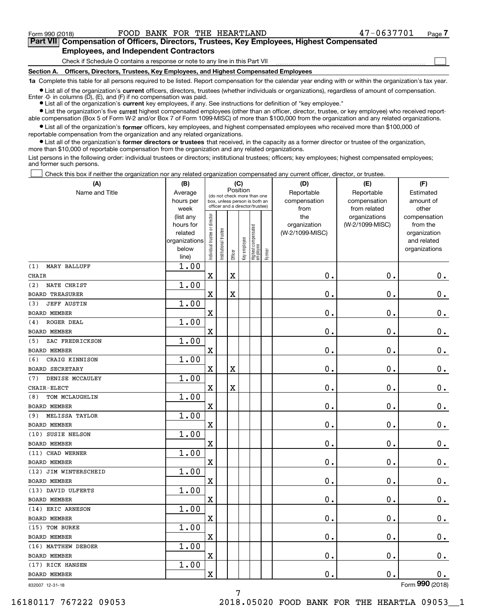$\mathcal{L}^{\text{max}}$ 

## **7Part VII Compensation of Officers, Directors, Trustees, Key Employees, Highest Compensated Employees, and Independent Contractors**

Check if Schedule O contains a response or note to any line in this Part VII

**Section A. Officers, Directors, Trustees, Key Employees, and Highest Compensated Employees**

**1a**  Complete this table for all persons required to be listed. Report compensation for the calendar year ending with or within the organization's tax year.

**•** List all of the organization's current officers, directors, trustees (whether individuals or organizations), regardless of amount of compensation.

● List all of the organization's **current** key employees, if any. See instructions for definition of "key employee." Enter -0- in columns  $(D)$ ,  $(E)$ , and  $(F)$  if no compensation was paid.

**•** List the organization's five current highest compensated employees (other than an officer, director, trustee, or key employee) who received report-

 $\bullet$  List all of the organization's **former** officers, key employees, and highest compensated employees who received more than \$100,000 of able compensation (Box 5 of Form W-2 and/or Box 7 of Form 1099-MISC) of more than \$100,000 from the organization and any related organizations. reportable compensation from the organization and any related organizations.

**•** List all of the organization's former directors or trustees that received, in the capacity as a former director or trustee of the organization, more than \$10,000 of reportable compensation from the organization and any related organizations.

List persons in the following order: individual trustees or directors; institutional trustees; officers; key employees; highest compensated employees; and former such persons.

Check this box if neither the organization nor any related organization compensated any current officer, director, or trustee.  $\mathcal{L}^{\text{max}}$ 

| (A)                       | (B)                      |                                |                       |          | (C)          |                                  |        | (D)             | (E)             | (F)                         |
|---------------------------|--------------------------|--------------------------------|-----------------------|----------|--------------|----------------------------------|--------|-----------------|-----------------|-----------------------------|
| Name and Title            | Average                  |                                |                       | Position |              | (do not check more than one      |        | Reportable      | Reportable      | Estimated                   |
|                           | hours per                |                                |                       |          |              | box, unless person is both an    |        | compensation    | compensation    | amount of                   |
|                           | week                     |                                |                       |          |              | officer and a director/trustee)  |        | from            | from related    | other                       |
|                           | (list any                |                                |                       |          |              |                                  |        | the             | organizations   | compensation                |
|                           | hours for                |                                |                       |          |              |                                  |        | organization    | (W-2/1099-MISC) | from the                    |
|                           | related<br>organizations |                                |                       |          |              |                                  |        | (W-2/1099-MISC) |                 | organization<br>and related |
|                           | below                    |                                |                       |          |              |                                  |        |                 |                 | organizations               |
|                           | line)                    | Individual trustee or director | Institutional trustee | Officer  | Key employee | Highest compensated<br> employee | Former |                 |                 |                             |
| MARY BALLUFF<br>(1)       | 1.00                     |                                |                       |          |              |                                  |        |                 |                 |                             |
| <b>CHAIR</b>              |                          | X                              |                       | X        |              |                                  |        | 0.              | $\mathbf 0$ .   | 0.                          |
| NATE CHRIST<br>(2)        | 1.00                     |                                |                       |          |              |                                  |        |                 |                 |                             |
| <b>BOARD TREASURER</b>    |                          | X                              |                       | X        |              |                                  |        | 0.              | $\mathbf 0$ .   | $0$ .                       |
| <b>JEFF AUSTIN</b><br>(3) | 1.00                     |                                |                       |          |              |                                  |        |                 |                 |                             |
| <b>BOARD MEMBER</b>       |                          | X                              |                       |          |              |                                  |        | 0.              | $\mathbf 0$ .   | $0$ .                       |
| ROGER DEAL<br>(4)         | 1.00                     |                                |                       |          |              |                                  |        |                 |                 |                             |
| <b>BOARD MEMBER</b>       |                          | X                              |                       |          |              |                                  |        | 0.              | $\mathbf 0$ .   | $0$ .                       |
| ZAC FREDRICKSON<br>(5)    | 1.00                     |                                |                       |          |              |                                  |        |                 |                 |                             |
| <b>BOARD MEMBER</b>       |                          | X                              |                       |          |              |                                  |        | 0.              | $\mathbf 0$ .   | $\mathbf 0$ .               |
| CRAIG KINNISON<br>(6)     | 1.00                     |                                |                       |          |              |                                  |        |                 |                 |                             |
| <b>BOARD SECRETARY</b>    |                          | X                              |                       | X        |              |                                  |        | 0.              | $\mathbf 0$ .   | $0$ .                       |
| DENISE MCCAULEY<br>(7)    | 1.00                     |                                |                       |          |              |                                  |        |                 |                 |                             |
| CHAIR-ELECT               |                          | X                              |                       | X        |              |                                  |        | 0.              | $\mathbf 0$ .   | $0$ .                       |
| TOM MCLAUGHLIN<br>(8)     | 1.00                     |                                |                       |          |              |                                  |        |                 |                 |                             |
| <b>BOARD MEMBER</b>       |                          | X                              |                       |          |              |                                  |        | 0.              | $\mathbf 0$ .   | $0$ .                       |
| MELISSA TAYLOR<br>(9)     | 1.00                     |                                |                       |          |              |                                  |        |                 |                 |                             |
| <b>BOARD MEMBER</b>       |                          | X                              |                       |          |              |                                  |        | 0.              | $\mathbf 0$ .   | $0$ .                       |
| (10) SUSIE NELSON         | 1.00                     |                                |                       |          |              |                                  |        |                 |                 |                             |
| <b>BOARD MEMBER</b>       |                          | X                              |                       |          |              |                                  |        | 0.              | 0.              | $\mathbf 0$ .               |
| (11) CHAD WERNER          | 1.00                     |                                |                       |          |              |                                  |        |                 |                 |                             |
| <b>BOARD MEMBER</b>       |                          | X                              |                       |          |              |                                  |        | 0.              | 0.              | $0$ .                       |
| (12) JIM WINTERSCHEID     | 1.00                     |                                |                       |          |              |                                  |        |                 |                 |                             |
| <b>BOARD MEMBER</b>       |                          | X                              |                       |          |              |                                  |        | 0.              | 0.              | 0.                          |
| (13) DAVID ULFERTS        | 1.00                     |                                |                       |          |              |                                  |        |                 |                 |                             |
| <b>BOARD MEMBER</b>       |                          | X                              |                       |          |              |                                  |        | 0.              | 0.              | 0.                          |
| (14) ERIC ARNESON         | 1.00                     |                                |                       |          |              |                                  |        |                 |                 |                             |
| BOARD MEMBER              |                          | X                              |                       |          |              |                                  |        | 0.              | 0.              | 0.                          |
| (15) TOM BURKE            | 1.00                     |                                |                       |          |              |                                  |        |                 |                 |                             |
| BOARD MEMBER              |                          | X                              |                       |          |              |                                  |        | $\mathbf 0$ .   | $\mathbf 0$ .   | 0.                          |
| (16) MATTHEW DEBOER       | 1.00                     |                                |                       |          |              |                                  |        |                 |                 |                             |
| BOARD MEMBER              |                          | x                              |                       |          |              |                                  |        | 0.              | $\mathbf 0$ .   | $0_{.}$                     |
| (17) RICK HANSEN          | 1.00                     |                                |                       |          |              |                                  |        |                 |                 |                             |
| BOARD MEMBER              |                          | x                              |                       |          |              |                                  |        | 0.              | $\mathbf 0$ .   | 0.                          |
| 832007 12-31-18           |                          |                                |                       |          |              |                                  |        |                 |                 | Form 990 (2018)             |

832007 12-31-18

16180117 767222 09053 2018.05020 FOOD BANK FOR THE HEARTLA 09053\_\_1

7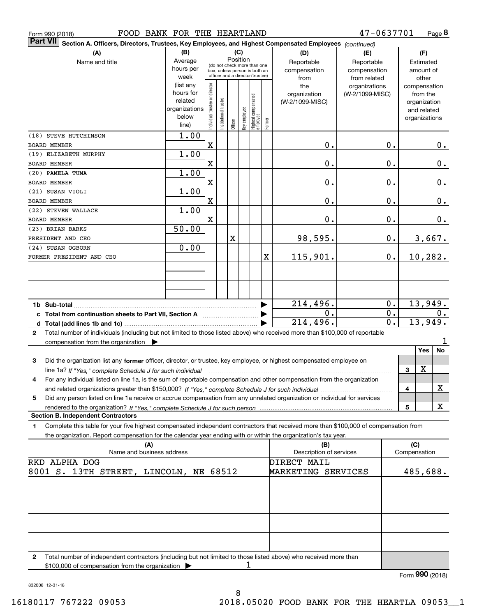| FOOD BANK FOR THE HEARTLAND<br>Form 990 (2018)                                                                                                                                                                                                                           |                                                                      |                                                                                                 |                            |         |                 |                                   |        |                                           | 47-0637701                                        |                  |                     | Page 8                                                                   |
|--------------------------------------------------------------------------------------------------------------------------------------------------------------------------------------------------------------------------------------------------------------------------|----------------------------------------------------------------------|-------------------------------------------------------------------------------------------------|----------------------------|---------|-----------------|-----------------------------------|--------|-------------------------------------------|---------------------------------------------------|------------------|---------------------|--------------------------------------------------------------------------|
| <b>Part VII</b><br>Section A. Officers, Directors, Trustees, Key Employees, and Highest Compensated Employees (continued)                                                                                                                                                |                                                                      |                                                                                                 |                            |         |                 |                                   |        |                                           |                                                   |                  |                     |                                                                          |
| (A)<br>Name and title                                                                                                                                                                                                                                                    | (B)<br>Average<br>hours per<br>week                                  | (do not check more than one<br>box, unless person is both an<br>officer and a director/trustee) |                            |         | (C)<br>Position |                                   |        | (D)<br>Reportable<br>compensation<br>from | (E)<br>Reportable<br>compensation<br>from related |                  |                     | (F)<br>Estimated<br>amount of<br>other                                   |
|                                                                                                                                                                                                                                                                          | (list any<br>hours for<br>related<br>organizations<br>below<br>line) | Individual trustee or director                                                                  | trustee<br>Institutional t | Officer | Key employee    | Highest compensated<br>  employee | Former | the<br>organization<br>(W-2/1099-MISC)    | organizations<br>(W-2/1099-MISC)                  |                  |                     | compensation<br>from the<br>organization<br>and related<br>organizations |
| (18) STEVE HUTCHINSON<br><b>BOARD MEMBER</b>                                                                                                                                                                                                                             | 1.00                                                                 | $\mathbf x$                                                                                     |                            |         |                 |                                   |        | 0.                                        |                                                   | 0.               |                     | 0.                                                                       |
| (19) ELIZABETH MURPHY                                                                                                                                                                                                                                                    | 1.00                                                                 |                                                                                                 |                            |         |                 |                                   |        |                                           |                                                   |                  |                     |                                                                          |
| <b>BOARD MEMBER</b>                                                                                                                                                                                                                                                      |                                                                      | $\mathbf X$                                                                                     |                            |         |                 |                                   |        | 0.                                        |                                                   | 0.               |                     | 0.                                                                       |
| (20) PAMELA TUMA<br><b>BOARD MEMBER</b>                                                                                                                                                                                                                                  | 1.00                                                                 | $\mathbf X$                                                                                     |                            |         |                 |                                   |        | 0.                                        |                                                   | 0.               |                     | 0.                                                                       |
| (21) SUSAN VIOLI                                                                                                                                                                                                                                                         | 1.00                                                                 |                                                                                                 |                            |         |                 |                                   |        |                                           |                                                   |                  |                     |                                                                          |
| <b>BOARD MEMBER</b>                                                                                                                                                                                                                                                      |                                                                      | $\mathbf x$                                                                                     |                            |         |                 |                                   |        | 0.                                        |                                                   | 0.               |                     | 0.                                                                       |
| (22) STEVEN WALLACE                                                                                                                                                                                                                                                      | 1.00                                                                 |                                                                                                 |                            |         |                 |                                   |        |                                           |                                                   |                  |                     |                                                                          |
| <b>BOARD MEMBER</b><br>(23) BRIAN BARKS                                                                                                                                                                                                                                  | 50.00                                                                | $\mathbf x$                                                                                     |                            |         |                 |                                   |        | 0.                                        |                                                   | 0.               |                     | 0.                                                                       |
| PRESIDENT AND CEO                                                                                                                                                                                                                                                        |                                                                      |                                                                                                 |                            | X       |                 |                                   |        | 98,595.                                   |                                                   | 0.               |                     | 3,667.                                                                   |
| (24) SUSAN OGBORN                                                                                                                                                                                                                                                        | 0.00                                                                 |                                                                                                 |                            |         |                 |                                   |        |                                           |                                                   |                  |                     |                                                                          |
| FORMER PRESIDENT AND CEO                                                                                                                                                                                                                                                 |                                                                      |                                                                                                 |                            |         |                 |                                   | X      | 115,901.                                  |                                                   | 0.               |                     | 10, 282.                                                                 |
|                                                                                                                                                                                                                                                                          |                                                                      |                                                                                                 |                            |         |                 |                                   |        |                                           |                                                   |                  |                     |                                                                          |
|                                                                                                                                                                                                                                                                          |                                                                      |                                                                                                 |                            |         |                 |                                   |        |                                           |                                                   |                  |                     |                                                                          |
|                                                                                                                                                                                                                                                                          |                                                                      |                                                                                                 |                            |         |                 |                                   |        | 214,496.                                  |                                                   | 0.               |                     | 13,949.                                                                  |
| c Total from continuation sheets to Part VII, Section A                                                                                                                                                                                                                  |                                                                      |                                                                                                 |                            |         |                 |                                   |        | 0.                                        |                                                   | 0.               |                     | 0.                                                                       |
|                                                                                                                                                                                                                                                                          |                                                                      |                                                                                                 |                            |         |                 |                                   |        | $\overline{214,496}$ .                    |                                                   | $\overline{0}$ . |                     | 13,949.                                                                  |
| Total number of individuals (including but not limited to those listed above) who received more than \$100,000 of reportable<br>2                                                                                                                                        |                                                                      |                                                                                                 |                            |         |                 |                                   |        |                                           |                                                   |                  |                     | ı                                                                        |
| compensation from the organization $\blacktriangleright$                                                                                                                                                                                                                 |                                                                      |                                                                                                 |                            |         |                 |                                   |        |                                           |                                                   |                  |                     | No<br>Yes                                                                |
| Did the organization list any former officer, director, or trustee, key employee, or highest compensated employee on<br>3                                                                                                                                                |                                                                      |                                                                                                 |                            |         |                 |                                   |        |                                           |                                                   |                  |                     |                                                                          |
| line 1a? If "Yes," complete Schedule J for such individual manufactured contained and the Ves," complete Schedule J for such individual<br>For any individual listed on line 1a, is the sum of reportable compensation and other compensation from the organization<br>4 |                                                                      |                                                                                                 |                            |         |                 |                                   |        |                                           |                                                   |                  | 3                   | х                                                                        |
|                                                                                                                                                                                                                                                                          |                                                                      |                                                                                                 |                            |         |                 |                                   |        |                                           |                                                   |                  | 4                   | x                                                                        |
| Did any person listed on line 1a receive or accrue compensation from any unrelated organization or individual for services<br>5                                                                                                                                          |                                                                      |                                                                                                 |                            |         |                 |                                   |        |                                           |                                                   |                  |                     |                                                                          |
| <b>Section B. Independent Contractors</b>                                                                                                                                                                                                                                |                                                                      |                                                                                                 |                            |         |                 |                                   |        |                                           |                                                   |                  | 5                   | x                                                                        |
| Complete this table for your five highest compensated independent contractors that received more than \$100,000 of compensation from<br>1                                                                                                                                |                                                                      |                                                                                                 |                            |         |                 |                                   |        |                                           |                                                   |                  |                     |                                                                          |
| the organization. Report compensation for the calendar year ending with or within the organization's tax year.                                                                                                                                                           |                                                                      |                                                                                                 |                            |         |                 |                                   |        |                                           |                                                   |                  |                     |                                                                          |
| (A)<br>Name and business address                                                                                                                                                                                                                                         |                                                                      |                                                                                                 |                            |         |                 |                                   |        | (B)<br>Description of services            |                                                   |                  | (C)<br>Compensation |                                                                          |
| RKD ALPHA DOG                                                                                                                                                                                                                                                            |                                                                      |                                                                                                 |                            |         |                 |                                   |        | DIRECT MAIL                               |                                                   |                  |                     |                                                                          |
| 8001 S. 13TH STREET, LINCOLN, NE 68512                                                                                                                                                                                                                                   |                                                                      |                                                                                                 |                            |         |                 |                                   |        | MARKETING SERVICES                        |                                                   |                  |                     | 485,688.                                                                 |
|                                                                                                                                                                                                                                                                          |                                                                      |                                                                                                 |                            |         |                 |                                   |        |                                           |                                                   |                  |                     |                                                                          |
|                                                                                                                                                                                                                                                                          |                                                                      |                                                                                                 |                            |         |                 |                                   |        |                                           |                                                   |                  |                     |                                                                          |
|                                                                                                                                                                                                                                                                          |                                                                      |                                                                                                 |                            |         |                 |                                   |        |                                           |                                                   |                  |                     |                                                                          |
|                                                                                                                                                                                                                                                                          |                                                                      |                                                                                                 |                            |         |                 |                                   |        |                                           |                                                   |                  |                     |                                                                          |
|                                                                                                                                                                                                                                                                          |                                                                      |                                                                                                 |                            |         |                 |                                   |        |                                           |                                                   |                  |                     |                                                                          |
| $\mathbf{2}$<br>Total number of independent contractors (including but not limited to those listed above) who received more than<br>\$100,000 of compensation from the organization                                                                                      |                                                                      |                                                                                                 |                            |         | 1               |                                   |        |                                           |                                                   |                  |                     |                                                                          |
|                                                                                                                                                                                                                                                                          |                                                                      |                                                                                                 |                            |         |                 |                                   |        |                                           |                                                   |                  |                     | Form 990 (2018)                                                          |

832008 12-31-18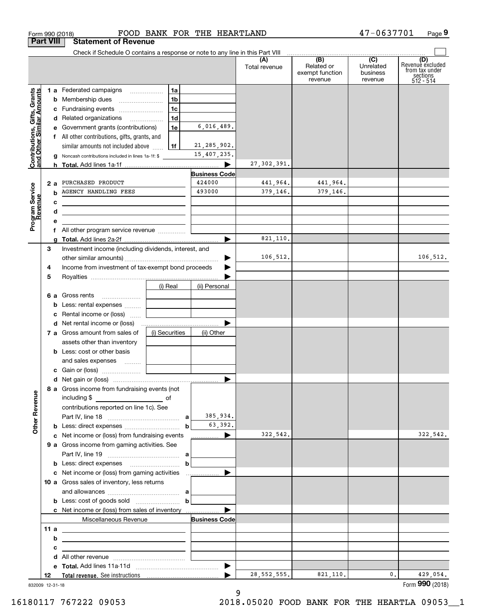|                                                           | <b>Part VIII</b> | <b>Statement of Revenue</b>                                                                                            |                |                |                      |                      |                            |                             |                                         |
|-----------------------------------------------------------|------------------|------------------------------------------------------------------------------------------------------------------------|----------------|----------------|----------------------|----------------------|----------------------------|-----------------------------|-----------------------------------------|
|                                                           |                  | Check if Schedule O contains a response or note to any line in this Part VIII                                          |                |                |                      | (A)<br>Total revenue | (B)<br>Related or          | $\overline{C}$<br>Unrelated | (D)<br>Revenuè excluded                 |
|                                                           |                  |                                                                                                                        |                |                |                      |                      | exempt function<br>revenue | business<br>revenue         | from tax under<br>sections<br>512 - 514 |
|                                                           |                  | 1 a Federated campaigns                                                                                                |                | 1a             |                      |                      |                            |                             |                                         |
|                                                           | b                | Membership dues                                                                                                        |                | 1b             |                      |                      |                            |                             |                                         |
|                                                           |                  | c Fundraising events                                                                                                   |                | 1c             |                      |                      |                            |                             |                                         |
|                                                           |                  | d Related organizations                                                                                                |                | 1 <sub>d</sub> |                      |                      |                            |                             |                                         |
|                                                           |                  | e Government grants (contributions)                                                                                    |                | 1e             | 6,016,489.           |                      |                            |                             |                                         |
|                                                           |                  | f All other contributions, gifts, grants, and                                                                          |                |                |                      |                      |                            |                             |                                         |
|                                                           |                  | similar amounts not included above                                                                                     |                | 1f             | 21, 285, 902.        |                      |                            |                             |                                         |
| Contributions, Gifts, Grants<br>and Other Similar Amounts | a                | Noncash contributions included in lines 1a-1f: \$                                                                      |                |                | 15,407,235.          |                      |                            |                             |                                         |
|                                                           | h                |                                                                                                                        |                |                |                      | 27, 302, 391.        |                            |                             |                                         |
|                                                           |                  |                                                                                                                        |                |                | <b>Business Code</b> |                      |                            |                             |                                         |
|                                                           | 2a               | PURCHASED PRODUCT                                                                                                      |                |                | 424000               | 441,964.             | 441,964.                   |                             |                                         |
|                                                           | b                | <b>AGENCY HANDLING FEES</b>                                                                                            |                |                | 493000               | 379,146.             | 379,146.                   |                             |                                         |
|                                                           | с                |                                                                                                                        |                |                |                      |                      |                            |                             |                                         |
|                                                           | d                | <u> 1989 - Johann Barbara, martxa alemaniar arg</u>                                                                    |                |                |                      |                      |                            |                             |                                         |
| Program Service<br>Revenue                                | е                |                                                                                                                        |                |                |                      |                      |                            |                             |                                         |
|                                                           |                  | f All other program service revenue                                                                                    |                |                |                      |                      |                            |                             |                                         |
|                                                           | a                |                                                                                                                        |                |                |                      | 821,110.             |                            |                             |                                         |
|                                                           | 3                | Investment income (including dividends, interest, and                                                                  |                |                |                      |                      |                            |                             |                                         |
|                                                           |                  |                                                                                                                        |                |                |                      | 106,512.             |                            |                             | 106, 512.                               |
|                                                           | 4                | Income from investment of tax-exempt bond proceeds                                                                     |                |                |                      |                      |                            |                             |                                         |
|                                                           | 5                |                                                                                                                        |                |                |                      |                      |                            |                             |                                         |
|                                                           |                  |                                                                                                                        | (i) Real       |                | (ii) Personal        |                      |                            |                             |                                         |
|                                                           |                  | 6 a Gross rents                                                                                                        |                |                |                      |                      |                            |                             |                                         |
|                                                           | b                | Less: rental expenses                                                                                                  |                |                |                      |                      |                            |                             |                                         |
|                                                           | с                | Rental income or (loss)                                                                                                |                |                |                      |                      |                            |                             |                                         |
|                                                           |                  |                                                                                                                        |                |                |                      |                      |                            |                             |                                         |
|                                                           |                  | 7 a Gross amount from sales of                                                                                         | (i) Securities |                | (ii) Other           |                      |                            |                             |                                         |
|                                                           |                  | assets other than inventory                                                                                            |                |                |                      |                      |                            |                             |                                         |
|                                                           |                  | <b>b</b> Less: cost or other basis                                                                                     |                |                |                      |                      |                            |                             |                                         |
|                                                           |                  | and sales expenses  [                                                                                                  |                |                |                      |                      |                            |                             |                                         |
|                                                           |                  |                                                                                                                        |                |                |                      |                      |                            |                             |                                         |
|                                                           |                  |                                                                                                                        |                |                |                      |                      |                            |                             |                                         |
|                                                           |                  | 8 a Gross income from fundraising events (not                                                                          |                |                |                      |                      |                            |                             |                                         |
| <b>Other Revenue</b>                                      |                  | including \$                                                                                                           |                |                |                      |                      |                            |                             |                                         |
|                                                           |                  | contributions reported on line 1c). See                                                                                |                |                |                      |                      |                            |                             |                                         |
|                                                           |                  |                                                                                                                        |                |                | 385,934.             |                      |                            |                             |                                         |
|                                                           |                  |                                                                                                                        |                | $\mathbf b$    | 63,392.              |                      |                            |                             |                                         |
|                                                           |                  | c Net income or (loss) from fundraising events                                                                         |                |                | <u></u> ▶            | 322,542.             |                            |                             | 322,542.                                |
|                                                           |                  | 9 a Gross income from gaming activities. See                                                                           |                |                |                      |                      |                            |                             |                                         |
|                                                           |                  |                                                                                                                        |                |                |                      |                      |                            |                             |                                         |
|                                                           |                  |                                                                                                                        |                | $\mathbf b$    |                      |                      |                            |                             |                                         |
|                                                           |                  |                                                                                                                        |                |                |                      |                      |                            |                             |                                         |
|                                                           |                  | 10 a Gross sales of inventory, less returns                                                                            |                |                |                      |                      |                            |                             |                                         |
|                                                           |                  |                                                                                                                        |                |                |                      |                      |                            |                             |                                         |
|                                                           |                  | <b>b</b> Less: cost of goods sold $\begin{bmatrix} b & b \end{bmatrix}$                                                |                |                |                      |                      |                            |                             |                                         |
|                                                           |                  |                                                                                                                        |                |                |                      |                      |                            |                             |                                         |
|                                                           |                  | Miscellaneous Revenue                                                                                                  |                |                | <b>Business Code</b> |                      |                            |                             |                                         |
|                                                           | 11 a             |                                                                                                                        |                |                |                      |                      |                            |                             |                                         |
|                                                           | b                | <u> 1980 - Jan Sterling and Sterling and Sterling and Sterling and Sterling and Sterling and Sterling and Sterling</u> |                |                |                      |                      |                            |                             |                                         |
|                                                           | с                | <u> 1989 - Jan Sterling von Berger von Berger von Berger von Berger von Berger von Berger von Berger von Berger</u>    |                |                |                      |                      |                            |                             |                                         |
|                                                           | d                |                                                                                                                        |                |                |                      |                      |                            |                             |                                         |
|                                                           |                  |                                                                                                                        |                |                |                      |                      |                            |                             |                                         |
|                                                           | 12               |                                                                                                                        |                |                |                      | 28, 552, 555.        | 821,110.                   | 0.                          | 429,054.                                |
|                                                           | 832009 12-31-18  |                                                                                                                        |                |                |                      |                      |                            |                             | Form 990 (2018)                         |

Form 990 (2018) FOOD BANK FOR THE HEARTLAND 4) 一0 6 3 / / 0 L Page

FOOD BANK FOR THE HEARTLAND

**9**

47-0637701

832009 12-31-18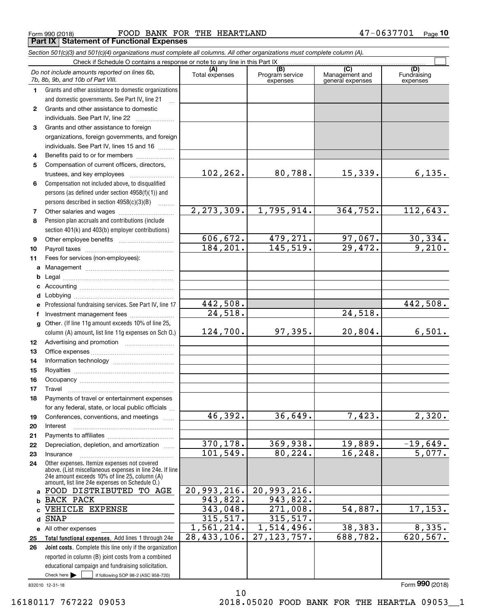Form 990 (2018) Page **Part IX Statement of Functional Expenses** FOOD BANK FOR THE HEARTLAND 47-0637701

*Section 501(c)(3) and 501(c)(4) organizations must complete all columns. All other organizations must complete column (A).*

|              | Do not include amounts reported on lines 6b,<br>7b, 8b, 9b, and 10b of Part VIII.               | (A)<br>Total expenses | (B)<br>Program service<br>expenses | $\overline{C}$<br>Management and<br>general expenses | (D)<br>Fundraising<br>expenses |  |  |  |  |
|--------------|-------------------------------------------------------------------------------------------------|-----------------------|------------------------------------|------------------------------------------------------|--------------------------------|--|--|--|--|
| 1.           | Grants and other assistance to domestic organizations                                           |                       |                                    |                                                      |                                |  |  |  |  |
|              | and domestic governments. See Part IV, line 21                                                  |                       |                                    |                                                      |                                |  |  |  |  |
| $\mathbf{2}$ | Grants and other assistance to domestic                                                         |                       |                                    |                                                      |                                |  |  |  |  |
|              | individuals. See Part IV, line 22                                                               |                       |                                    |                                                      |                                |  |  |  |  |
| 3            | Grants and other assistance to foreign                                                          |                       |                                    |                                                      |                                |  |  |  |  |
|              | organizations, foreign governments, and foreign                                                 |                       |                                    |                                                      |                                |  |  |  |  |
|              | individuals. See Part IV, lines 15 and 16                                                       |                       |                                    |                                                      |                                |  |  |  |  |
| 4            | Benefits paid to or for members                                                                 |                       |                                    |                                                      |                                |  |  |  |  |
| 5            | Compensation of current officers, directors,                                                    |                       |                                    |                                                      |                                |  |  |  |  |
|              | trustees, and key employees                                                                     | 102,262.              | 80,788.                            | 15,339.                                              | 6,135.                         |  |  |  |  |
| 6            | Compensation not included above, to disqualified                                                |                       |                                    |                                                      |                                |  |  |  |  |
|              | persons (as defined under section 4958(f)(1)) and                                               |                       |                                    |                                                      |                                |  |  |  |  |
|              | persons described in section 4958(c)(3)(B)                                                      |                       |                                    |                                                      |                                |  |  |  |  |
| 7            |                                                                                                 | 2, 273, 309.          | 1,795,914.                         | 364,752.                                             | 112,643.                       |  |  |  |  |
| 8            | Pension plan accruals and contributions (include                                                |                       |                                    |                                                      |                                |  |  |  |  |
|              | section 401(k) and 403(b) employer contributions)                                               |                       |                                    |                                                      |                                |  |  |  |  |
| 9            |                                                                                                 | 606,672.              | $\frac{479,271.}{145,519.}$        | 97,067.                                              | $\frac{30,334}{9,210}$ .       |  |  |  |  |
| 10           |                                                                                                 | 184, 201.             |                                    | $\overline{29,472.}$                                 |                                |  |  |  |  |
| 11           | Fees for services (non-employees):                                                              |                       |                                    |                                                      |                                |  |  |  |  |
| a            |                                                                                                 |                       |                                    |                                                      |                                |  |  |  |  |
| b            |                                                                                                 |                       |                                    |                                                      |                                |  |  |  |  |
| c            |                                                                                                 |                       |                                    |                                                      |                                |  |  |  |  |
| d            |                                                                                                 |                       |                                    |                                                      |                                |  |  |  |  |
| е            | Professional fundraising services. See Part IV, line 17                                         | 442,508.              |                                    |                                                      | 442,508.                       |  |  |  |  |
| f            | Investment management fees                                                                      | 24,518.               |                                    | 24,518.                                              |                                |  |  |  |  |
| g            | Other. (If line 11g amount exceeds 10% of line 25,                                              |                       |                                    |                                                      |                                |  |  |  |  |
|              | column (A) amount, list line 11g expenses on Sch O.)                                            | 124,700.              | 97,395.                            | 20,804.                                              | 6,501.                         |  |  |  |  |
| 12           |                                                                                                 |                       |                                    |                                                      |                                |  |  |  |  |
| 13           |                                                                                                 |                       |                                    |                                                      |                                |  |  |  |  |
| 14           |                                                                                                 |                       |                                    |                                                      |                                |  |  |  |  |
| 15           |                                                                                                 |                       |                                    |                                                      |                                |  |  |  |  |
| 16           |                                                                                                 |                       |                                    |                                                      |                                |  |  |  |  |
| 17           | Travel                                                                                          |                       |                                    |                                                      |                                |  |  |  |  |
| 18           | Payments of travel or entertainment expenses                                                    |                       |                                    |                                                      |                                |  |  |  |  |
|              | for any federal, state, or local public officials                                               | 46,392.               | 36,649.                            | 7,423.                                               | 2,320.                         |  |  |  |  |
| 19           | Conferences, conventions, and meetings                                                          |                       |                                    |                                                      |                                |  |  |  |  |
| 20           | Interest                                                                                        |                       |                                    |                                                      |                                |  |  |  |  |
| 21           | Depreciation, depletion, and amortization                                                       | 370, 178.             | 369,938.                           | 19,889.                                              | $-19,649.$                     |  |  |  |  |
| 22<br>23     | Insurance                                                                                       | 101, 549.             | 80, 224.                           | 16, 248.                                             | 5,077.                         |  |  |  |  |
| 24           | Other expenses. Itemize expenses not covered                                                    |                       |                                    |                                                      |                                |  |  |  |  |
|              | above. (List miscellaneous expenses in line 24e. If line                                        |                       |                                    |                                                      |                                |  |  |  |  |
|              | 24e amount exceeds 10% of line 25, column (A)<br>amount, list line 24e expenses on Schedule O.) |                       |                                    |                                                      |                                |  |  |  |  |
| a            | FOOD DISTRIBUTED TO AGE                                                                         | 20,993,216.           | 20,993,216.                        |                                                      |                                |  |  |  |  |
| b            | <b>BACK PACK</b>                                                                                | 943,822.              | 943,822.                           |                                                      |                                |  |  |  |  |
|              | VEHICLE EXPENSE                                                                                 | 343,048.              | 271,008.                           | 54,887.                                              | 17, 153.                       |  |  |  |  |
| d            | <b>SNAP</b>                                                                                     | 315,517.              | 315, 517.                          |                                                      |                                |  |  |  |  |
|              | e All other expenses                                                                            | 1,561,214.            | 1,514,496.                         | 38,383.                                              | 8,335.                         |  |  |  |  |
| 25           | Total functional expenses. Add lines 1 through 24e                                              | 28, 433, 106.         | 27, 123, 757.                      | 688,782.                                             | 620, 567.                      |  |  |  |  |
| 26           | Joint costs. Complete this line only if the organization                                        |                       |                                    |                                                      |                                |  |  |  |  |
|              | reported in column (B) joint costs from a combined                                              |                       |                                    |                                                      |                                |  |  |  |  |
|              | educational campaign and fundraising solicitation.                                              |                       |                                    |                                                      |                                |  |  |  |  |
|              | Check here $\blacktriangleright$<br>if following SOP 98-2 (ASC 958-720)                         |                       |                                    |                                                      |                                |  |  |  |  |

10

832010 12-31-18

16180117 767222 09053 2018.05020 FOOD BANK FOR THE HEARTLA 09053\_\_1

Form (2018) **990**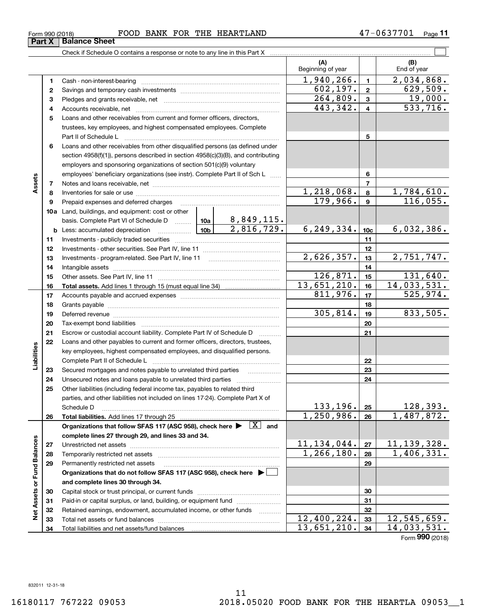#### Form 990 (2018) FOOD BANK FOR THE HEARTLAND 4 7-0 6 3 7 7 0 1 Page

**11**

 $\overline{\Box}$ 

|                             |    | Check if Schedule O contains a response or note to any line in this Part X                                                                                                                                                    |            |                          |                          |                |                             |
|-----------------------------|----|-------------------------------------------------------------------------------------------------------------------------------------------------------------------------------------------------------------------------------|------------|--------------------------|--------------------------|----------------|-----------------------------|
|                             |    |                                                                                                                                                                                                                               |            |                          | (A)<br>Beginning of year |                | (B)<br>End of year          |
|                             | 1  |                                                                                                                                                                                                                               |            |                          | 1,940,266.               | $\mathbf{1}$   | 2,034,868.                  |
|                             | 2  |                                                                                                                                                                                                                               |            |                          | 602, 197.                | $\overline{2}$ | 629,509.                    |
|                             | З  |                                                                                                                                                                                                                               |            |                          | 264,809.                 | $\mathbf{3}$   | 19,000.                     |
|                             | 4  |                                                                                                                                                                                                                               |            |                          | 443,342.                 | $\overline{4}$ | 533,716.                    |
|                             | 5  | Loans and other receivables from current and former officers, directors,                                                                                                                                                      |            |                          |                          |                |                             |
|                             |    | trustees, key employees, and highest compensated employees. Complete                                                                                                                                                          |            |                          |                          |                |                             |
|                             |    | Part II of Schedule L                                                                                                                                                                                                         |            |                          |                          | 5              |                             |
|                             | 6  | Loans and other receivables from other disqualified persons (as defined under                                                                                                                                                 |            |                          |                          |                |                             |
|                             |    | section 4958(f)(1)), persons described in section 4958(c)(3)(B), and contributing                                                                                                                                             |            |                          |                          |                |                             |
|                             |    | employers and sponsoring organizations of section 501(c)(9) voluntary                                                                                                                                                         |            |                          |                          |                |                             |
|                             |    | employees' beneficiary organizations (see instr). Complete Part II of Sch L                                                                                                                                                   |            |                          |                          | 6              |                             |
| Assets                      | 7  |                                                                                                                                                                                                                               |            |                          |                          | $\overline{7}$ |                             |
|                             | 8  |                                                                                                                                                                                                                               |            |                          | 1,218,068.               | 8              | 1,784,610.                  |
|                             | 9  | Prepaid expenses and deferred charges                                                                                                                                                                                         |            |                          | 179,966.                 | $\mathbf{9}$   | 116,055.                    |
|                             |    | 10a Land, buildings, and equipment: cost or other                                                                                                                                                                             |            |                          |                          |                |                             |
|                             |    | basis. Complete Part VI of Schedule D  10a                                                                                                                                                                                    |            | 8,849,115.<br>2,816,729. |                          |                |                             |
|                             |    | <u>  10b</u><br><b>b</b> Less: accumulated depreciation                                                                                                                                                                       | 6,249,334. | 10 <sub>c</sub>          | 6,032,386.               |                |                             |
|                             | 11 |                                                                                                                                                                                                                               |            | 11                       |                          |                |                             |
|                             | 12 |                                                                                                                                                                                                                               |            |                          |                          | 12             |                             |
|                             | 13 |                                                                                                                                                                                                                               |            |                          | 2,626,357.               | 13             | 2,751,747.                  |
|                             | 14 |                                                                                                                                                                                                                               |            |                          | 14                       |                |                             |
|                             | 15 |                                                                                                                                                                                                                               |            |                          | 126,871.                 | 15             | 131,640.                    |
|                             | 16 |                                                                                                                                                                                                                               |            |                          | 13,651,210.              | 16             | 14,033,531.                 |
|                             | 17 |                                                                                                                                                                                                                               |            | 811,976.                 | 17                       | 525,974.       |                             |
|                             | 18 |                                                                                                                                                                                                                               |            | 18                       |                          |                |                             |
|                             | 19 | Deferred revenue manual contracts and contracts are all the manual contracts and contracts are all the contracts of the contracts of the contracts of the contracts of the contracts of the contracts of the contracts of the |            |                          | 305,814.                 | 19             | 833,505.                    |
|                             | 20 |                                                                                                                                                                                                                               |            |                          |                          | 20             |                             |
|                             | 21 | Escrow or custodial account liability. Complete Part IV of Schedule D                                                                                                                                                         |            | 1.1.1.1.1.1.1.1.1.1      |                          | 21             |                             |
|                             | 22 | Loans and other payables to current and former officers, directors, trustees,                                                                                                                                                 |            |                          |                          |                |                             |
| Liabilities                 |    | key employees, highest compensated employees, and disqualified persons.                                                                                                                                                       |            |                          |                          |                |                             |
|                             |    | Complete Part II of Schedule L                                                                                                                                                                                                |            |                          |                          | 22             |                             |
|                             | 23 | Secured mortgages and notes payable to unrelated third parties                                                                                                                                                                |            |                          |                          | 23             |                             |
|                             | 24 |                                                                                                                                                                                                                               |            |                          |                          | 24             |                             |
|                             | 25 | Other liabilities (including federal income tax, payables to related third                                                                                                                                                    |            |                          |                          |                |                             |
|                             |    | parties, and other liabilities not included on lines 17-24). Complete Part X of                                                                                                                                               |            |                          | 133,196.                 | 25             | 128, 393.                   |
|                             | 26 | Schedule D<br>Total liabilities. Add lines 17 through 25                                                                                                                                                                      |            |                          | 1, 250, 986.             | 26             | 1,487,872.                  |
|                             |    | Organizations that follow SFAS 117 (ASC 958), check here $\blacktriangleright \boxed{X}$ and                                                                                                                                  |            |                          |                          |                |                             |
|                             |    | complete lines 27 through 29, and lines 33 and 34.                                                                                                                                                                            |            |                          |                          |                |                             |
|                             | 27 | Unrestricted net assets                                                                                                                                                                                                       |            |                          | 11, 134, 044.            | 27             | 11, 139, 328.               |
|                             | 28 | Temporarily restricted net assets                                                                                                                                                                                             |            |                          | 1, 266, 180.             | 28             | 1,406,331.                  |
|                             | 29 | Permanently restricted net assets                                                                                                                                                                                             |            |                          |                          | 29             |                             |
|                             |    | Organizations that do not follow SFAS 117 (ASC 958), check here ▶                                                                                                                                                             |            |                          |                          |                |                             |
|                             |    | and complete lines 30 through 34.                                                                                                                                                                                             |            |                          |                          |                |                             |
| Net Assets or Fund Balances | 30 |                                                                                                                                                                                                                               |            |                          | 30                       |                |                             |
|                             | 31 | Paid-in or capital surplus, or land, building, or equipment fund                                                                                                                                                              |            |                          |                          | 31             |                             |
|                             | 32 | Retained earnings, endowment, accumulated income, or other funds                                                                                                                                                              |            | 1.1.1.1.1.1.1.1.1        |                          | 32             |                             |
|                             | 33 | Total net assets or fund balances                                                                                                                                                                                             |            |                          | 12,400,224.              | 33             | $\overline{12}$ , 545, 659. |
|                             | 34 | Total liabilities and net assets/fund balances                                                                                                                                                                                |            |                          | 13,651,210.              | 34             | 14,033,531.                 |
|                             |    |                                                                                                                                                                                                                               |            |                          |                          |                | $000$ $(0010)$              |

Form (2018) **990**

#### 11 16180117 767222 09053 2018.05020 FOOD BANK FOR THE HEARTLA 09053\_\_1

#### 832011 12-31-18

**Part X Balance Sheet**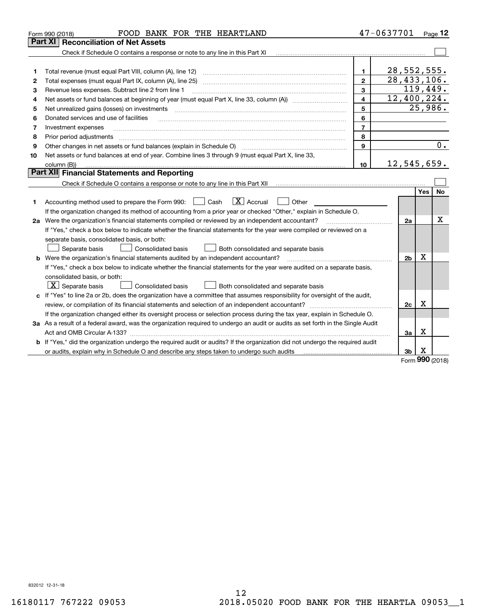|    | FOOD BANK FOR THE HEARTLAND<br>Form 990 (2018)                                                                                  |                | 47-0637701     |                      | Page $12$ |
|----|---------------------------------------------------------------------------------------------------------------------------------|----------------|----------------|----------------------|-----------|
|    | Part XI<br><b>Reconciliation of Net Assets</b>                                                                                  |                |                |                      |           |
|    | Check if Schedule O contains a response or note to any line in this Part XI                                                     |                |                |                      |           |
|    |                                                                                                                                 |                |                |                      |           |
| 1  |                                                                                                                                 | $\mathbf{1}$   | $28,552,555$ . |                      |           |
| 2  | Total expenses (must equal Part IX, column (A), line 25)                                                                        | $\overline{2}$ | 28,433,106.    |                      |           |
| 3  | Revenue less expenses. Subtract line 2 from line 1                                                                              | 3              |                |                      | 119,449.  |
| 4  |                                                                                                                                 | 4              | 12,400,224.    |                      |           |
| 5  | Net unrealized gains (losses) on investments                                                                                    |                |                | $\overline{2}5,986.$ |           |
| 6  | Donated services and use of facilities                                                                                          | 6              |                |                      |           |
| 7  | Investment expenses                                                                                                             | $\overline{7}$ |                |                      |           |
| 8  | Prior period adjustments                                                                                                        | 8              |                |                      |           |
| 9  | Other changes in net assets or fund balances (explain in Schedule O)                                                            | 9              |                |                      | 0.        |
| 10 | Net assets or fund balances at end of year. Combine lines 3 through 9 (must equal Part X, line 33,                              |                |                |                      |           |
|    | column (B))                                                                                                                     | 10             | 12,545,659.    |                      |           |
|    | Part XII Financial Statements and Reporting                                                                                     |                |                |                      |           |
|    |                                                                                                                                 |                |                |                      |           |
|    |                                                                                                                                 |                |                | Yes                  | No        |
| 1  | $\boxed{\mathbf{X}}$ Accrual<br>Accounting method used to prepare the Form 990: <u>June</u> Cash<br>Other                       |                |                |                      |           |
|    | If the organization changed its method of accounting from a prior year or checked "Other," explain in Schedule O.               |                |                |                      |           |
|    | 2a Were the organization's financial statements compiled or reviewed by an independent accountant?                              |                | 2a             |                      | х         |
|    | If "Yes," check a box below to indicate whether the financial statements for the year were compiled or reviewed on a            |                |                |                      |           |
|    | separate basis, consolidated basis, or both:                                                                                    |                |                |                      |           |
|    | Separate basis<br>Consolidated basis<br>Both consolidated and separate basis                                                    |                |                |                      |           |
|    | <b>b</b> Were the organization's financial statements audited by an independent accountant?                                     |                | 2 <sub>b</sub> | x                    |           |
|    | If "Yes," check a box below to indicate whether the financial statements for the year were audited on a separate basis,         |                |                |                      |           |
|    | consolidated basis, or both:                                                                                                    |                |                |                      |           |
|    | $ \mathbf{X} $ Separate basis<br>Consolidated basis<br>Both consolidated and separate basis                                     |                |                |                      |           |
|    | c If "Yes" to line 2a or 2b, does the organization have a committee that assumes responsibility for oversight of the audit,     |                |                |                      |           |
|    | review, or compilation of its financial statements and selection of an independent accountant?                                  |                | 2c             | X                    |           |
|    | If the organization changed either its oversight process or selection process during the tax year, explain in Schedule O.       |                |                |                      |           |
|    | 3a As a result of a federal award, was the organization required to undergo an audit or audits as set forth in the Single Audit |                |                |                      |           |
|    |                                                                                                                                 |                | 3a             | х                    |           |
|    | b If "Yes," did the organization undergo the required audit or audits? If the organization did not undergo the required audit   |                |                |                      |           |
|    |                                                                                                                                 |                | 3b             | X<br>nnn             |           |

Form (2018) **990**

832012 12-31-18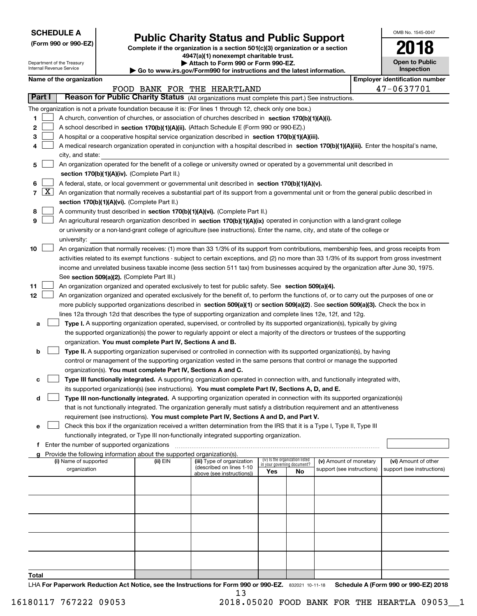| <b>SCHEDULE A</b> |
|-------------------|
|-------------------|

Department of the Treasury

**(Form 990 or 990-EZ)**

# **Public Charity Status and Public Support**

**Complete if the organization is a section 501(c)(3) organization or a section 4947(a)(1) nonexempt charitable trust. | Attach to Form 990 or Form 990-EZ.** 

| $\triangleright$ Allach to Form occurs the children EL.<br>www.irs.gov/Eorm990 for instructions and the latest information |  |  |  |  |  |
|----------------------------------------------------------------------------------------------------------------------------|--|--|--|--|--|
|                                                                                                                            |  |  |  |  |  |

| <b>Inspection</b>                 |  |
|-----------------------------------|--|
| Face Lesson identification proved |  |

OMB No. 1545-0047

**Open to Public**

**2018**

|                 |            | nternal Revenue Service                                                                                                                   |                                             |                                                                                                           | $\blacktriangleright$ Go to www.irs.gov/Form990 for instructions and the latest information.                                                  |                             |                                 |                            |  | <b>Inspection</b>                     |  |  |  |
|-----------------|------------|-------------------------------------------------------------------------------------------------------------------------------------------|---------------------------------------------|-----------------------------------------------------------------------------------------------------------|-----------------------------------------------------------------------------------------------------------------------------------------------|-----------------------------|---------------------------------|----------------------------|--|---------------------------------------|--|--|--|
|                 |            | Name of the organization                                                                                                                  |                                             |                                                                                                           |                                                                                                                                               |                             |                                 |                            |  | <b>Employer identification number</b> |  |  |  |
|                 |            |                                                                                                                                           |                                             |                                                                                                           | FOOD BANK FOR THE HEARTLAND                                                                                                                   |                             |                                 |                            |  | 47-0637701                            |  |  |  |
|                 | Part I     |                                                                                                                                           |                                             |                                                                                                           | Reason for Public Charity Status (All organizations must complete this part.) See instructions.                                               |                             |                                 |                            |  |                                       |  |  |  |
|                 |            |                                                                                                                                           |                                             | The organization is not a private foundation because it is: (For lines 1 through 12, check only one box.) |                                                                                                                                               |                             |                                 |                            |  |                                       |  |  |  |
| 1.              |            |                                                                                                                                           |                                             |                                                                                                           | A church, convention of churches, or association of churches described in section 170(b)(1)(A)(i).                                            |                             |                                 |                            |  |                                       |  |  |  |
| $\mathbf{2}$    |            |                                                                                                                                           |                                             |                                                                                                           | A school described in section 170(b)(1)(A)(ii). (Attach Schedule E (Form 990 or 990-EZ).)                                                     |                             |                                 |                            |  |                                       |  |  |  |
| 3               |            |                                                                                                                                           |                                             |                                                                                                           | A hospital or a cooperative hospital service organization described in section 170(b)(1)(A)(iii).                                             |                             |                                 |                            |  |                                       |  |  |  |
| 4               |            |                                                                                                                                           |                                             |                                                                                                           | A medical research organization operated in conjunction with a hospital described in section 170(b)(1)(A)(iii). Enter the hospital's name,    |                             |                                 |                            |  |                                       |  |  |  |
|                 |            | city, and state:                                                                                                                          |                                             |                                                                                                           |                                                                                                                                               |                             |                                 |                            |  |                                       |  |  |  |
| 5               |            |                                                                                                                                           |                                             |                                                                                                           | An organization operated for the benefit of a college or university owned or operated by a governmental unit described in                     |                             |                                 |                            |  |                                       |  |  |  |
|                 |            |                                                                                                                                           |                                             | section 170(b)(1)(A)(iv). (Complete Part II.)                                                             |                                                                                                                                               |                             |                                 |                            |  |                                       |  |  |  |
| 6               |            |                                                                                                                                           |                                             |                                                                                                           | A federal, state, or local government or governmental unit described in section 170(b)(1)(A)(v).                                              |                             |                                 |                            |  |                                       |  |  |  |
|                 | $7 \times$ | An organization that normally receives a substantial part of its support from a governmental unit or from the general public described in |                                             |                                                                                                           |                                                                                                                                               |                             |                                 |                            |  |                                       |  |  |  |
|                 |            |                                                                                                                                           |                                             | section 170(b)(1)(A)(vi). (Complete Part II.)                                                             |                                                                                                                                               |                             |                                 |                            |  |                                       |  |  |  |
| 8               |            |                                                                                                                                           |                                             |                                                                                                           | A community trust described in section 170(b)(1)(A)(vi). (Complete Part II.)                                                                  |                             |                                 |                            |  |                                       |  |  |  |
| 9               |            |                                                                                                                                           |                                             |                                                                                                           | An agricultural research organization described in section 170(b)(1)(A)(ix) operated in conjunction with a land-grant college                 |                             |                                 |                            |  |                                       |  |  |  |
|                 |            |                                                                                                                                           |                                             |                                                                                                           | or university or a non-land-grant college of agriculture (see instructions). Enter the name, city, and state of the college or                |                             |                                 |                            |  |                                       |  |  |  |
|                 |            | university:                                                                                                                               |                                             |                                                                                                           |                                                                                                                                               |                             |                                 |                            |  |                                       |  |  |  |
| 10              |            |                                                                                                                                           |                                             |                                                                                                           | An organization that normally receives: (1) more than 33 1/3% of its support from contributions, membership fees, and gross receipts from     |                             |                                 |                            |  |                                       |  |  |  |
|                 |            |                                                                                                                                           |                                             |                                                                                                           | activities related to its exempt functions - subject to certain exceptions, and (2) no more than 33 1/3% of its support from gross investment |                             |                                 |                            |  |                                       |  |  |  |
|                 |            |                                                                                                                                           |                                             |                                                                                                           | income and unrelated business taxable income (less section 511 tax) from businesses acquired by the organization after June 30, 1975.         |                             |                                 |                            |  |                                       |  |  |  |
|                 |            |                                                                                                                                           |                                             | See section 509(a)(2). (Complete Part III.)                                                               |                                                                                                                                               |                             |                                 |                            |  |                                       |  |  |  |
| 11              |            |                                                                                                                                           |                                             |                                                                                                           | An organization organized and operated exclusively to test for public safety. See section 509(a)(4).                                          |                             |                                 |                            |  |                                       |  |  |  |
| 12 <sub>2</sub> |            |                                                                                                                                           |                                             |                                                                                                           | An organization organized and operated exclusively for the benefit of, to perform the functions of, or to carry out the purposes of one or    |                             |                                 |                            |  |                                       |  |  |  |
|                 |            |                                                                                                                                           |                                             |                                                                                                           | more publicly supported organizations described in section 509(a)(1) or section 509(a)(2). See section 509(a)(3). Check the box in            |                             |                                 |                            |  |                                       |  |  |  |
|                 |            |                                                                                                                                           |                                             |                                                                                                           | lines 12a through 12d that describes the type of supporting organization and complete lines 12e, 12f, and 12g.                                |                             |                                 |                            |  |                                       |  |  |  |
| а               |            |                                                                                                                                           |                                             |                                                                                                           | Type I. A supporting organization operated, supervised, or controlled by its supported organization(s), typically by giving                   |                             |                                 |                            |  |                                       |  |  |  |
|                 |            |                                                                                                                                           |                                             |                                                                                                           | the supported organization(s) the power to regularly appoint or elect a majority of the directors or trustees of the supporting               |                             |                                 |                            |  |                                       |  |  |  |
|                 |            |                                                                                                                                           |                                             | organization. You must complete Part IV, Sections A and B.                                                |                                                                                                                                               |                             |                                 |                            |  |                                       |  |  |  |
| b               |            |                                                                                                                                           |                                             |                                                                                                           | Type II. A supporting organization supervised or controlled in connection with its supported organization(s), by having                       |                             |                                 |                            |  |                                       |  |  |  |
|                 |            |                                                                                                                                           |                                             |                                                                                                           | control or management of the supporting organization vested in the same persons that control or manage the supported                          |                             |                                 |                            |  |                                       |  |  |  |
|                 |            |                                                                                                                                           |                                             | organization(s). You must complete Part IV, Sections A and C.                                             |                                                                                                                                               |                             |                                 |                            |  |                                       |  |  |  |
| с               |            |                                                                                                                                           |                                             |                                                                                                           | Type III functionally integrated. A supporting organization operated in connection with, and functionally integrated with,                    |                             |                                 |                            |  |                                       |  |  |  |
|                 |            |                                                                                                                                           |                                             |                                                                                                           | its supported organization(s) (see instructions). You must complete Part IV, Sections A, D, and E.                                            |                             |                                 |                            |  |                                       |  |  |  |
| d               |            |                                                                                                                                           |                                             |                                                                                                           | Type III non-functionally integrated. A supporting organization operated in connection with its supported organization(s)                     |                             |                                 |                            |  |                                       |  |  |  |
|                 |            |                                                                                                                                           |                                             |                                                                                                           | that is not functionally integrated. The organization generally must satisfy a distribution requirement and an attentiveness                  |                             |                                 |                            |  |                                       |  |  |  |
|                 |            |                                                                                                                                           |                                             |                                                                                                           | requirement (see instructions). You must complete Part IV, Sections A and D, and Part V.                                                      |                             |                                 |                            |  |                                       |  |  |  |
| е               |            |                                                                                                                                           |                                             |                                                                                                           | Check this box if the organization received a written determination from the IRS that it is a Type I, Type II, Type III                       |                             |                                 |                            |  |                                       |  |  |  |
|                 |            |                                                                                                                                           |                                             | functionally integrated, or Type III non-functionally integrated supporting organization.                 |                                                                                                                                               |                             |                                 |                            |  |                                       |  |  |  |
| f               |            |                                                                                                                                           | Enter the number of supported organizations |                                                                                                           |                                                                                                                                               |                             |                                 |                            |  |                                       |  |  |  |
|                 |            |                                                                                                                                           |                                             | Provide the following information about the supported organization(s).                                    |                                                                                                                                               |                             |                                 |                            |  |                                       |  |  |  |
|                 |            | (i) Name of supported                                                                                                                     |                                             | (ii) EIN                                                                                                  | (iii) Type of organization<br>(described on lines 1-10                                                                                        | in your governing document? | (iv) Is the organization listed | (v) Amount of monetary     |  | (vi) Amount of other                  |  |  |  |
|                 |            | organization                                                                                                                              |                                             |                                                                                                           | above (see instructions))                                                                                                                     | Yes                         | No                              | support (see instructions) |  | support (see instructions)            |  |  |  |
|                 |            |                                                                                                                                           |                                             |                                                                                                           |                                                                                                                                               |                             |                                 |                            |  |                                       |  |  |  |
|                 |            |                                                                                                                                           |                                             |                                                                                                           |                                                                                                                                               |                             |                                 |                            |  |                                       |  |  |  |
|                 |            |                                                                                                                                           |                                             |                                                                                                           |                                                                                                                                               |                             |                                 |                            |  |                                       |  |  |  |
|                 |            |                                                                                                                                           |                                             |                                                                                                           |                                                                                                                                               |                             |                                 |                            |  |                                       |  |  |  |
|                 |            |                                                                                                                                           |                                             |                                                                                                           |                                                                                                                                               |                             |                                 |                            |  |                                       |  |  |  |
|                 |            |                                                                                                                                           |                                             |                                                                                                           |                                                                                                                                               |                             |                                 |                            |  |                                       |  |  |  |
|                 |            |                                                                                                                                           |                                             |                                                                                                           |                                                                                                                                               |                             |                                 |                            |  |                                       |  |  |  |
|                 |            |                                                                                                                                           |                                             |                                                                                                           |                                                                                                                                               |                             |                                 |                            |  |                                       |  |  |  |
|                 |            |                                                                                                                                           |                                             |                                                                                                           |                                                                                                                                               |                             |                                 |                            |  |                                       |  |  |  |
|                 |            |                                                                                                                                           |                                             |                                                                                                           |                                                                                                                                               |                             |                                 |                            |  |                                       |  |  |  |
| Total           |            |                                                                                                                                           |                                             |                                                                                                           |                                                                                                                                               |                             |                                 |                            |  |                                       |  |  |  |

LHA For Paperwork Reduction Act Notice, see the Instructions for Form 990 or 990-EZ. 832021 10-11-18 Schedule A (Form 990 or 990-EZ) 2018 13

16180117 767222 09053 2018.05020 FOOD BANK FOR THE HEARTLA 09053\_\_1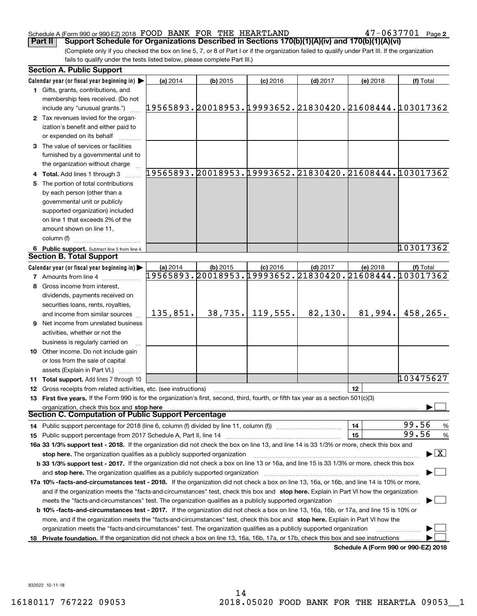#### Schedule A (Form 990 or 990-EZ) 2018 Page FOOD BANK FOR THE HEARTLAND 47-0637701

**Part II Support Schedule for Organizations Described in Sections 170(b)(1)(A)(iv) and 170(b)(1)(A)(vi)** 

**2**

(Complete only if you checked the box on line 5, 7, or 8 of Part I or if the organization failed to qualify under Part III. If the organization fails to qualify under the tests listed below, please complete Part III.)

|    | <b>Section A. Public Support</b>                                                                                                               |          |            |            |            |                                      |                                                                     |
|----|------------------------------------------------------------------------------------------------------------------------------------------------|----------|------------|------------|------------|--------------------------------------|---------------------------------------------------------------------|
|    | Calendar year (or fiscal year beginning in) $\blacktriangleright$                                                                              | (a) 2014 | $(b)$ 2015 | $(c)$ 2016 | $(d)$ 2017 | (e) 2018                             | (f) Total                                                           |
|    | 1 Gifts, grants, contributions, and                                                                                                            |          |            |            |            |                                      |                                                                     |
|    | membership fees received. (Do not                                                                                                              |          |            |            |            |                                      |                                                                     |
|    | include any "unusual grants.")                                                                                                                 |          |            |            |            |                                      | 19565893.20018953.19993652.21830420.21608444.103017362              |
|    | 2 Tax revenues levied for the organ-                                                                                                           |          |            |            |            |                                      |                                                                     |
|    | ization's benefit and either paid to                                                                                                           |          |            |            |            |                                      |                                                                     |
|    | or expended on its behalf                                                                                                                      |          |            |            |            |                                      |                                                                     |
|    | 3 The value of services or facilities                                                                                                          |          |            |            |            |                                      |                                                                     |
|    | furnished by a governmental unit to                                                                                                            |          |            |            |            |                                      |                                                                     |
|    | the organization without charge                                                                                                                |          |            |            |            |                                      |                                                                     |
|    | 4 Total. Add lines 1 through 3                                                                                                                 |          |            |            |            |                                      | 19565893.20018953.19993652.21830420.21608444.103017362              |
| 5. | The portion of total contributions                                                                                                             |          |            |            |            |                                      |                                                                     |
|    | by each person (other than a                                                                                                                   |          |            |            |            |                                      |                                                                     |
|    | governmental unit or publicly                                                                                                                  |          |            |            |            |                                      |                                                                     |
|    | supported organization) included                                                                                                               |          |            |            |            |                                      |                                                                     |
|    | on line 1 that exceeds 2% of the                                                                                                               |          |            |            |            |                                      |                                                                     |
|    | amount shown on line 11,                                                                                                                       |          |            |            |            |                                      |                                                                     |
|    | column (f)                                                                                                                                     |          |            |            |            |                                      |                                                                     |
|    |                                                                                                                                                |          |            |            |            |                                      | 103017362                                                           |
|    | 6 Public support. Subtract line 5 from line 4.<br><b>Section B. Total Support</b>                                                              |          |            |            |            |                                      |                                                                     |
|    |                                                                                                                                                |          |            |            |            |                                      |                                                                     |
|    | Calendar year (or fiscal year beginning in)                                                                                                    | (a) 2014 | $(b)$ 2015 | $(c)$ 2016 | $(d)$ 2017 | $(e)$ 2018                           | (f) Total<br>19565893.20018953.19993652.21830420.21608444.103017362 |
|    | <b>7</b> Amounts from line 4                                                                                                                   |          |            |            |            |                                      |                                                                     |
| 8  | Gross income from interest,                                                                                                                    |          |            |            |            |                                      |                                                                     |
|    | dividends, payments received on                                                                                                                |          |            |            |            |                                      |                                                                     |
|    | securities loans, rents, royalties,                                                                                                            |          |            |            |            |                                      |                                                                     |
|    | and income from similar sources                                                                                                                | 135,851. | 38,735.    | 119,555.   | 82,130.    | 81,994.                              | 458,265.                                                            |
|    | <b>9</b> Net income from unrelated business                                                                                                    |          |            |            |            |                                      |                                                                     |
|    | activities, whether or not the                                                                                                                 |          |            |            |            |                                      |                                                                     |
|    | business is regularly carried on                                                                                                               |          |            |            |            |                                      |                                                                     |
|    | 10 Other income. Do not include gain                                                                                                           |          |            |            |            |                                      |                                                                     |
|    | or loss from the sale of capital                                                                                                               |          |            |            |            |                                      |                                                                     |
|    | assets (Explain in Part VI.)                                                                                                                   |          |            |            |            |                                      |                                                                     |
|    | 11 Total support. Add lines 7 through 10                                                                                                       |          |            |            |            |                                      | 103475627                                                           |
|    | 12 Gross receipts from related activities, etc. (see instructions)                                                                             |          |            |            |            | 12                                   |                                                                     |
|    | 13 First five years. If the Form 990 is for the organization's first, second, third, fourth, or fifth tax year as a section 501(c)(3)          |          |            |            |            |                                      |                                                                     |
|    | organization, check this box and stop here                                                                                                     |          |            |            |            |                                      |                                                                     |
|    | Section C. Computation of Public Support Percentage                                                                                            |          |            |            |            |                                      |                                                                     |
|    | 14 Public support percentage for 2018 (line 6, column (f) divided by line 11, column (f) <i>manumeronominimi</i> ng                            |          |            |            |            | 14                                   | 99.56<br>$\frac{9}{6}$                                              |
|    |                                                                                                                                                |          |            |            |            | 15                                   | 99.56<br>%                                                          |
|    | 16a 33 1/3% support test - 2018. If the organization did not check the box on line 13, and line 14 is 33 1/3% or more, check this box and      |          |            |            |            |                                      |                                                                     |
|    | stop here. The organization qualifies as a publicly supported organization                                                                     |          |            |            |            |                                      | $\blacktriangleright$ $\vert$ X $\vert$                             |
|    | b 33 1/3% support test - 2017. If the organization did not check a box on line 13 or 16a, and line 15 is 33 1/3% or more, check this box       |          |            |            |            |                                      |                                                                     |
|    |                                                                                                                                                |          |            |            |            |                                      |                                                                     |
|    | 17a 10% -facts-and-circumstances test - 2018. If the organization did not check a box on line 13, 16a, or 16b, and line 14 is 10% or more,     |          |            |            |            |                                      |                                                                     |
|    | and if the organization meets the "facts-and-circumstances" test, check this box and stop here. Explain in Part VI how the organization        |          |            |            |            |                                      |                                                                     |
|    | meets the "facts-and-circumstances" test. The organization qualifies as a publicly supported organization                                      |          |            |            |            |                                      |                                                                     |
|    | <b>b 10% -facts-and-circumstances test - 2017.</b> If the organization did not check a box on line 13, 16a, 16b, or 17a, and line 15 is 10% or |          |            |            |            |                                      |                                                                     |
|    | more, and if the organization meets the "facts-and-circumstances" test, check this box and stop here. Explain in Part VI how the               |          |            |            |            |                                      |                                                                     |
|    | organization meets the "facts-and-circumstances" test. The organization qualifies as a publicly supported organization                         |          |            |            |            |                                      |                                                                     |
|    | 18 Private foundation. If the organization did not check a box on line 13, 16a, 16b, 17a, or 17b, check this box and see instructions          |          |            |            |            |                                      |                                                                     |
|    |                                                                                                                                                |          |            |            |            | Schodule A (Form 000 or 000 F7) 2018 |                                                                     |

**Schedule A (Form 990 or 990-EZ) 2018**

832022 10-11-18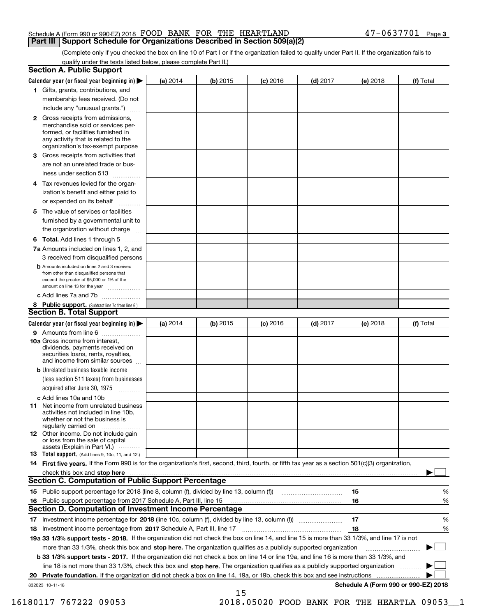| Schedule A (Form 990 or 990-EZ) 2018 FOOD BANK FOR THE HEARTLAND                    |  | $47 - 0637701$ Page 3 |  |
|-------------------------------------------------------------------------------------|--|-----------------------|--|
| <b>Part III   Support Schedule for Organizations Described in Section 509(a)(2)</b> |  |                       |  |

(Complete only if you checked the box on line 10 of Part I or if the organization failed to qualify under Part II. If the organization fails to qualify under the tests listed below, please complete Part II.)

|    | <b>Section A. Public Support</b>                                                                                                                                                                                               |            |            |            |            |          |                                      |
|----|--------------------------------------------------------------------------------------------------------------------------------------------------------------------------------------------------------------------------------|------------|------------|------------|------------|----------|--------------------------------------|
|    | Calendar year (or fiscal year beginning in) $\blacktriangleright$                                                                                                                                                              | (a) 2014   | $(b)$ 2015 | $(c)$ 2016 | $(d)$ 2017 | (e) 2018 | (f) Total                            |
|    | 1 Gifts, grants, contributions, and                                                                                                                                                                                            |            |            |            |            |          |                                      |
|    | membership fees received. (Do not                                                                                                                                                                                              |            |            |            |            |          |                                      |
|    | include any "unusual grants.")                                                                                                                                                                                                 |            |            |            |            |          |                                      |
|    | 2 Gross receipts from admissions,<br>merchandise sold or services per-<br>formed, or facilities furnished in<br>any activity that is related to the<br>organization's tax-exempt purpose                                       |            |            |            |            |          |                                      |
|    | 3 Gross receipts from activities that                                                                                                                                                                                          |            |            |            |            |          |                                      |
|    | are not an unrelated trade or bus-                                                                                                                                                                                             |            |            |            |            |          |                                      |
|    | iness under section 513                                                                                                                                                                                                        |            |            |            |            |          |                                      |
|    | 4 Tax revenues levied for the organ-                                                                                                                                                                                           |            |            |            |            |          |                                      |
|    | ization's benefit and either paid to                                                                                                                                                                                           |            |            |            |            |          |                                      |
|    | or expended on its behalf<br>.                                                                                                                                                                                                 |            |            |            |            |          |                                      |
|    | 5 The value of services or facilities                                                                                                                                                                                          |            |            |            |            |          |                                      |
|    | furnished by a governmental unit to                                                                                                                                                                                            |            |            |            |            |          |                                      |
|    | the organization without charge                                                                                                                                                                                                |            |            |            |            |          |                                      |
|    | <b>6 Total.</b> Add lines 1 through 5                                                                                                                                                                                          |            |            |            |            |          |                                      |
|    | 7a Amounts included on lines 1, 2, and                                                                                                                                                                                         |            |            |            |            |          |                                      |
|    | 3 received from disqualified persons                                                                                                                                                                                           |            |            |            |            |          |                                      |
|    | <b>b</b> Amounts included on lines 2 and 3 received<br>from other than disqualified persons that<br>exceed the greater of \$5,000 or 1% of the<br>amount on line 13 for the year                                               |            |            |            |            |          |                                      |
|    | c Add lines 7a and 7b                                                                                                                                                                                                          |            |            |            |            |          |                                      |
|    | 8 Public support. (Subtract line 7c from line 6.)                                                                                                                                                                              |            |            |            |            |          |                                      |
|    | <b>Section B. Total Support</b>                                                                                                                                                                                                |            |            |            |            |          |                                      |
|    | Calendar year (or fiscal year beginning in) $\blacktriangleright$                                                                                                                                                              | (a) $2014$ | $(b)$ 2015 | $(c)$ 2016 | $(d)$ 2017 | (e) 2018 | (f) Total                            |
|    | 9 Amounts from line 6                                                                                                                                                                                                          |            |            |            |            |          |                                      |
|    | 10a Gross income from interest,<br>dividends, payments received on<br>securities loans, rents, royalties,<br>and income from similar sources                                                                                   |            |            |            |            |          |                                      |
|    | <b>b</b> Unrelated business taxable income                                                                                                                                                                                     |            |            |            |            |          |                                      |
|    | (less section 511 taxes) from businesses                                                                                                                                                                                       |            |            |            |            |          |                                      |
|    | acquired after June 30, 1975                                                                                                                                                                                                   |            |            |            |            |          |                                      |
|    | c Add lines 10a and 10b                                                                                                                                                                                                        |            |            |            |            |          |                                      |
|    | 11 Net income from unrelated business<br>activities not included in line 10b,<br>whether or not the business is<br>regularly carried on                                                                                        |            |            |            |            |          |                                      |
|    | 12 Other income. Do not include gain<br>or loss from the sale of capital<br>assets (Explain in Part VI.)                                                                                                                       |            |            |            |            |          |                                      |
|    | <b>13</b> Total support. (Add lines 9, 10c, 11, and 12.)                                                                                                                                                                       |            |            |            |            |          |                                      |
|    | 14 First five years. If the Form 990 is for the organization's first, second, third, fourth, or fifth tax year as a section 501(c)(3) organization,                                                                            |            |            |            |            |          |                                      |
|    | check this box and stop here measurements are all the state of the state of the state of the state of the state of the state of the state of the state of the state of the state of the state of the state of the state of the |            |            |            |            |          |                                      |
|    | Section C. Computation of Public Support Percentage                                                                                                                                                                            |            |            |            |            |          |                                      |
|    | 15 Public support percentage for 2018 (line 8, column (f), divided by line 13, column (f))                                                                                                                                     |            |            |            |            | 15       | %                                    |
|    | 16 Public support percentage from 2017 Schedule A, Part III, line 15                                                                                                                                                           |            |            |            |            | 16       | %                                    |
|    | <b>Section D. Computation of Investment Income Percentage</b>                                                                                                                                                                  |            |            |            |            |          |                                      |
|    | 17 Investment income percentage for 2018 (line 10c, column (f), divided by line 13, column (f))                                                                                                                                |            |            |            |            | 17       | %                                    |
|    | <b>18</b> Investment income percentage from <b>2017</b> Schedule A, Part III, line 17                                                                                                                                          |            |            |            |            | 18       | %                                    |
|    | 19a 33 1/3% support tests - 2018. If the organization did not check the box on line 14, and line 15 is more than 33 1/3%, and line 17 is not                                                                                   |            |            |            |            |          |                                      |
|    | more than 33 1/3%, check this box and stop here. The organization qualifies as a publicly supported organization                                                                                                               |            |            |            |            |          | ▶                                    |
|    | b 33 1/3% support tests - 2017. If the organization did not check a box on line 14 or line 19a, and line 16 is more than 33 1/3%, and                                                                                          |            |            |            |            |          |                                      |
|    | line 18 is not more than 33 1/3%, check this box and stop here. The organization qualifies as a publicly supported organization                                                                                                |            |            |            |            |          |                                      |
| 20 | Private foundation. If the organization did not check a box on line 14, 19a, or 19b, check this box and see instructions                                                                                                       |            |            |            |            |          |                                      |
|    | 832023 10-11-18                                                                                                                                                                                                                |            |            |            |            |          | Schedule A (Form 990 or 990-EZ) 2018 |
|    |                                                                                                                                                                                                                                |            | 15         |            |            |          |                                      |

16180117 767222 09053 2018.05020 FOOD BANK FOR THE HEARTLA 09053\_\_1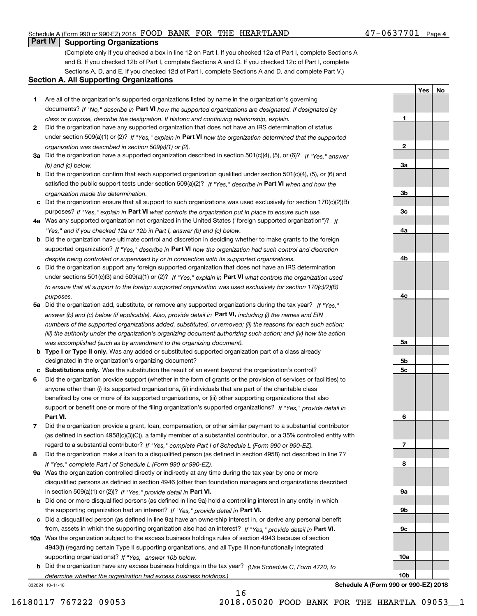#### Schedule A (Form 990 or 990-EZ) 2018 Page FOOD BANK FOR THE HEARTLAND 47-0637701

### **Part IV Supporting Organizations**

(Complete only if you checked a box in line 12 on Part I. If you checked 12a of Part I, complete Sections A and B. If you checked 12b of Part I, complete Sections A and C. If you checked 12c of Part I, complete Sections A, D, and E. If you checked 12d of Part I, complete Sections A and D, and complete Part V.)

#### **Section A. All Supporting Organizations**

- **1** Are all of the organization's supported organizations listed by name in the organization's governing documents? If "No," describe in **Part VI** how the supported organizations are designated. If designated by *class or purpose, describe the designation. If historic and continuing relationship, explain.*
- **2** Did the organization have any supported organization that does not have an IRS determination of status under section 509(a)(1) or (2)? If "Yes," explain in Part VI how the organization determined that the supported *organization was described in section 509(a)(1) or (2).*
- **3a** Did the organization have a supported organization described in section 501(c)(4), (5), or (6)? If "Yes," answer *(b) and (c) below.*
- **b** Did the organization confirm that each supported organization qualified under section 501(c)(4), (5), or (6) and satisfied the public support tests under section 509(a)(2)? If "Yes," describe in **Part VI** when and how the *organization made the determination.*
- **c**Did the organization ensure that all support to such organizations was used exclusively for section 170(c)(2)(B) purposes? If "Yes," explain in **Part VI** what controls the organization put in place to ensure such use.
- **4a***If* Was any supported organization not organized in the United States ("foreign supported organization")? *"Yes," and if you checked 12a or 12b in Part I, answer (b) and (c) below.*
- **b** Did the organization have ultimate control and discretion in deciding whether to make grants to the foreign supported organization? If "Yes," describe in **Part VI** how the organization had such control and discretion *despite being controlled or supervised by or in connection with its supported organizations.*
- **c** Did the organization support any foreign supported organization that does not have an IRS determination under sections 501(c)(3) and 509(a)(1) or (2)? If "Yes," explain in **Part VI** what controls the organization used *to ensure that all support to the foreign supported organization was used exclusively for section 170(c)(2)(B) purposes.*
- **5a** Did the organization add, substitute, or remove any supported organizations during the tax year? If "Yes," answer (b) and (c) below (if applicable). Also, provide detail in **Part VI,** including (i) the names and EIN *numbers of the supported organizations added, substituted, or removed; (ii) the reasons for each such action; (iii) the authority under the organization's organizing document authorizing such action; and (iv) how the action was accomplished (such as by amendment to the organizing document).*
- **b** Type I or Type II only. Was any added or substituted supported organization part of a class already designated in the organization's organizing document?
- **cSubstitutions only.**  Was the substitution the result of an event beyond the organization's control?
- **6** Did the organization provide support (whether in the form of grants or the provision of services or facilities) to **Part VI.** *If "Yes," provide detail in* support or benefit one or more of the filing organization's supported organizations? anyone other than (i) its supported organizations, (ii) individuals that are part of the charitable class benefited by one or more of its supported organizations, or (iii) other supporting organizations that also
- **7**Did the organization provide a grant, loan, compensation, or other similar payment to a substantial contributor *If "Yes," complete Part I of Schedule L (Form 990 or 990-EZ).* regard to a substantial contributor? (as defined in section 4958(c)(3)(C)), a family member of a substantial contributor, or a 35% controlled entity with
- **8** Did the organization make a loan to a disqualified person (as defined in section 4958) not described in line 7? *If "Yes," complete Part I of Schedule L (Form 990 or 990-EZ).*
- **9a** Was the organization controlled directly or indirectly at any time during the tax year by one or more in section 509(a)(1) or (2))? If "Yes," *provide detail in* <code>Part VI.</code> disqualified persons as defined in section 4946 (other than foundation managers and organizations described
- **b** Did one or more disqualified persons (as defined in line 9a) hold a controlling interest in any entity in which the supporting organization had an interest? If "Yes," provide detail in P**art VI**.
- **c**Did a disqualified person (as defined in line 9a) have an ownership interest in, or derive any personal benefit from, assets in which the supporting organization also had an interest? If "Yes," provide detail in P**art VI.**
- **10a** Was the organization subject to the excess business holdings rules of section 4943 because of section supporting organizations)? If "Yes," answer 10b below. 4943(f) (regarding certain Type II supporting organizations, and all Type III non-functionally integrated
- **b** Did the organization have any excess business holdings in the tax year? (Use Schedule C, Form 4720, to *determine whether the organization had excess business holdings.)*

832024 10-11-18



 $47 - 0637701$  Page 4

**YesNo**

**Schedule A (Form 990 or 990-EZ) 2018**

16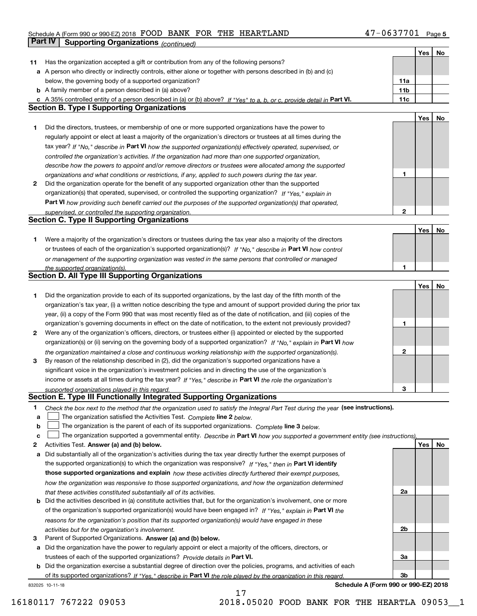#### Schedule A (Form 990 or 990-EZ) 2018 POUD BANK FOR THE HEARTLAND 4/-U b 3//U L Page FOOD BANK FOR THE HEARTLAND 47-0637701

|    | Part IV<br><b>Supporting Organizations (continued)</b>                                                                            |                 |     |    |
|----|-----------------------------------------------------------------------------------------------------------------------------------|-----------------|-----|----|
|    |                                                                                                                                   |                 | Yes | No |
| 11 | Has the organization accepted a gift or contribution from any of the following persons?                                           |                 |     |    |
|    | a A person who directly or indirectly controls, either alone or together with persons described in (b) and (c)                    |                 |     |    |
|    | below, the governing body of a supported organization?                                                                            | 11a             |     |    |
|    | <b>b</b> A family member of a person described in (a) above?                                                                      | 11 <sub>b</sub> |     |    |
|    | c A 35% controlled entity of a person described in (a) or (b) above? If "Yes" to a, b, or c, provide detail in Part VI.           | 11c             |     |    |
|    | <b>Section B. Type I Supporting Organizations</b>                                                                                 |                 |     |    |
|    |                                                                                                                                   |                 | Yes | No |
| 1. | Did the directors, trustees, or membership of one or more supported organizations have the power to                               |                 |     |    |
|    | regularly appoint or elect at least a majority of the organization's directors or trustees at all times during the                |                 |     |    |
|    | tax year? If "No," describe in Part VI how the supported organization(s) effectively operated, supervised, or                     |                 |     |    |
|    | controlled the organization's activities. If the organization had more than one supported organization,                           |                 |     |    |
|    | describe how the powers to appoint and/or remove directors or trustees were allocated among the supported                         |                 |     |    |
|    | organizations and what conditions or restrictions, if any, applied to such powers during the tax year.                            | 1               |     |    |
| 2  | Did the organization operate for the benefit of any supported organization other than the supported                               |                 |     |    |
|    | organization(s) that operated, supervised, or controlled the supporting organization? If "Yes," explain in                        |                 |     |    |
|    | Part VI how providing such benefit carried out the purposes of the supported organization(s) that operated,                       |                 |     |    |
|    | supervised, or controlled the supporting organization.                                                                            | $\mathbf{2}$    |     |    |
|    | <b>Section C. Type II Supporting Organizations</b>                                                                                |                 |     |    |
|    |                                                                                                                                   |                 | Yes | No |
| 1. | Were a majority of the organization's directors or trustees during the tax year also a majority of the directors                  |                 |     |    |
|    | or trustees of each of the organization's supported organization(s)? If "No," describe in Part VI how control                     |                 |     |    |
|    | or management of the supporting organization was vested in the same persons that controlled or managed                            | 1               |     |    |
|    | the supported organization(s).<br><b>Section D. All Type III Supporting Organizations</b>                                         |                 |     |    |
|    |                                                                                                                                   |                 | Yes | No |
| 1  | Did the organization provide to each of its supported organizations, by the last day of the fifth month of the                    |                 |     |    |
|    | organization's tax year, (i) a written notice describing the type and amount of support provided during the prior tax             |                 |     |    |
|    | year, (ii) a copy of the Form 990 that was most recently filed as of the date of notification, and (iii) copies of the            |                 |     |    |
|    | organization's governing documents in effect on the date of notification, to the extent not previously provided?                  | 1               |     |    |
| 2  | Were any of the organization's officers, directors, or trustees either (i) appointed or elected by the supported                  |                 |     |    |
|    | organization(s) or (ii) serving on the governing body of a supported organization? If "No," explain in Part VI how                |                 |     |    |
|    | the organization maintained a close and continuous working relationship with the supported organization(s).                       | $\mathbf{2}$    |     |    |
| 3  | By reason of the relationship described in (2), did the organization's supported organizations have a                             |                 |     |    |
|    | significant voice in the organization's investment policies and in directing the use of the organization's                        |                 |     |    |
|    | income or assets at all times during the tax year? If "Yes," describe in Part VI the role the organization's                      |                 |     |    |
|    | supported organizations played in this regard.                                                                                    | 3               |     |    |
|    | Section E. Type III Functionally Integrated Supporting Organizations                                                              |                 |     |    |
| 1  | Check the box next to the method that the organization used to satisfy the Integral Part Test during the year (see instructions). |                 |     |    |
| a  | The organization satisfied the Activities Test. Complete line 2 below.                                                            |                 |     |    |
| b  | The organization is the parent of each of its supported organizations. Complete line 3 below.                                     |                 |     |    |
| c  | The organization supported a governmental entity. Describe in Part VI how you supported a government entity (see instructions),   |                 |     |    |
| 2  | Activities Test. Answer (a) and (b) below.                                                                                        |                 | Yes | No |
| а  | Did substantially all of the organization's activities during the tax year directly further the exempt purposes of                |                 |     |    |
|    | the supported organization(s) to which the organization was responsive? If "Yes," then in Part VI identify                        |                 |     |    |
|    | those supported organizations and explain how these activities directly furthered their exempt purposes,                          |                 |     |    |
|    | how the organization was responsive to those supported organizations, and how the organization determined                         |                 |     |    |
|    | that these activities constituted substantially all of its activities.                                                            | 2a              |     |    |
| b  | Did the activities described in (a) constitute activities that, but for the organization's involvement, one or more               |                 |     |    |
|    | of the organization's supported organization(s) would have been engaged in? If "Yes," explain in Part VI the                      |                 |     |    |
|    | reasons for the organization's position that its supported organization(s) would have engaged in these                            |                 |     |    |
|    | activities but for the organization's involvement.                                                                                | 2b              |     |    |
| 3  | Parent of Supported Organizations. Answer (a) and (b) below.                                                                      |                 |     |    |
| а  | Did the organization have the power to regularly appoint or elect a majority of the officers, directors, or                       |                 |     |    |
|    | trustees of each of the supported organizations? Provide details in Part VI.                                                      | За              |     |    |
|    | <b>b</b> Did the organization exercise a substantial degree of direction over the policies, programs, and activities of each      |                 |     |    |
|    | of its supported organizations? If "Yes." describe in Part VI the role played by the organization in this regard.                 | Зb              |     |    |

17

832025 10-11-18

**Schedule A (Form 990 or 990-EZ) 2018**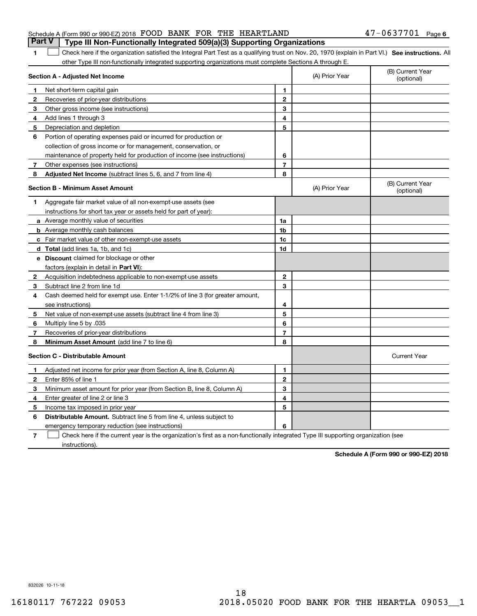|                                                                  |  | <b>Part V</b> Type III Non-Functionally Integrated 509(a)(3) Supporting Organizations |                       |  |
|------------------------------------------------------------------|--|---------------------------------------------------------------------------------------|-----------------------|--|
| Schedule A (Form 990 or 990-EZ) 2018 FOOD BANK FOR THE HEARTLAND |  |                                                                                       | $47 - 0637701$ Page 6 |  |

1 Check here if the organization satisfied the Integral Part Test as a qualifying trust on Nov. 20, 1970 (explain in Part VI.) See instructions. All other Type III non-functionally integrated supporting organizations must complete Sections A through E.

|              | Section A - Adjusted Net Income                                              |                | (A) Prior Year | (B) Current Year<br>(optional) |
|--------------|------------------------------------------------------------------------------|----------------|----------------|--------------------------------|
| 1.           | Net short-term capital gain                                                  | 1              |                |                                |
| $\mathbf{2}$ | Recoveries of prior-year distributions                                       | $\mathbf{2}$   |                |                                |
| 3            | Other gross income (see instructions)                                        | 3              |                |                                |
| 4            | Add lines 1 through 3                                                        | 4              |                |                                |
| 5            | Depreciation and depletion                                                   | 5              |                |                                |
| 6            | Portion of operating expenses paid or incurred for production or             |                |                |                                |
|              | collection of gross income or for management, conservation, or               |                |                |                                |
|              | maintenance of property held for production of income (see instructions)     | 6              |                |                                |
| 7            | Other expenses (see instructions)                                            | $\overline{7}$ |                |                                |
| 8            | <b>Adjusted Net Income</b> (subtract lines 5, 6, and 7 from line 4)          | 8              |                |                                |
|              | <b>Section B - Minimum Asset Amount</b>                                      |                | (A) Prior Year | (B) Current Year<br>(optional) |
| 1.           | Aggregate fair market value of all non-exempt-use assets (see                |                |                |                                |
|              | instructions for short tax year or assets held for part of year):            |                |                |                                |
|              | a Average monthly value of securities                                        | 1a             |                |                                |
|              | <b>b</b> Average monthly cash balances                                       | 1 <sub>b</sub> |                |                                |
|              | c Fair market value of other non-exempt-use assets                           | 1c             |                |                                |
|              | d Total (add lines 1a, 1b, and 1c)                                           | 1d             |                |                                |
|              | <b>e</b> Discount claimed for blockage or other                              |                |                |                                |
|              | factors (explain in detail in Part VI):                                      |                |                |                                |
| 2            | Acquisition indebtedness applicable to non-exempt-use assets                 | $\mathbf{2}$   |                |                                |
| 3            | Subtract line 2 from line 1d                                                 | 3              |                |                                |
| 4            | Cash deemed held for exempt use. Enter 1-1/2% of line 3 (for greater amount, |                |                |                                |
|              | see instructions)                                                            | 4              |                |                                |
| 5.           | Net value of non-exempt-use assets (subtract line 4 from line 3)             | 5              |                |                                |
| 6            | Multiply line 5 by .035                                                      | 6              |                |                                |
| 7            | Recoveries of prior-year distributions                                       | $\overline{7}$ |                |                                |
| 8            | Minimum Asset Amount (add line 7 to line 6)                                  | 8              |                |                                |
|              | <b>Section C - Distributable Amount</b>                                      |                |                | <b>Current Year</b>            |
| 1            | Adjusted net income for prior year (from Section A, line 8, Column A)        | 1              |                |                                |
| $\mathbf{2}$ | Enter 85% of line 1                                                          | $\overline{2}$ |                |                                |
| 3            | Minimum asset amount for prior year (from Section B, line 8, Column A)       | 3              |                |                                |
| 4            | Enter greater of line 2 or line 3                                            | 4              |                |                                |
| 5.           | Income tax imposed in prior year                                             | 5              |                |                                |
| 6            | <b>Distributable Amount.</b> Subtract line 5 from line 4, unless subject to  |                |                |                                |
|              | emergency temporary reduction (see instructions)                             | 6              |                |                                |
|              |                                                                              |                |                |                                |

**7**Check here if the current year is the organization's first as a non-functionally integrated Type III supporting organization (see instructions).

**Schedule A (Form 990 or 990-EZ) 2018**

832026 10-11-18

**1**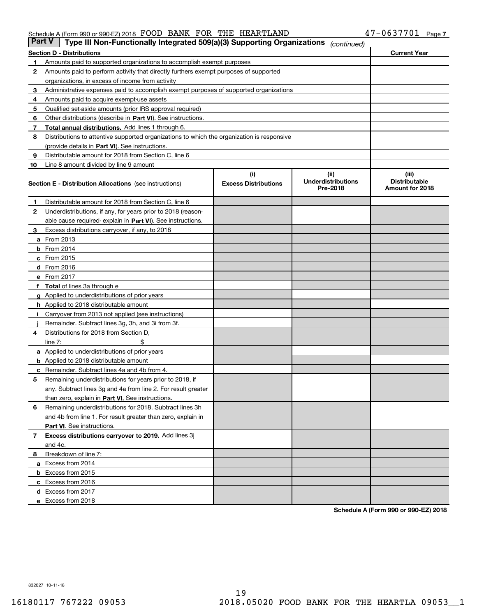#### Schedule A (Form 990 or 990-EZ) 2018 Page FOOD BANK FOR THE HEARTLAND 47-0637701

| Part V | Type III Non-Functionally Integrated 509(a)(3) Supporting Organizations                    |                             | (continued)                           |                                         |
|--------|--------------------------------------------------------------------------------------------|-----------------------------|---------------------------------------|-----------------------------------------|
|        | <b>Section D - Distributions</b>                                                           |                             |                                       | <b>Current Year</b>                     |
| 1      | Amounts paid to supported organizations to accomplish exempt purposes                      |                             |                                       |                                         |
| 2      | Amounts paid to perform activity that directly furthers exempt purposes of supported       |                             |                                       |                                         |
|        | organizations, in excess of income from activity                                           |                             |                                       |                                         |
| з      | Administrative expenses paid to accomplish exempt purposes of supported organizations      |                             |                                       |                                         |
| 4      | Amounts paid to acquire exempt-use assets                                                  |                             |                                       |                                         |
| 5      | Qualified set-aside amounts (prior IRS approval required)                                  |                             |                                       |                                         |
| 6      | Other distributions (describe in Part VI). See instructions.                               |                             |                                       |                                         |
| 7      | <b>Total annual distributions.</b> Add lines 1 through 6.                                  |                             |                                       |                                         |
| 8      | Distributions to attentive supported organizations to which the organization is responsive |                             |                                       |                                         |
|        | (provide details in Part VI). See instructions.                                            |                             |                                       |                                         |
| 9      | Distributable amount for 2018 from Section C, line 6                                       |                             |                                       |                                         |
| 10     | Line 8 amount divided by line 9 amount                                                     |                             |                                       |                                         |
|        |                                                                                            | (i)                         | (iii)                                 | (iii)                                   |
|        | <b>Section E - Distribution Allocations</b> (see instructions)                             | <b>Excess Distributions</b> | <b>Underdistributions</b><br>Pre-2018 | <b>Distributable</b><br>Amount for 2018 |
| 1      | Distributable amount for 2018 from Section C, line 6                                       |                             |                                       |                                         |
| 2      | Underdistributions, if any, for years prior to 2018 (reason-                               |                             |                                       |                                         |
|        | able cause required- explain in Part VI). See instructions.                                |                             |                                       |                                         |
| з      | Excess distributions carryover, if any, to 2018                                            |                             |                                       |                                         |
|        | <b>a</b> From 2013                                                                         |                             |                                       |                                         |
|        | $b$ From 2014                                                                              |                             |                                       |                                         |
|        | c From 2015                                                                                |                             |                                       |                                         |
|        | d From 2016                                                                                |                             |                                       |                                         |
|        | e From 2017                                                                                |                             |                                       |                                         |
|        | Total of lines 3a through e                                                                |                             |                                       |                                         |
|        | <b>g</b> Applied to underdistributions of prior years                                      |                             |                                       |                                         |
|        | <b>h</b> Applied to 2018 distributable amount                                              |                             |                                       |                                         |
|        | Carryover from 2013 not applied (see instructions)                                         |                             |                                       |                                         |
|        | Remainder. Subtract lines 3g, 3h, and 3i from 3f.                                          |                             |                                       |                                         |
| 4      | Distributions for 2018 from Section D,                                                     |                             |                                       |                                         |
|        | line $7:$                                                                                  |                             |                                       |                                         |
|        | <b>a</b> Applied to underdistributions of prior years                                      |                             |                                       |                                         |
|        | <b>b</b> Applied to 2018 distributable amount                                              |                             |                                       |                                         |
| c      | Remainder. Subtract lines 4a and 4b from 4.                                                |                             |                                       |                                         |
| 5      | Remaining underdistributions for years prior to 2018, if                                   |                             |                                       |                                         |
|        | any. Subtract lines 3g and 4a from line 2. For result greater                              |                             |                                       |                                         |
|        | than zero, explain in Part VI. See instructions.                                           |                             |                                       |                                         |
| 6      | Remaining underdistributions for 2018. Subtract lines 3h                                   |                             |                                       |                                         |
|        | and 4b from line 1. For result greater than zero, explain in                               |                             |                                       |                                         |
|        | Part VI. See instructions.                                                                 |                             |                                       |                                         |
| 7      | Excess distributions carryover to 2019. Add lines 3j                                       |                             |                                       |                                         |
|        | and 4c.                                                                                    |                             |                                       |                                         |
| 8      | Breakdown of line 7:                                                                       |                             |                                       |                                         |
|        | a Excess from 2014                                                                         |                             |                                       |                                         |
|        | <b>b</b> Excess from 2015                                                                  |                             |                                       |                                         |
|        | c Excess from 2016                                                                         |                             |                                       |                                         |
|        | d Excess from 2017                                                                         |                             |                                       |                                         |
|        | e Excess from 2018                                                                         |                             |                                       |                                         |
|        |                                                                                            |                             |                                       |                                         |

**Schedule A (Form 990 or 990-EZ) 2018**

832027 10-11-18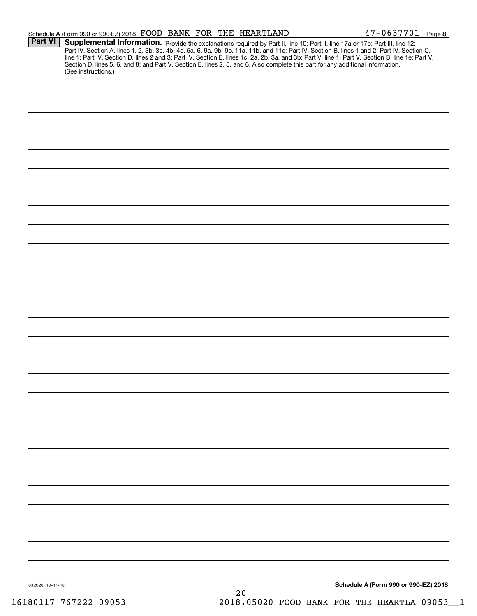|                 | Schedule A (Form 990 or 990-EZ) 2018 FOOD BANK FOR THE HEARTLAND |  |      | $47 - 0637701$ Page 8                                                                                                                                                                                                                                                                                                                                                                                                                                                                                                         |
|-----------------|------------------------------------------------------------------|--|------|-------------------------------------------------------------------------------------------------------------------------------------------------------------------------------------------------------------------------------------------------------------------------------------------------------------------------------------------------------------------------------------------------------------------------------------------------------------------------------------------------------------------------------|
| Part VI         | (See instructions.)                                              |  |      | <b>Supplemental Information.</b> Provide the explanations required by Part II, line 10; Part II, line 17a or 17b; Part III, line 12;<br>Part IV, Section A, lines 1, 2, 3b, 3c, 4b, 4c, 5a, 6, 9a, 9b, 9c, 11a, 11b, and 11c; Part IV,<br>line 1; Part IV, Section D, lines 2 and 3; Part IV, Section E, lines 1c, 2a, 2b, 3a, and 3b; Part V, line 1; Part V, Section B, line 1e; Part V,<br>Section D, lines 5, 6, and 8; and Part V, Section E, lines 2, 5, and 6. Also complete this part for any additional information. |
|                 |                                                                  |  |      |                                                                                                                                                                                                                                                                                                                                                                                                                                                                                                                               |
|                 |                                                                  |  |      |                                                                                                                                                                                                                                                                                                                                                                                                                                                                                                                               |
|                 |                                                                  |  |      |                                                                                                                                                                                                                                                                                                                                                                                                                                                                                                                               |
|                 |                                                                  |  |      |                                                                                                                                                                                                                                                                                                                                                                                                                                                                                                                               |
|                 |                                                                  |  |      |                                                                                                                                                                                                                                                                                                                                                                                                                                                                                                                               |
|                 |                                                                  |  |      |                                                                                                                                                                                                                                                                                                                                                                                                                                                                                                                               |
|                 |                                                                  |  |      |                                                                                                                                                                                                                                                                                                                                                                                                                                                                                                                               |
|                 |                                                                  |  |      |                                                                                                                                                                                                                                                                                                                                                                                                                                                                                                                               |
|                 |                                                                  |  |      |                                                                                                                                                                                                                                                                                                                                                                                                                                                                                                                               |
|                 |                                                                  |  |      |                                                                                                                                                                                                                                                                                                                                                                                                                                                                                                                               |
|                 |                                                                  |  |      |                                                                                                                                                                                                                                                                                                                                                                                                                                                                                                                               |
|                 |                                                                  |  |      |                                                                                                                                                                                                                                                                                                                                                                                                                                                                                                                               |
|                 |                                                                  |  |      |                                                                                                                                                                                                                                                                                                                                                                                                                                                                                                                               |
|                 |                                                                  |  |      |                                                                                                                                                                                                                                                                                                                                                                                                                                                                                                                               |
|                 |                                                                  |  |      |                                                                                                                                                                                                                                                                                                                                                                                                                                                                                                                               |
|                 |                                                                  |  |      |                                                                                                                                                                                                                                                                                                                                                                                                                                                                                                                               |
|                 |                                                                  |  |      |                                                                                                                                                                                                                                                                                                                                                                                                                                                                                                                               |
|                 |                                                                  |  |      |                                                                                                                                                                                                                                                                                                                                                                                                                                                                                                                               |
|                 |                                                                  |  |      |                                                                                                                                                                                                                                                                                                                                                                                                                                                                                                                               |
|                 |                                                                  |  |      |                                                                                                                                                                                                                                                                                                                                                                                                                                                                                                                               |
|                 |                                                                  |  |      |                                                                                                                                                                                                                                                                                                                                                                                                                                                                                                                               |
|                 |                                                                  |  |      |                                                                                                                                                                                                                                                                                                                                                                                                                                                                                                                               |
|                 |                                                                  |  |      |                                                                                                                                                                                                                                                                                                                                                                                                                                                                                                                               |
|                 |                                                                  |  |      |                                                                                                                                                                                                                                                                                                                                                                                                                                                                                                                               |
|                 |                                                                  |  |      |                                                                                                                                                                                                                                                                                                                                                                                                                                                                                                                               |
|                 |                                                                  |  |      |                                                                                                                                                                                                                                                                                                                                                                                                                                                                                                                               |
| 832028 10-11-18 |                                                                  |  | $20$ | Schedule A (Form 990 or 990-EZ) 2018                                                                                                                                                                                                                                                                                                                                                                                                                                                                                          |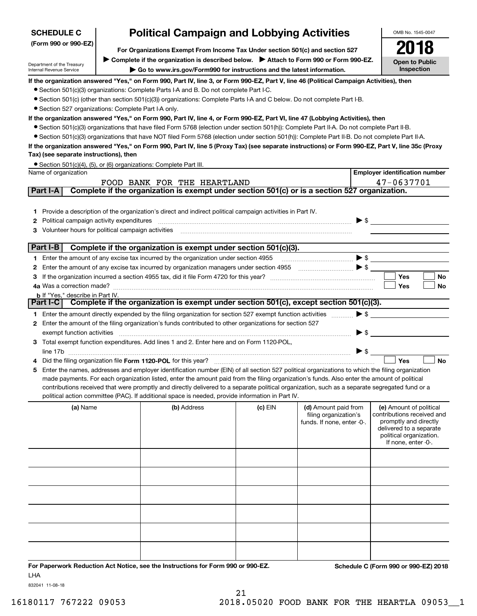| <b>SCHEDULE C</b>                                                                                                                      |  | <b>Political Campaign and Lobbying Activities</b>                                                                                                                                                                                                                                                   |         |                                                                                                                                                                                                                                                                                                                                                                     | OMB No. 1545-0047                                   |  |  |  |
|----------------------------------------------------------------------------------------------------------------------------------------|--|-----------------------------------------------------------------------------------------------------------------------------------------------------------------------------------------------------------------------------------------------------------------------------------------------------|---------|---------------------------------------------------------------------------------------------------------------------------------------------------------------------------------------------------------------------------------------------------------------------------------------------------------------------------------------------------------------------|-----------------------------------------------------|--|--|--|
| (Form 990 or 990-EZ)                                                                                                                   |  | For Organizations Exempt From Income Tax Under section 501(c) and section 527                                                                                                                                                                                                                       |         |                                                                                                                                                                                                                                                                                                                                                                     |                                                     |  |  |  |
|                                                                                                                                        |  | ▶ Complete if the organization is described below. ▶ Attach to Form 990 or Form 990-EZ.                                                                                                                                                                                                             |         |                                                                                                                                                                                                                                                                                                                                                                     |                                                     |  |  |  |
| Department of the Treasury<br>Internal Revenue Service                                                                                 |  | Go to www.irs.gov/Form990 for instructions and the latest information.                                                                                                                                                                                                                              |         |                                                                                                                                                                                                                                                                                                                                                                     | <b>Open to Public</b><br>Inspection                 |  |  |  |
|                                                                                                                                        |  | If the organization answered "Yes," on Form 990, Part IV, line 3, or Form 990-EZ, Part V, line 46 (Political Campaign Activities), then                                                                                                                                                             |         |                                                                                                                                                                                                                                                                                                                                                                     |                                                     |  |  |  |
|                                                                                                                                        |  | • Section 501(c)(3) organizations: Complete Parts I-A and B. Do not complete Part I-C.                                                                                                                                                                                                              |         |                                                                                                                                                                                                                                                                                                                                                                     |                                                     |  |  |  |
|                                                                                                                                        |  | • Section 501(c) (other than section 501(c)(3)) organizations: Complete Parts I-A and C below. Do not complete Part I-B.                                                                                                                                                                            |         |                                                                                                                                                                                                                                                                                                                                                                     |                                                     |  |  |  |
| • Section 527 organizations: Complete Part I-A only.                                                                                   |  |                                                                                                                                                                                                                                                                                                     |         |                                                                                                                                                                                                                                                                                                                                                                     |                                                     |  |  |  |
|                                                                                                                                        |  | If the organization answered "Yes," on Form 990, Part IV, line 4, or Form 990-EZ, Part VI, line 47 (Lobbying Activities), then                                                                                                                                                                      |         |                                                                                                                                                                                                                                                                                                                                                                     |                                                     |  |  |  |
|                                                                                                                                        |  | • Section 501(c)(3) organizations that have filed Form 5768 (election under section 501(h)): Complete Part II-A. Do not complete Part II-B.                                                                                                                                                         |         |                                                                                                                                                                                                                                                                                                                                                                     |                                                     |  |  |  |
|                                                                                                                                        |  | • Section 501(c)(3) organizations that have NOT filed Form 5768 (election under section 501(h)): Complete Part II-B. Do not complete Part II-A.<br>If the organization answered "Yes," on Form 990, Part IV, line 5 (Proxy Tax) (see separate instructions) or Form 990-EZ, Part V, line 35c (Proxy |         |                                                                                                                                                                                                                                                                                                                                                                     |                                                     |  |  |  |
| Tax) (see separate instructions), then                                                                                                 |  |                                                                                                                                                                                                                                                                                                     |         |                                                                                                                                                                                                                                                                                                                                                                     |                                                     |  |  |  |
|                                                                                                                                        |  | • Section 501(c)(4), (5), or (6) organizations: Complete Part III.                                                                                                                                                                                                                                  |         |                                                                                                                                                                                                                                                                                                                                                                     |                                                     |  |  |  |
| Name of organization                                                                                                                   |  |                                                                                                                                                                                                                                                                                                     |         |                                                                                                                                                                                                                                                                                                                                                                     | <b>Employer identification number</b>               |  |  |  |
|                                                                                                                                        |  | FOOD BANK FOR THE HEARTLAND                                                                                                                                                                                                                                                                         |         |                                                                                                                                                                                                                                                                                                                                                                     | 47-0637701                                          |  |  |  |
| Part I-A                                                                                                                               |  | Complete if the organization is exempt under section 501(c) or is a section 527 organization.                                                                                                                                                                                                       |         |                                                                                                                                                                                                                                                                                                                                                                     |                                                     |  |  |  |
|                                                                                                                                        |  |                                                                                                                                                                                                                                                                                                     |         |                                                                                                                                                                                                                                                                                                                                                                     |                                                     |  |  |  |
|                                                                                                                                        |  | 1 Provide a description of the organization's direct and indirect political campaign activities in Part IV.                                                                                                                                                                                         |         |                                                                                                                                                                                                                                                                                                                                                                     |                                                     |  |  |  |
| Political campaign activity expenditures<br>2                                                                                          |  |                                                                                                                                                                                                                                                                                                     |         | $\blacktriangleright$ \$                                                                                                                                                                                                                                                                                                                                            |                                                     |  |  |  |
| Volunteer hours for political campaign activities<br>з                                                                                 |  |                                                                                                                                                                                                                                                                                                     |         |                                                                                                                                                                                                                                                                                                                                                                     |                                                     |  |  |  |
| Part I-B                                                                                                                               |  | Complete if the organization is exempt under section 501(c)(3).                                                                                                                                                                                                                                     |         |                                                                                                                                                                                                                                                                                                                                                                     |                                                     |  |  |  |
|                                                                                                                                        |  | 1 Enter the amount of any excise tax incurred by the organization under section 4955                                                                                                                                                                                                                |         | $\blacktriangleright$ \$                                                                                                                                                                                                                                                                                                                                            |                                                     |  |  |  |
| 2                                                                                                                                      |  | Enter the amount of any excise tax incurred by organization managers under section 4955                                                                                                                                                                                                             |         | $\begin{picture}(20,10) \put(0,0){\vector(1,0){100}} \put(15,0){\vector(1,0){100}} \put(15,0){\vector(1,0){100}} \put(15,0){\vector(1,0){100}} \put(15,0){\vector(1,0){100}} \put(15,0){\vector(1,0){100}} \put(15,0){\vector(1,0){100}} \put(15,0){\vector(1,0){100}} \put(15,0){\vector(1,0){100}} \put(15,0){\vector(1,0){100}} \put(15,0){\vector(1,0){100}} \$ |                                                     |  |  |  |
| 3                                                                                                                                      |  |                                                                                                                                                                                                                                                                                                     |         |                                                                                                                                                                                                                                                                                                                                                                     | Yes<br>No                                           |  |  |  |
| 4a Was a correction made?                                                                                                              |  |                                                                                                                                                                                                                                                                                                     |         |                                                                                                                                                                                                                                                                                                                                                                     | Yes<br>No                                           |  |  |  |
| <b>b</b> If "Yes," describe in Part IV.                                                                                                |  |                                                                                                                                                                                                                                                                                                     |         |                                                                                                                                                                                                                                                                                                                                                                     |                                                     |  |  |  |
| Part I-C                                                                                                                               |  | Complete if the organization is exempt under section 501(c), except section 501(c)(3).                                                                                                                                                                                                              |         |                                                                                                                                                                                                                                                                                                                                                                     |                                                     |  |  |  |
| $\blacktriangleright$ \$<br>1 Enter the amount directly expended by the filing organization for section 527 exempt function activities |  |                                                                                                                                                                                                                                                                                                     |         |                                                                                                                                                                                                                                                                                                                                                                     |                                                     |  |  |  |
| 2 Enter the amount of the filing organization's funds contributed to other organizations for section 527                               |  |                                                                                                                                                                                                                                                                                                     |         |                                                                                                                                                                                                                                                                                                                                                                     |                                                     |  |  |  |
| exempt function activities                                                                                                             |  |                                                                                                                                                                                                                                                                                                     |         | $\blacktriangleright$ \$                                                                                                                                                                                                                                                                                                                                            |                                                     |  |  |  |
| line 17b                                                                                                                               |  | 3 Total exempt function expenditures. Add lines 1 and 2. Enter here and on Form 1120-POL,                                                                                                                                                                                                           |         | $\blacktriangleright$ \$                                                                                                                                                                                                                                                                                                                                            |                                                     |  |  |  |
|                                                                                                                                        |  | Did the filing organization file Form 1120-POL for this year?                                                                                                                                                                                                                                       |         |                                                                                                                                                                                                                                                                                                                                                                     | Yes<br><b>No</b>                                    |  |  |  |
| 5.                                                                                                                                     |  | Enter the names, addresses and employer identification number (EIN) of all section 527 political organizations to which the filing organization                                                                                                                                                     |         |                                                                                                                                                                                                                                                                                                                                                                     |                                                     |  |  |  |
|                                                                                                                                        |  | made payments. For each organization listed, enter the amount paid from the filing organization's funds. Also enter the amount of political                                                                                                                                                         |         |                                                                                                                                                                                                                                                                                                                                                                     |                                                     |  |  |  |
|                                                                                                                                        |  | contributions received that were promptly and directly delivered to a separate political organization, such as a separate segregated fund or a                                                                                                                                                      |         |                                                                                                                                                                                                                                                                                                                                                                     |                                                     |  |  |  |
|                                                                                                                                        |  | political action committee (PAC). If additional space is needed, provide information in Part IV.                                                                                                                                                                                                    |         |                                                                                                                                                                                                                                                                                                                                                                     |                                                     |  |  |  |
| (a) Name                                                                                                                               |  | (b) Address                                                                                                                                                                                                                                                                                         | (c) EIN | (d) Amount paid from                                                                                                                                                                                                                                                                                                                                                | (e) Amount of political                             |  |  |  |
|                                                                                                                                        |  |                                                                                                                                                                                                                                                                                                     |         | filing organization's<br>funds. If none, enter -0-.                                                                                                                                                                                                                                                                                                                 | contributions received and<br>promptly and directly |  |  |  |
|                                                                                                                                        |  |                                                                                                                                                                                                                                                                                                     |         |                                                                                                                                                                                                                                                                                                                                                                     | delivered to a separate                             |  |  |  |
|                                                                                                                                        |  |                                                                                                                                                                                                                                                                                                     |         |                                                                                                                                                                                                                                                                                                                                                                     | political organization.<br>If none, enter -0-.      |  |  |  |
|                                                                                                                                        |  |                                                                                                                                                                                                                                                                                                     |         |                                                                                                                                                                                                                                                                                                                                                                     |                                                     |  |  |  |
|                                                                                                                                        |  |                                                                                                                                                                                                                                                                                                     |         |                                                                                                                                                                                                                                                                                                                                                                     |                                                     |  |  |  |
|                                                                                                                                        |  |                                                                                                                                                                                                                                                                                                     |         |                                                                                                                                                                                                                                                                                                                                                                     |                                                     |  |  |  |
|                                                                                                                                        |  |                                                                                                                                                                                                                                                                                                     |         |                                                                                                                                                                                                                                                                                                                                                                     |                                                     |  |  |  |
|                                                                                                                                        |  |                                                                                                                                                                                                                                                                                                     |         |                                                                                                                                                                                                                                                                                                                                                                     |                                                     |  |  |  |
|                                                                                                                                        |  |                                                                                                                                                                                                                                                                                                     |         |                                                                                                                                                                                                                                                                                                                                                                     |                                                     |  |  |  |
|                                                                                                                                        |  |                                                                                                                                                                                                                                                                                                     |         |                                                                                                                                                                                                                                                                                                                                                                     |                                                     |  |  |  |
|                                                                                                                                        |  |                                                                                                                                                                                                                                                                                                     |         |                                                                                                                                                                                                                                                                                                                                                                     |                                                     |  |  |  |
|                                                                                                                                        |  |                                                                                                                                                                                                                                                                                                     |         |                                                                                                                                                                                                                                                                                                                                                                     |                                                     |  |  |  |
|                                                                                                                                        |  |                                                                                                                                                                                                                                                                                                     |         |                                                                                                                                                                                                                                                                                                                                                                     |                                                     |  |  |  |
|                                                                                                                                        |  |                                                                                                                                                                                                                                                                                                     |         |                                                                                                                                                                                                                                                                                                                                                                     |                                                     |  |  |  |
|                                                                                                                                        |  | For Paperwork Reduction Act Notice, see the Instructions for Form 990 or 990-EZ.                                                                                                                                                                                                                    |         |                                                                                                                                                                                                                                                                                                                                                                     | Schedule C (Form 990 or 990-EZ) 2018                |  |  |  |

LHA

832041 11-08-18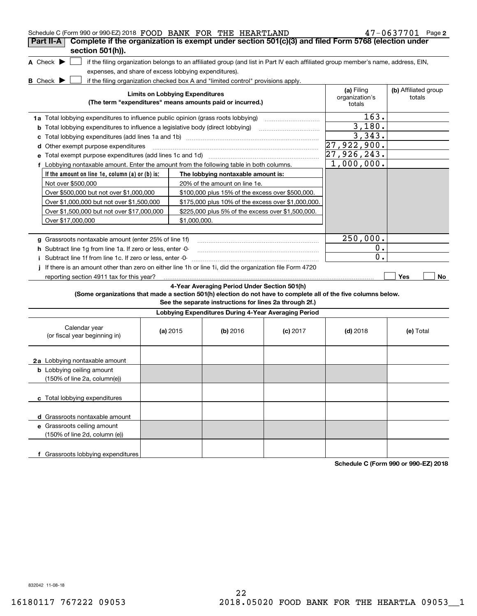| Schedule C (Form 990 or 990-EZ) 2018 FOOD BANK FOR THE HEARTLAND                                                |                                                                                                         |                                        |                                                                                  |            |                                                                                                                                   | 47-0637701 Page 2    |
|-----------------------------------------------------------------------------------------------------------------|---------------------------------------------------------------------------------------------------------|----------------------------------------|----------------------------------------------------------------------------------|------------|-----------------------------------------------------------------------------------------------------------------------------------|----------------------|
| Complete if the organization is exempt under section 501(c)(3) and filed Form 5768 (election under<br>Part II-A |                                                                                                         |                                        |                                                                                  |            |                                                                                                                                   |                      |
| section 501(h)).                                                                                                |                                                                                                         |                                        |                                                                                  |            |                                                                                                                                   |                      |
| A Check $\blacktriangleright$<br>expenses, and share of excess lobbying expenditures).                          |                                                                                                         |                                        |                                                                                  |            | if the filing organization belongs to an affiliated group (and list in Part IV each affiliated group member's name, address, EIN, |                      |
| <b>B</b> Check $\blacktriangleright$                                                                            |                                                                                                         |                                        | if the filing organization checked box A and "limited control" provisions apply. |            |                                                                                                                                   |                      |
|                                                                                                                 |                                                                                                         |                                        |                                                                                  |            | (a) Filing                                                                                                                        | (b) Affiliated group |
|                                                                                                                 |                                                                                                         | <b>Limits on Lobbying Expenditures</b> | (The term "expenditures" means amounts paid or incurred.)                        |            | organization's<br>totals                                                                                                          | totals               |
| 1a Total lobbying expenditures to influence public opinion (grass roots lobbying)                               |                                                                                                         |                                        |                                                                                  |            | $\overline{163}$ .                                                                                                                |                      |
| <b>b</b> Total lobbying expenditures to influence a legislative body (direct lobbying)                          |                                                                                                         |                                        |                                                                                  |            | 3,180.                                                                                                                            |                      |
| с                                                                                                               |                                                                                                         |                                        |                                                                                  |            |                                                                                                                                   |                      |
|                                                                                                                 | d Other exempt purpose expenditures                                                                     |                                        |                                                                                  |            |                                                                                                                                   |                      |
|                                                                                                                 |                                                                                                         |                                        |                                                                                  |            |                                                                                                                                   |                      |
|                                                                                                                 | 27,926,243.<br>f Lobbying nontaxable amount. Enter the amount from the following table in both columns. |                                        |                                                                                  |            |                                                                                                                                   |                      |
| If the amount on line 1e, column $(a)$ or $(b)$ is:                                                             |                                                                                                         |                                        |                                                                                  |            |                                                                                                                                   |                      |
| Not over \$500,000                                                                                              |                                                                                                         |                                        | 20% of the amount on line 1e.                                                    |            |                                                                                                                                   |                      |
| Over \$500,000 but not over \$1,000,000                                                                         |                                                                                                         |                                        | \$100,000 plus 15% of the excess over \$500,000.                                 |            |                                                                                                                                   |                      |
| Over \$1,000,000 but not over \$1,500,000                                                                       |                                                                                                         |                                        | \$175,000 plus 10% of the excess over \$1,000,000.                               |            |                                                                                                                                   |                      |
| Over \$1,500,000 but not over \$17,000,000                                                                      |                                                                                                         |                                        | \$225,000 plus 5% of the excess over \$1,500,000.                                |            |                                                                                                                                   |                      |
| Over \$17,000,000                                                                                               |                                                                                                         | \$1,000,000.                           |                                                                                  |            |                                                                                                                                   |                      |
|                                                                                                                 |                                                                                                         |                                        |                                                                                  |            |                                                                                                                                   |                      |
| g Grassroots nontaxable amount (enter 25% of line 1f)                                                           |                                                                                                         |                                        |                                                                                  |            | 250,000.                                                                                                                          |                      |
| <b>h</b> Subtract line 1g from line 1a. If zero or less, enter 0-                                               |                                                                                                         |                                        |                                                                                  |            | 0.                                                                                                                                |                      |
| Subtract line 1f from line 1c. If zero or less, enter -0-<br>Ť                                                  |                                                                                                         |                                        |                                                                                  |            | 0.                                                                                                                                |                      |
| If there is an amount other than zero on either line 1h or line 1i, did the organization file Form 4720<br>j.   |                                                                                                         |                                        |                                                                                  |            |                                                                                                                                   |                      |
| reporting section 4911 tax for this year?                                                                       |                                                                                                         |                                        |                                                                                  |            |                                                                                                                                   | Yes<br>No            |
|                                                                                                                 |                                                                                                         |                                        | 4-Year Averaging Period Under Section 501(h)                                     |            |                                                                                                                                   |                      |
| (Some organizations that made a section 501(h) election do not have to complete all of the five columns below.  |                                                                                                         |                                        |                                                                                  |            |                                                                                                                                   |                      |
|                                                                                                                 |                                                                                                         |                                        | See the separate instructions for lines 2a through 2f.)                          |            |                                                                                                                                   |                      |
|                                                                                                                 |                                                                                                         |                                        | Lobbying Expenditures During 4-Year Averaging Period                             |            |                                                                                                                                   |                      |
| Calendar year<br>(or fiscal year beginning in)                                                                  |                                                                                                         | (a) $2015$                             | (b) 2016                                                                         | $(c)$ 2017 | $(d)$ 2018                                                                                                                        | (e) Total            |
|                                                                                                                 |                                                                                                         |                                        |                                                                                  |            |                                                                                                                                   |                      |
| 2a Lobbying nontaxable amount                                                                                   |                                                                                                         |                                        |                                                                                  |            |                                                                                                                                   |                      |
| <b>b</b> Lobbying ceiling amount<br>(150% of line 2a, column(e))                                                |                                                                                                         |                                        |                                                                                  |            |                                                                                                                                   |                      |
|                                                                                                                 |                                                                                                         |                                        |                                                                                  |            |                                                                                                                                   |                      |
| c Total lobbying expenditures                                                                                   |                                                                                                         |                                        |                                                                                  |            |                                                                                                                                   |                      |
| d Grassroots nontaxable amount                                                                                  |                                                                                                         |                                        |                                                                                  |            |                                                                                                                                   |                      |
| e Grassroots ceiling amount                                                                                     |                                                                                                         |                                        |                                                                                  |            |                                                                                                                                   |                      |
| (150% of line 2d, column (e))                                                                                   |                                                                                                         |                                        |                                                                                  |            |                                                                                                                                   |                      |
| f Grassroots lobbying expenditures                                                                              |                                                                                                         |                                        |                                                                                  |            |                                                                                                                                   |                      |

**Schedule C (Form 990 or 990-EZ) 2018**

832042 11-08-18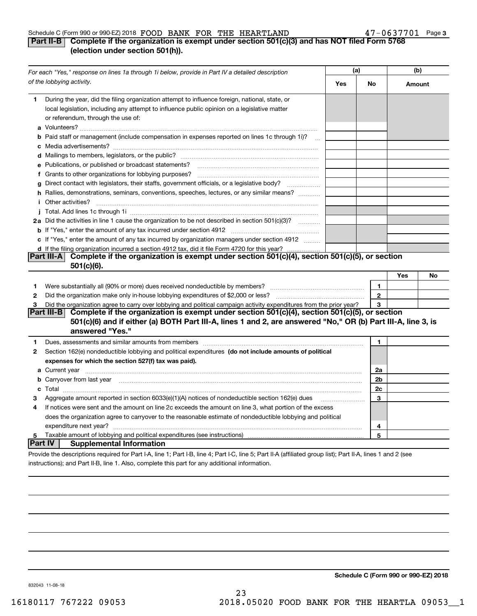#### Schedule C (Form 990 or 990-EZ) 2018  ${\bf FOOD}$   ${\bf BANK}$   ${\bf FOR}$   ${\bf THE}$   ${\bf HEARTLAND}$   ${\bf A7-0637701}$   ${\bf Page}$

#### **3**

### **Part II-B Complete if the organization is exempt under section 501(c)(3) and has NOT filed Form 5768 (election under section 501(h)).**

|         | For each "Yes," response on lines 1a through 1i below, provide in Part IV a detailed description                                                                                                                                     |     | (a)          |        | (b) |  |
|---------|--------------------------------------------------------------------------------------------------------------------------------------------------------------------------------------------------------------------------------------|-----|--------------|--------|-----|--|
|         | of the lobbying activity.                                                                                                                                                                                                            | Yes | No           | Amount |     |  |
| 1.      | During the year, did the filing organization attempt to influence foreign, national, state, or<br>local legislation, including any attempt to influence public opinion on a legislative matter<br>or referendum, through the use of: |     |              |        |     |  |
|         | <b>b</b> Paid staff or management (include compensation in expenses reported on lines 1c through 1i)?<br>$\sim$                                                                                                                      |     |              |        |     |  |
|         |                                                                                                                                                                                                                                      |     |              |        |     |  |
|         | e Publications, or published or broadcast statements?                                                                                                                                                                                |     |              |        |     |  |
|         |                                                                                                                                                                                                                                      |     |              |        |     |  |
| g       | Direct contact with legislators, their staffs, government officials, or a legislative body?                                                                                                                                          |     |              |        |     |  |
|         | h Rallies, demonstrations, seminars, conventions, speeches, lectures, or any similar means?<br><i>i</i> Other activities?                                                                                                            |     |              |        |     |  |
|         |                                                                                                                                                                                                                                      |     |              |        |     |  |
|         | 2a Did the activities in line 1 cause the organization to be not described in section 501(c)(3)?                                                                                                                                     |     |              |        |     |  |
|         |                                                                                                                                                                                                                                      |     |              |        |     |  |
|         | c If "Yes," enter the amount of any tax incurred by organization managers under section 4912                                                                                                                                         |     |              |        |     |  |
|         | d If the filing organization incurred a section 4912 tax, did it file Form 4720 for this year?                                                                                                                                       |     |              |        |     |  |
|         | Complete if the organization is exempt under section 501(c)(4), section 501(c)(5), or section<br>Part III-A<br>$501(c)(6)$ .                                                                                                         |     |              |        |     |  |
|         |                                                                                                                                                                                                                                      |     |              | Yes    | No  |  |
| 1       | Were substantially all (90% or more) dues received nondeductible by members?                                                                                                                                                         |     | 1            |        |     |  |
| 2       |                                                                                                                                                                                                                                      |     | $\mathbf{2}$ |        |     |  |
| 3       | Did the organization agree to carry over lobbying and political campaign activity expenditures from the prior year?                                                                                                                  |     | 3            |        |     |  |
|         | Complete if the organization is exempt under section 501(c)(4), section 501(c)(5), or section<br><b>Part III-B</b>                                                                                                                   |     |              |        |     |  |
|         | 501(c)(6) and if either (a) BOTH Part III-A, lines 1 and 2, are answered "No," OR (b) Part III-A, line 3, is<br>answered "Yes."                                                                                                      |     |              |        |     |  |
| 1       | Dues, assessments and similar amounts from members [111] www.communicallyness.communicallyness.communicallyness.communicallyness.communicallyness.communicallyness.communicallyness.communicallyness.communicallyness.communic       |     | 1            |        |     |  |
| 2       | Section 162(e) nondeductible lobbying and political expenditures (do not include amounts of political                                                                                                                                |     |              |        |     |  |
|         | expenses for which the section 527(f) tax was paid).                                                                                                                                                                                 |     |              |        |     |  |
|         | a Current year <b>contract and the contract of the contract of the contract of the contract of the contract of the contract of the contract of the contract of the contract of the contract of the contract of the contract of t</b> |     | 2a           |        |     |  |
|         | b Carryover from last year manufactured and contract the contract of the contract of the contract of the contract of the contract of the contract of the contract of the contract of the contract of the contract of the contr       |     | 2b           |        |     |  |
|         |                                                                                                                                                                                                                                      |     | 2c           |        |     |  |
| з       | Aggregate amount reported in section $6033(e)(1)(A)$ notices of nondeductible section $162(e)$ dues                                                                                                                                  |     | 3            |        |     |  |
| 4       | If notices were sent and the amount on line 2c exceeds the amount on line 3, what portion of the excess                                                                                                                              |     |              |        |     |  |
|         | does the organization agree to carryover to the reasonable estimate of nondeductible lobbying and political                                                                                                                          |     |              |        |     |  |
|         |                                                                                                                                                                                                                                      |     | 4            |        |     |  |
| 5       | Taxable amount of lobbying and political expenditures (see instructions)                                                                                                                                                             |     | 5            |        |     |  |
| Part IV | <b>Supplemental Information</b>                                                                                                                                                                                                      |     |              |        |     |  |
|         | Provide the descriptions required for Part I-A, line 1; Part I-B, line 4; Part I-C, line 5; Part II-A (affiliated group list); Part II-A, lines 1 and 2 (see                                                                         |     |              |        |     |  |
|         | instructions); and Part II-B, line 1, Also, complete this part for any additional information.                                                                                                                                       |     |              |        |     |  |

**Schedule C (Form 990 or 990-EZ) 2018**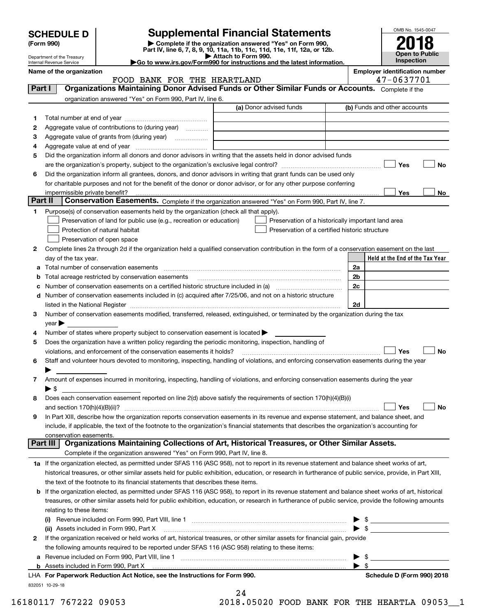| <b>SCHEDULE D</b> |  |
|-------------------|--|
|-------------------|--|

Department of the Treasury Internal Revenue Service

## **Supplemental Financial Statements**

(Form 990)<br>
Pepartment of the Treasury<br>
Department of the Treasury<br>
Department of the Treasury<br>
Department of the Treasury<br> **Co to www.irs.gov/Form990 for instructions and the latest information.**<br> **Co to www.irs.gov/Form9** 

| Go to www.irs.gov/Form990 for instructions and the latest informat |  |
|--------------------------------------------------------------------|--|
|                                                                    |  |



|         | Name of the organization<br>FOOD BANK FOR THE HEARTLAND                                                                                                    |                                                    | <b>Employer identification number</b><br>47-0637701 |
|---------|------------------------------------------------------------------------------------------------------------------------------------------------------------|----------------------------------------------------|-----------------------------------------------------|
| Part I  | Organizations Maintaining Donor Advised Funds or Other Similar Funds or Accounts. Complete if the                                                          |                                                    |                                                     |
|         | organization answered "Yes" on Form 990, Part IV, line 6.                                                                                                  |                                                    |                                                     |
|         |                                                                                                                                                            | (a) Donor advised funds                            | (b) Funds and other accounts                        |
|         |                                                                                                                                                            |                                                    |                                                     |
| 1       |                                                                                                                                                            |                                                    |                                                     |
| 2       | Aggregate value of contributions to (during year)                                                                                                          |                                                    |                                                     |
| 3       | Aggregate value of grants from (during year)                                                                                                               |                                                    |                                                     |
| 4       | Aggregate value at end of year encounter-contract and all all the Aggregate value at end of year                                                           |                                                    |                                                     |
| 5       | Did the organization inform all donors and donor advisors in writing that the assets held in donor advised funds                                           |                                                    |                                                     |
|         |                                                                                                                                                            |                                                    | Yes<br>No                                           |
| 6       | Did the organization inform all grantees, donors, and donor advisors in writing that grant funds can be used only                                          |                                                    |                                                     |
|         | for charitable purposes and not for the benefit of the donor or donor advisor, or for any other purpose conferring                                         |                                                    |                                                     |
|         | impermissible private benefit?                                                                                                                             |                                                    | Yes<br>No                                           |
| Part II | Conservation Easements. Complete if the organization answered "Yes" on Form 990, Part IV, line 7.                                                          |                                                    |                                                     |
| 1       | Purpose(s) of conservation easements held by the organization (check all that apply).                                                                      |                                                    |                                                     |
|         | Preservation of land for public use (e.g., recreation or education)                                                                                        | Preservation of a historically important land area |                                                     |
|         | Protection of natural habitat                                                                                                                              | Preservation of a certified historic structure     |                                                     |
|         | Preservation of open space                                                                                                                                 |                                                    |                                                     |
| 2       | Complete lines 2a through 2d if the organization held a qualified conservation contribution in the form of a conservation easement on the last             |                                                    |                                                     |
|         | day of the tax year.                                                                                                                                       |                                                    | Held at the End of the Tax Year                     |
|         | a Total number of conservation easements                                                                                                                   |                                                    | 2a                                                  |
| b       | Total acreage restricted by conservation easements                                                                                                         |                                                    | 2 <sub>b</sub>                                      |
| c       | Number of conservation easements on a certified historic structure included in (a) manufacture included in (a)                                             |                                                    | 2c                                                  |
|         | d Number of conservation easements included in (c) acquired after 7/25/06, and not on a historic structure                                                 |                                                    |                                                     |
|         | listed in the National Register [111] [12] The Mational Register [11] Material Register [11] Material Register                                             |                                                    | 2d                                                  |
| 3       | Number of conservation easements modified, transferred, released, extinguished, or terminated by the organization during the tax                           |                                                    |                                                     |
|         | $year \blacktriangleright$                                                                                                                                 |                                                    |                                                     |
| 4       | Number of states where property subject to conservation easement is located >                                                                              |                                                    |                                                     |
| 5       | Does the organization have a written policy regarding the periodic monitoring, inspection, handling of                                                     |                                                    |                                                     |
|         | violations, and enforcement of the conservation easements it holds?                                                                                        |                                                    | Yes<br><b>No</b>                                    |
| 6       | Staff and volunteer hours devoted to monitoring, inspecting, handling of violations, and enforcing conservation easements during the year                  |                                                    |                                                     |
|         |                                                                                                                                                            |                                                    |                                                     |
| 7       | Amount of expenses incurred in monitoring, inspecting, handling of violations, and enforcing conservation easements during the year                        |                                                    |                                                     |
|         | ▶ \$                                                                                                                                                       |                                                    |                                                     |
| 8       | Does each conservation easement reported on line 2(d) above satisfy the requirements of section 170(h)(4)(B)(i)                                            |                                                    |                                                     |
|         |                                                                                                                                                            |                                                    | Yes<br>No                                           |
|         | In Part XIII, describe how the organization reports conservation easements in its revenue and expense statement, and balance sheet, and                    |                                                    |                                                     |
|         | include, if applicable, the text of the footnote to the organization's financial statements that describes the organization's accounting for               |                                                    |                                                     |
|         | conservation easements.                                                                                                                                    |                                                    |                                                     |
|         | Organizations Maintaining Collections of Art, Historical Treasures, or Other Similar Assets.<br>Part III                                                   |                                                    |                                                     |
|         | Complete if the organization answered "Yes" on Form 990, Part IV, line 8.                                                                                  |                                                    |                                                     |
|         | 1a If the organization elected, as permitted under SFAS 116 (ASC 958), not to report in its revenue statement and balance sheet works of art,              |                                                    |                                                     |
|         | historical treasures, or other similar assets held for public exhibition, education, or research in furtherance of public service, provide, in Part XIII,  |                                                    |                                                     |
|         | the text of the footnote to its financial statements that describes these items.                                                                           |                                                    |                                                     |
|         |                                                                                                                                                            |                                                    |                                                     |
|         | <b>b</b> If the organization elected, as permitted under SFAS 116 (ASC 958), to report in its revenue statement and balance sheet works of art, historical |                                                    |                                                     |
|         | treasures, or other similar assets held for public exhibition, education, or research in furtherance of public service, provide the following amounts      |                                                    |                                                     |
|         | relating to these items:                                                                                                                                   |                                                    |                                                     |
|         |                                                                                                                                                            |                                                    |                                                     |
|         | (ii) Assets included in Form 990, Part X                                                                                                                   |                                                    | $\bullet$ \$                                        |
| 2       | If the organization received or held works of art, historical treasures, or other similar assets for financial gain, provide                               |                                                    |                                                     |
|         | the following amounts required to be reported under SFAS 116 (ASC 958) relating to these items:                                                            |                                                    |                                                     |
| а       |                                                                                                                                                            |                                                    | $\blacktriangleright$ \$                            |
|         |                                                                                                                                                            |                                                    | $\blacktriangleright$ \$                            |

24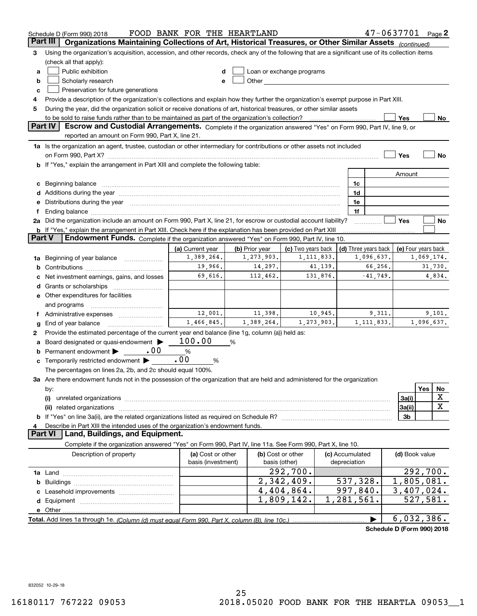|          | Schedule D (Form 990) 2018                                                                                                                                                                                                                                                                                                                        | FOOD BANK FOR THE HEARTLAND |                |                           |  |                          | $47 - 0637701$ Page 2      |                           |            |             |
|----------|---------------------------------------------------------------------------------------------------------------------------------------------------------------------------------------------------------------------------------------------------------------------------------------------------------------------------------------------------|-----------------------------|----------------|---------------------------|--|--------------------------|----------------------------|---------------------------|------------|-------------|
| Part III | Organizations Maintaining Collections of Art, Historical Treasures, or Other Similar Assets (continued)                                                                                                                                                                                                                                           |                             |                |                           |  |                          |                            |                           |            |             |
| З        | Using the organization's acquisition, accession, and other records, check any of the following that are a significant use of its collection items                                                                                                                                                                                                 |                             |                |                           |  |                          |                            |                           |            |             |
|          | (check all that apply):                                                                                                                                                                                                                                                                                                                           |                             |                |                           |  |                          |                            |                           |            |             |
| a        | Public exhibition                                                                                                                                                                                                                                                                                                                                 |                             |                | Loan or exchange programs |  |                          |                            |                           |            |             |
| b        | Scholarly research                                                                                                                                                                                                                                                                                                                                | e                           |                |                           |  |                          |                            |                           |            |             |
| c        | Preservation for future generations                                                                                                                                                                                                                                                                                                               |                             |                |                           |  |                          |                            |                           |            |             |
| 4        | Provide a description of the organization's collections and explain how they further the organization's exempt purpose in Part XIII.                                                                                                                                                                                                              |                             |                |                           |  |                          |                            |                           |            |             |
| 5        | During the year, did the organization solicit or receive donations of art, historical treasures, or other similar assets                                                                                                                                                                                                                          |                             |                |                           |  |                          |                            |                           |            |             |
|          | to be sold to raise funds rather than to be maintained as part of the organization's collection?                                                                                                                                                                                                                                                  |                             |                |                           |  |                          |                            | Yes                       |            | No          |
|          | <b>Part IV</b><br>Escrow and Custodial Arrangements. Complete if the organization answered "Yes" on Form 990, Part IV, line 9, or                                                                                                                                                                                                                 |                             |                |                           |  |                          |                            |                           |            |             |
|          | reported an amount on Form 990, Part X, line 21.                                                                                                                                                                                                                                                                                                  |                             |                |                           |  |                          |                            |                           |            |             |
|          | 1a Is the organization an agent, trustee, custodian or other intermediary for contributions or other assets not included                                                                                                                                                                                                                          |                             |                |                           |  |                          |                            |                           |            |             |
|          | on Form 990, Part X? <b>Marting Community Control</b> 2014 12:30 and 2014 12:30 and 2014 12:30 and 2014 12:30 and 201                                                                                                                                                                                                                             |                             |                |                           |  |                          |                            | Yes                       |            | No          |
|          | b If "Yes," explain the arrangement in Part XIII and complete the following table:                                                                                                                                                                                                                                                                |                             |                |                           |  |                          |                            |                           |            |             |
|          |                                                                                                                                                                                                                                                                                                                                                   |                             |                |                           |  |                          |                            | Amount                    |            |             |
| c        | Beginning balance                                                                                                                                                                                                                                                                                                                                 |                             |                |                           |  | 1c                       |                            |                           |            |             |
|          | Additions during the year manufactured and an annual contract of the year manufactured and all the year manufactured and all the year manufactured and all the year manufactured and all the year manufactured and all the yea                                                                                                                    |                             |                |                           |  | 1d<br>1e                 |                            |                           |            |             |
|          | Distributions during the year manufactured and an account of the state of the state of the state of the state o<br>Ending balance manufactured and contract the contract of the contract of the contract of the contract of the contract of the contract of the contract of the contract of the contract of the contract of the contract of the c |                             |                |                           |  | 1f                       |                            |                           |            |             |
|          | 2a Did the organization include an amount on Form 990, Part X, line 21, for escrow or custodial account liability?                                                                                                                                                                                                                                |                             |                |                           |  |                          |                            | Yes                       |            | No          |
|          | <b>b</b> If "Yes," explain the arrangement in Part XIII. Check here if the explanation has been provided on Part XIII                                                                                                                                                                                                                             |                             |                |                           |  |                          |                            |                           |            |             |
| Part V   | Endowment Funds. Complete if the organization answered "Yes" on Form 990, Part IV, line 10.                                                                                                                                                                                                                                                       |                             |                |                           |  |                          |                            |                           |            |             |
|          |                                                                                                                                                                                                                                                                                                                                                   | (a) Current year            | (b) Prior year | (c) Two years back        |  |                          | (d) Three years back       | (e) Four years back       |            |             |
| 1a       | Beginning of year balance                                                                                                                                                                                                                                                                                                                         | 1,389,264.                  | 1,273,903.     | 1, 111, 833.              |  |                          | 1,096,637.                 |                           | 1,069,174. |             |
| b        |                                                                                                                                                                                                                                                                                                                                                   | 19,966.                     | 14,297.        | 41,139.                   |  |                          | 66,256.                    |                           |            | 31,730.     |
|          | Net investment earnings, gains, and losses                                                                                                                                                                                                                                                                                                        | 69,616.                     | 112,462.       | 131,876.                  |  |                          | $-41,749.$                 |                           |            | 4,834.      |
|          |                                                                                                                                                                                                                                                                                                                                                   |                             |                |                           |  |                          |                            |                           |            |             |
|          | e Other expenditures for facilities                                                                                                                                                                                                                                                                                                               |                             |                |                           |  |                          |                            |                           |            |             |
|          | and programs                                                                                                                                                                                                                                                                                                                                      |                             |                |                           |  |                          |                            |                           |            |             |
|          | Administrative expenses                                                                                                                                                                                                                                                                                                                           | 12,001.                     | 11,398.        | 10,945.                   |  |                          | 9,311.                     |                           |            | 9,101.      |
| g        | End of year balance                                                                                                                                                                                                                                                                                                                               | 1,466,845.                  | 1,389,264.     | 1,273,903.                |  |                          | 1, 111, 833.               |                           | 1,096,637. |             |
| 2        | Provide the estimated percentage of the current year end balance (line 1g, column (a)) held as:                                                                                                                                                                                                                                                   |                             |                |                           |  |                          |                            |                           |            |             |
|          | Board designated or quasi-endowment                                                                                                                                                                                                                                                                                                               | 100.00                      | %              |                           |  |                          |                            |                           |            |             |
| b        | .00<br>Permanent endowment                                                                                                                                                                                                                                                                                                                        | %                           |                |                           |  |                          |                            |                           |            |             |
| c        | Temporarily restricted endowment                                                                                                                                                                                                                                                                                                                  | .00<br>%                    |                |                           |  |                          |                            |                           |            |             |
|          | The percentages on lines 2a, 2b, and 2c should equal 100%.                                                                                                                                                                                                                                                                                        |                             |                |                           |  |                          |                            |                           |            |             |
|          | 3a Are there endowment funds not in the possession of the organization that are held and administered for the organization                                                                                                                                                                                                                        |                             |                |                           |  |                          |                            |                           |            |             |
|          | by:                                                                                                                                                                                                                                                                                                                                               |                             |                |                           |  |                          |                            |                           | Yes        | No          |
|          | (i)                                                                                                                                                                                                                                                                                                                                               |                             |                |                           |  |                          |                            | 3a(i)                     |            | X           |
|          | (ii) related organizations                                                                                                                                                                                                                                                                                                                        |                             |                |                           |  |                          |                            | 3a(ii)                    |            | $\mathbf X$ |
|          |                                                                                                                                                                                                                                                                                                                                                   |                             |                |                           |  |                          |                            | 3b                        |            |             |
|          | Describe in Part XIII the intended uses of the organization's endowment funds.<br>Land, Buildings, and Equipment.<br><b>Part VI</b>                                                                                                                                                                                                               |                             |                |                           |  |                          |                            |                           |            |             |
|          | Complete if the organization answered "Yes" on Form 990, Part IV, line 11a. See Form 990, Part X, line 10.                                                                                                                                                                                                                                        |                             |                |                           |  |                          |                            |                           |            |             |
|          | Description of property                                                                                                                                                                                                                                                                                                                           | (a) Cost or other           |                | (b) Cost or other         |  | (c) Accumulated          |                            | (d) Book value            |            |             |
|          |                                                                                                                                                                                                                                                                                                                                                   | basis (investment)          |                | basis (other)             |  | depreciation             |                            |                           |            |             |
|          |                                                                                                                                                                                                                                                                                                                                                   |                             |                | 292,700.                  |  |                          |                            |                           |            | 292,700.    |
| b        |                                                                                                                                                                                                                                                                                                                                                   |                             |                | 2,342,409.                |  | 537,328.                 |                            | $\overline{1,805}$ , 081. |            |             |
|          |                                                                                                                                                                                                                                                                                                                                                   |                             |                | 4,404,864.                |  | $\overline{997}$ , 840.  |                            | 3,407,024.                |            |             |
| d        |                                                                                                                                                                                                                                                                                                                                                   |                             |                | 1,809,142.                |  | $\overline{1,281,561}$ . |                            |                           | 527,581.   |             |
|          |                                                                                                                                                                                                                                                                                                                                                   |                             |                |                           |  |                          |                            |                           |            |             |
|          |                                                                                                                                                                                                                                                                                                                                                   |                             |                |                           |  |                          |                            | 6,032,386.                |            |             |
|          |                                                                                                                                                                                                                                                                                                                                                   |                             |                |                           |  |                          | Cahadula D (Faum 000) 0040 |                           |            |             |

**Schedule D (Form 990) 2018**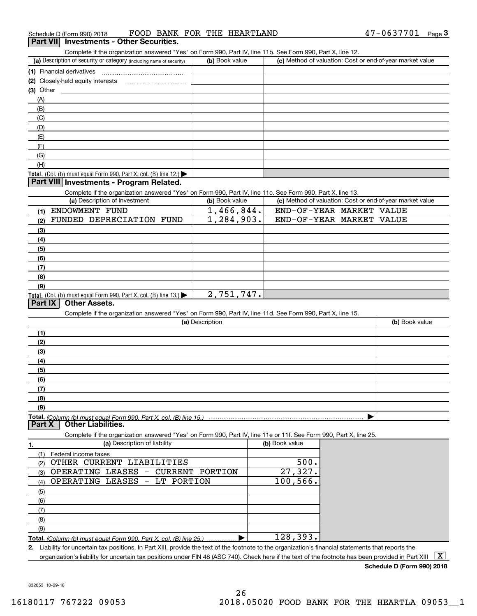#### Complete if the organization answered "Yes" on Form 990, Part IV, line 11b. See Form 990, Part X, line 12.

| Complete in the organization answered these on Form 990, Part IV, line TTD. See Form 990, Part A, line TZ. |                |                                                           |  |  |  |  |  |  |  |
|------------------------------------------------------------------------------------------------------------|----------------|-----------------------------------------------------------|--|--|--|--|--|--|--|
| (a) Description of security or category (including name of security)                                       | (b) Book value | (c) Method of valuation: Cost or end-of-year market value |  |  |  |  |  |  |  |
| (1) Financial derivatives                                                                                  |                |                                                           |  |  |  |  |  |  |  |
| (2) Closely-held equity interests                                                                          |                |                                                           |  |  |  |  |  |  |  |
| (3) Other                                                                                                  |                |                                                           |  |  |  |  |  |  |  |
| (A)                                                                                                        |                |                                                           |  |  |  |  |  |  |  |
| (B)                                                                                                        |                |                                                           |  |  |  |  |  |  |  |
| (C)                                                                                                        |                |                                                           |  |  |  |  |  |  |  |
| (D)                                                                                                        |                |                                                           |  |  |  |  |  |  |  |
| (E)                                                                                                        |                |                                                           |  |  |  |  |  |  |  |
| (F)                                                                                                        |                |                                                           |  |  |  |  |  |  |  |
| (G)                                                                                                        |                |                                                           |  |  |  |  |  |  |  |
| (H)                                                                                                        |                |                                                           |  |  |  |  |  |  |  |
| Total. (Col. (b) must equal Form 990, Part X, col. (B) line $12$ .)                                        |                |                                                           |  |  |  |  |  |  |  |

#### **Part VIII Investments - Program Related.**

Complete if the organization answered "Yes" on Form 990, Part IV, line 11c. See Form 990, Part X, line 13.

| (a) Description of investment                                              | (b) Book value | (c) Method of valuation: Cost or end-of-year market value |
|----------------------------------------------------------------------------|----------------|-----------------------------------------------------------|
| ENDOWMENT FUND<br>(1)                                                      | 1,466,844.     | END-OF-YEAR MARKET VALUE                                  |
| FUNDED DEPRECIATION FUND<br>(2)                                            | 1,284,903.     | END-OF-YEAR MARKET VALUE                                  |
| $\left(3\right)$                                                           |                |                                                           |
| (4)                                                                        |                |                                                           |
| $\frac{1}{2}$ (5)                                                          |                |                                                           |
| (6)                                                                        |                |                                                           |
| (7)                                                                        |                |                                                           |
| (8)                                                                        |                |                                                           |
| (9)                                                                        |                |                                                           |
| <b>Total.</b> (Col. (b) must equal Form 990, Part X, col. (B) line $13$ .) | 2,751,747.     |                                                           |

#### **Part IX Other Assets.**

Complete if the organization answered "Yes" on Form 990, Part IV, line 11d. See Form 990, Part X, line 15.

| (a) Description | (b) Book value |
|-----------------|----------------|
| (1)             |                |
| (2)             |                |
| (3)             |                |
| (4)             |                |
| (5)             |                |
| (6)             |                |
| (7)             |                |
| (8)             |                |
| (9)             |                |
|                 |                |

**Part X Other Liabilities.**

Complete if the organization answered "Yes" on Form 990, Part IV, line 11e or 11f. See Form 990, Part X, line 25.

| (a) Description of liability                                            | (b) Book value |
|-------------------------------------------------------------------------|----------------|
| Federal income taxes                                                    |                |
| OTHER CURRENT LIABILITIES<br>(2)                                        | 500.           |
| OPERATING LEASES<br>CURRENT PORTION<br>$\overline{\phantom{a}}$<br>(3)  | 27,327.        |
| OPERATING LEASES - LT PORTION<br>(4)                                    | 100, 566.      |
| (5)                                                                     |                |
| (6)                                                                     |                |
| (7)                                                                     |                |
| (8)                                                                     |                |
| (9)                                                                     |                |
| Total. (Column (b) must equal Form 990, Part X, col. (B) line 25.)<br>. | 128,393.       |

**2.**Liability for uncertain tax positions. In Part XIII, provide the text of the footnote to the organization's financial statements that reports the

organization's liability for uncertain tax positions under FIN 48 (ASC 740). Check here if the text of the footnote has been provided in Part XIII  $~\boxed{\rm X}$ 

**Schedule D (Form 990) 2018**

832053 10-29-18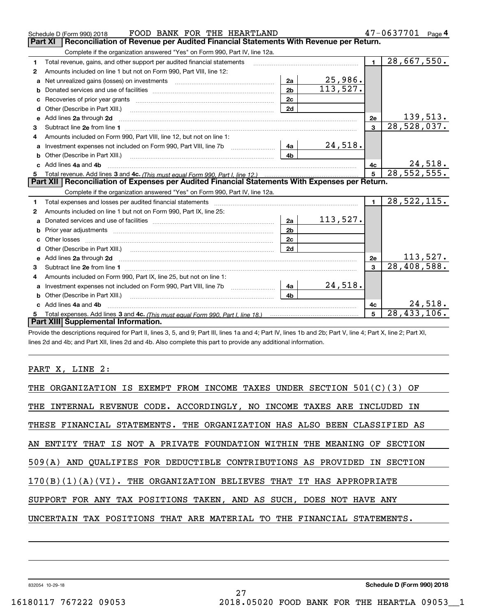|    | FOOD BANK FOR THE HEARTLAND<br>Schedule D (Form 990) 2018                                                                                                                                                                          |                |          |                         | $47 - 0637701$ Page 4      |
|----|------------------------------------------------------------------------------------------------------------------------------------------------------------------------------------------------------------------------------------|----------------|----------|-------------------------|----------------------------|
|    | Reconciliation of Revenue per Audited Financial Statements With Revenue per Return.<br><b>Part XI</b>                                                                                                                              |                |          |                         |                            |
|    | Complete if the organization answered "Yes" on Form 990, Part IV, line 12a.                                                                                                                                                        |                |          |                         |                            |
| 1  | Total revenue, gains, and other support per audited financial statements                                                                                                                                                           |                |          | $\mathbf{1}$            | 28,667,550.                |
| 2  | Amounts included on line 1 but not on Form 990, Part VIII, line 12:                                                                                                                                                                |                |          |                         |                            |
| a  | Net unrealized gains (losses) on investments [11] matter contracts and the unrealized gains (losses) on investments                                                                                                                | 2a             | 25,986.  |                         |                            |
| b  |                                                                                                                                                                                                                                    | 2 <sub>b</sub> | 113,527. |                         |                            |
| c  |                                                                                                                                                                                                                                    | 2c             |          |                         |                            |
| d  | Other (Describe in Part XIII.) <b>Construction Contract Construction</b> Chern Construction Construction Construction                                                                                                              | 2d             |          |                         |                            |
| e  | Add lines 2a through 2d <b>must be a constructed as the constant of the construction</b> and the state of the state of the state of the state of the state of the state of the state of the state of the state of the state of the |                |          | 2e                      | 139,513.                   |
| 3  |                                                                                                                                                                                                                                    |                |          | $\overline{\mathbf{3}}$ | 28,528,037.                |
| 4  | Amounts included on Form 990, Part VIII, line 12, but not on line 1:                                                                                                                                                               |                |          |                         |                            |
|    | Investment expenses not included on Form 990, Part VIII, line 7b [1000000000000000000000000000000000                                                                                                                               | 4a             | 24,518.  |                         |                            |
| b  | Other (Describe in Part XIII.) <b>Construction Contract Construction</b> Chemistry Chemistry Chemistry Chemistry Chemistry                                                                                                         | 4 <sub>b</sub> |          |                         |                            |
| c. | Add lines 4a and 4b                                                                                                                                                                                                                |                |          | 4c                      | 24,518.                    |
|    |                                                                                                                                                                                                                                    |                |          | $5^{\circ}$             | 28, 552, 555.              |
|    |                                                                                                                                                                                                                                    |                |          |                         |                            |
|    | Part XII   Reconciliation of Expenses per Audited Financial Statements With Expenses per Return.                                                                                                                                   |                |          |                         |                            |
|    | Complete if the organization answered "Yes" on Form 990, Part IV, line 12a.                                                                                                                                                        |                |          |                         |                            |
| 1  | Total expenses and losses per audited financial statements [11,11] [11] Total expenses and losses per audited financial statements [11] [11] Total expenses and losses per audited financial statements                            |                |          | $\blacksquare$          | $\overline{28,}$ 522, 115. |
| 2  | Amounts included on line 1 but not on Form 990, Part IX, line 25:                                                                                                                                                                  |                |          |                         |                            |
| a  |                                                                                                                                                                                                                                    | 2a             | 113,527. |                         |                            |
| b  |                                                                                                                                                                                                                                    | 2 <sub>b</sub> |          |                         |                            |
| c  |                                                                                                                                                                                                                                    | 2c             |          |                         |                            |
| d  |                                                                                                                                                                                                                                    | 2d             |          |                         |                            |
| e  | Add lines 2a through 2d <b>contained a contained a contained a contained a</b> contained a contained a contact the set                                                                                                             |                |          | 2e                      | <u> 113,527.</u>           |
| 3  | Subtract line 2e from line 1 <b>Manual Community and Community</b> Subtract line 2e from line 1                                                                                                                                    |                |          | 3                       | 28,408,588.                |
| 4  | Amounts included on Form 990, Part IX, line 25, but not on line 1:                                                                                                                                                                 |                |          |                         |                            |
| a  |                                                                                                                                                                                                                                    | 4a             | 24,518.  |                         |                            |
|    | Other (Describe in Part XIII.)                                                                                                                                                                                                     | 4 <sub>b</sub> |          |                         |                            |
|    | c Add lines 4a and 4b                                                                                                                                                                                                              |                |          | 4c                      | 24,518.                    |
|    | Part XIII Supplemental Information.                                                                                                                                                                                                |                |          | 5                       | 28, 433, 106.              |

Provide the descriptions required for Part II, lines 3, 5, and 9; Part III, lines 1a and 4; Part IV, lines 1b and 2b; Part V, line 4; Part X, line 2; Part XI, lines 2d and 4b; and Part XII, lines 2d and 4b. Also complete this part to provide any additional information.

#### PART X, LINE 2:

| THE ORGANIZATION IS EXEMPT FROM INCOME TAXES UNDER SECTION 501(C)(3) OF  |
|--------------------------------------------------------------------------|
| THE INTERNAL REVENUE CODE. ACCORDINGLY, NO INCOME TAXES ARE INCLUDED IN  |
| THESE FINANCIAL STATEMENTS. THE ORGANIZATION HAS ALSO BEEN CLASSIFIED AS |
| AN ENTITY THAT IS NOT A PRIVATE FOUNDATION WITHIN THE MEANING OF SECTION |
| 509(A) AND OUALIFIES FOR DEDUCTIBLE CONTRIBUTIONS AS PROVIDED IN SECTION |
| $170(B)(1)(A)(VI)$ . THE ORGANIZATION BELIEVES THAT IT HAS APPROPRIATE   |
| SUPPORT FOR ANY TAX POSITIONS TAKEN, AND AS SUCH, DOES NOT HAVE ANY      |
| UNCERTAIN TAX POSITIONS THAT ARE MATERIAL TO THE FINANCIAL STATEMENTS.   |
|                                                                          |

27

832054 10-29-18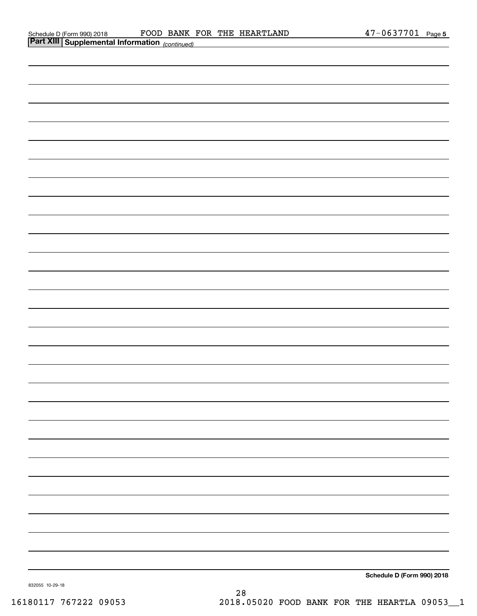| <b>Part XIII Supplemental Information</b> (continued) |  |                            |
|-------------------------------------------------------|--|----------------------------|
|                                                       |  |                            |
|                                                       |  |                            |
|                                                       |  |                            |
|                                                       |  |                            |
|                                                       |  |                            |
|                                                       |  |                            |
|                                                       |  |                            |
|                                                       |  |                            |
|                                                       |  |                            |
|                                                       |  |                            |
|                                                       |  |                            |
|                                                       |  |                            |
|                                                       |  |                            |
|                                                       |  |                            |
|                                                       |  |                            |
|                                                       |  |                            |
|                                                       |  |                            |
|                                                       |  |                            |
|                                                       |  |                            |
|                                                       |  |                            |
|                                                       |  |                            |
|                                                       |  |                            |
|                                                       |  |                            |
|                                                       |  |                            |
|                                                       |  |                            |
|                                                       |  |                            |
|                                                       |  |                            |
|                                                       |  |                            |
|                                                       |  |                            |
|                                                       |  | Schedule D (Form 990) 2018 |

832055 10-29-18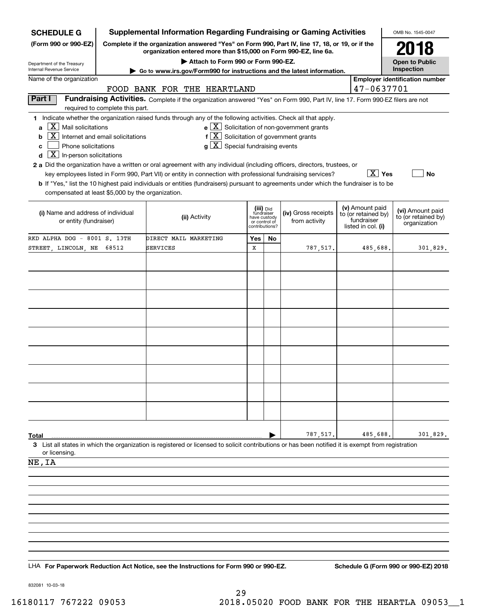| <b>SCHEDULE G</b>                                                                                                 |                                                                                                                                                                     | <b>Supplemental Information Regarding Fundraising or Gaming Activities</b>                                                                                                                                                                           |                                                                            |    |                                                       |  |                                                                            | OMB No. 1545-0047                                       |
|-------------------------------------------------------------------------------------------------------------------|---------------------------------------------------------------------------------------------------------------------------------------------------------------------|------------------------------------------------------------------------------------------------------------------------------------------------------------------------------------------------------------------------------------------------------|----------------------------------------------------------------------------|----|-------------------------------------------------------|--|----------------------------------------------------------------------------|---------------------------------------------------------|
| (Form 990 or 990-EZ)                                                                                              | Complete if the organization answered "Yes" on Form 990, Part IV, line 17, 18, or 19, or if the<br>organization entered more than \$15,000 on Form 990-EZ, line 6a. |                                                                                                                                                                                                                                                      |                                                                            |    |                                                       |  |                                                                            | 2018                                                    |
|                                                                                                                   | Attach to Form 990 or Form 990-EZ.                                                                                                                                  |                                                                                                                                                                                                                                                      |                                                                            |    |                                                       |  |                                                                            | <b>Open to Public</b>                                   |
| Department of the Treasury<br>Internal Revenue Service                                                            |                                                                                                                                                                     | ► Go to www.irs.gov/Form990 for instructions and the latest information.                                                                                                                                                                             |                                                                            |    |                                                       |  |                                                                            | Inspection                                              |
| Name of the organization                                                                                          |                                                                                                                                                                     | FOOD BANK FOR THE HEARTLAND                                                                                                                                                                                                                          |                                                                            |    |                                                       |  | 47-0637701                                                                 | <b>Employer identification number</b>                   |
| Part I                                                                                                            |                                                                                                                                                                     | Fundraising Activities. Complete if the organization answered "Yes" on Form 990, Part IV, line 17. Form 990-EZ filers are not                                                                                                                        |                                                                            |    |                                                       |  |                                                                            |                                                         |
|                                                                                                                   | required to complete this part.                                                                                                                                     |                                                                                                                                                                                                                                                      |                                                                            |    |                                                       |  |                                                                            |                                                         |
| $X$ Mail solicitations<br>a<br>b<br>Phone solicitations<br>c<br>$\boxed{\textbf{X}}$ In-person solicitations<br>d | Internet and email solicitations                                                                                                                                    | 1 Indicate whether the organization raised funds through any of the following activities. Check all that apply.<br>$f[\overline{X}]$ Solicitation of government grants<br>$g\mid X$ Special fundraising events                                       |                                                                            |    | $e$ $\boxed{X}$ Solicitation of non-government grants |  |                                                                            |                                                         |
|                                                                                                                   |                                                                                                                                                                     | 2 a Did the organization have a written or oral agreement with any individual (including officers, directors, trustees, or                                                                                                                           |                                                                            |    |                                                       |  |                                                                            |                                                         |
| compensated at least \$5,000 by the organization.                                                                 |                                                                                                                                                                     | key employees listed in Form 990, Part VII) or entity in connection with professional fundraising services?<br>b If "Yes," list the 10 highest paid individuals or entities (fundraisers) pursuant to agreements under which the fundraiser is to be |                                                                            |    |                                                       |  | $\boxed{\text{X}}$ Yes                                                     | No                                                      |
| (i) Name and address of individual<br>or entity (fundraiser)                                                      |                                                                                                                                                                     | (ii) Activity                                                                                                                                                                                                                                        | (iii) Did<br>fundraiser<br>have custody<br>or control of<br>contributions? |    | (iv) Gross receipts<br>from activity                  |  | (v) Amount paid<br>to (or retained by)<br>fundraiser<br>listed in col. (i) | (vi) Amount paid<br>to (or retained by)<br>organization |
| RKD ALPHA DOG - 8001 S. 13TH                                                                                      |                                                                                                                                                                     | DIRECT MAIL MARKETING                                                                                                                                                                                                                                | Yes                                                                        | No |                                                       |  |                                                                            |                                                         |
| STREET, LINCOLN, NE                                                                                               | 68512                                                                                                                                                               | SERVICES                                                                                                                                                                                                                                             | X                                                                          |    | 787.517.                                              |  | 485,688.                                                                   | 301,829.                                                |
|                                                                                                                   |                                                                                                                                                                     |                                                                                                                                                                                                                                                      |                                                                            |    |                                                       |  |                                                                            |                                                         |
|                                                                                                                   |                                                                                                                                                                     |                                                                                                                                                                                                                                                      |                                                                            |    |                                                       |  |                                                                            |                                                         |
|                                                                                                                   |                                                                                                                                                                     |                                                                                                                                                                                                                                                      |                                                                            |    |                                                       |  |                                                                            |                                                         |
|                                                                                                                   |                                                                                                                                                                     |                                                                                                                                                                                                                                                      |                                                                            |    |                                                       |  |                                                                            |                                                         |
|                                                                                                                   |                                                                                                                                                                     |                                                                                                                                                                                                                                                      |                                                                            |    |                                                       |  |                                                                            |                                                         |
|                                                                                                                   |                                                                                                                                                                     |                                                                                                                                                                                                                                                      |                                                                            |    |                                                       |  |                                                                            |                                                         |
|                                                                                                                   |                                                                                                                                                                     |                                                                                                                                                                                                                                                      |                                                                            |    |                                                       |  |                                                                            |                                                         |
|                                                                                                                   |                                                                                                                                                                     |                                                                                                                                                                                                                                                      |                                                                            |    |                                                       |  |                                                                            |                                                         |
|                                                                                                                   |                                                                                                                                                                     |                                                                                                                                                                                                                                                      |                                                                            |    |                                                       |  |                                                                            |                                                         |
|                                                                                                                   |                                                                                                                                                                     |                                                                                                                                                                                                                                                      |                                                                            |    |                                                       |  |                                                                            |                                                         |
|                                                                                                                   |                                                                                                                                                                     |                                                                                                                                                                                                                                                      |                                                                            |    |                                                       |  |                                                                            |                                                         |
|                                                                                                                   |                                                                                                                                                                     |                                                                                                                                                                                                                                                      |                                                                            |    |                                                       |  |                                                                            |                                                         |
|                                                                                                                   |                                                                                                                                                                     |                                                                                                                                                                                                                                                      |                                                                            |    |                                                       |  |                                                                            |                                                         |
|                                                                                                                   |                                                                                                                                                                     |                                                                                                                                                                                                                                                      |                                                                            |    |                                                       |  |                                                                            |                                                         |
| Total                                                                                                             |                                                                                                                                                                     |                                                                                                                                                                                                                                                      |                                                                            |    | 787,517.                                              |  | 485,688.                                                                   | 301,829.                                                |
| or licensing.                                                                                                     |                                                                                                                                                                     | 3 List all states in which the organization is registered or licensed to solicit contributions or has been notified it is exempt from registration                                                                                                   |                                                                            |    |                                                       |  |                                                                            |                                                         |
| NE, IA                                                                                                            |                                                                                                                                                                     |                                                                                                                                                                                                                                                      |                                                                            |    |                                                       |  |                                                                            |                                                         |
|                                                                                                                   |                                                                                                                                                                     |                                                                                                                                                                                                                                                      |                                                                            |    |                                                       |  |                                                                            |                                                         |
|                                                                                                                   |                                                                                                                                                                     |                                                                                                                                                                                                                                                      |                                                                            |    |                                                       |  |                                                                            |                                                         |
|                                                                                                                   |                                                                                                                                                                     |                                                                                                                                                                                                                                                      |                                                                            |    |                                                       |  |                                                                            |                                                         |
|                                                                                                                   |                                                                                                                                                                     |                                                                                                                                                                                                                                                      |                                                                            |    |                                                       |  |                                                                            |                                                         |
|                                                                                                                   |                                                                                                                                                                     |                                                                                                                                                                                                                                                      |                                                                            |    |                                                       |  |                                                                            |                                                         |
|                                                                                                                   |                                                                                                                                                                     |                                                                                                                                                                                                                                                      |                                                                            |    |                                                       |  |                                                                            |                                                         |
|                                                                                                                   |                                                                                                                                                                     |                                                                                                                                                                                                                                                      |                                                                            |    |                                                       |  |                                                                            |                                                         |

LHA For Paperwork Reduction Act Notice, see the Instructions for Form 990 or 990-EZ. Schedule G (Form 990 or 990-EZ) 2018

832081 10-03-18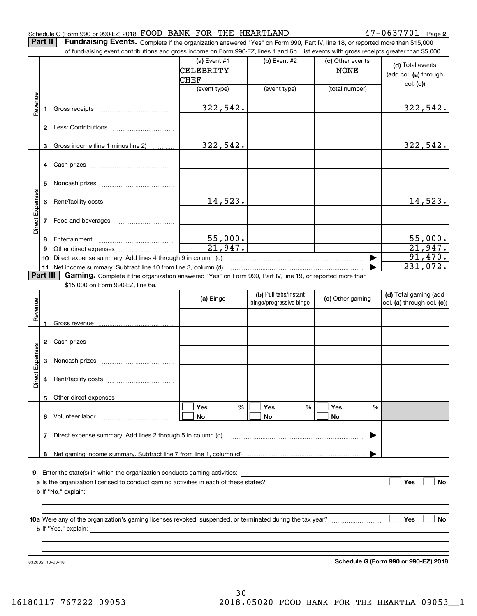#### Schedule G (Form 990 or 990-EZ) 2018 Page FOOD BANK FOR THE HEARTLAND 47-0637701

**2**

**Part II** | Fundraising Events. Complete if the organization answered "Yes" on Form 990, Part IV, line 18, or reported more than \$15,000

|                 |          | of fundraising event contributions and gross income on Form 990-EZ, lines 1 and 6b. List events with gross receipts greater than \$5,000. |                    |                                                  |                      |                                                     |
|-----------------|----------|-------------------------------------------------------------------------------------------------------------------------------------------|--------------------|--------------------------------------------------|----------------------|-----------------------------------------------------|
|                 |          |                                                                                                                                           | (a) Event #1       | (b) Event #2                                     | (c) Other events     | (d) Total events                                    |
|                 |          |                                                                                                                                           | CELEBRITY          |                                                  | <b>NONE</b>          | (add col. (a) through                               |
|                 |          |                                                                                                                                           | CHEF               |                                                  |                      | col. (c)                                            |
|                 |          |                                                                                                                                           | (event type)       | (event type)                                     | (total number)       |                                                     |
| Revenue         |          |                                                                                                                                           |                    |                                                  |                      |                                                     |
|                 |          |                                                                                                                                           | 322,542.           |                                                  |                      | 322,542.                                            |
|                 |          |                                                                                                                                           |                    |                                                  |                      |                                                     |
|                 |          |                                                                                                                                           |                    |                                                  |                      |                                                     |
|                 |          |                                                                                                                                           |                    |                                                  |                      |                                                     |
|                 |          | 3 Gross income (line 1 minus line 2)                                                                                                      | 322,542.           |                                                  |                      | 322,542.                                            |
|                 |          |                                                                                                                                           |                    |                                                  |                      |                                                     |
|                 |          |                                                                                                                                           |                    |                                                  |                      |                                                     |
|                 |          |                                                                                                                                           |                    |                                                  |                      |                                                     |
|                 | 5        |                                                                                                                                           |                    |                                                  |                      |                                                     |
|                 |          |                                                                                                                                           |                    |                                                  |                      |                                                     |
|                 |          |                                                                                                                                           | 14,523.            |                                                  |                      | 14,523.                                             |
|                 |          |                                                                                                                                           |                    |                                                  |                      |                                                     |
| Direct Expenses |          |                                                                                                                                           |                    |                                                  |                      |                                                     |
|                 |          |                                                                                                                                           |                    |                                                  |                      |                                                     |
|                 |          |                                                                                                                                           |                    |                                                  |                      |                                                     |
|                 | 8        |                                                                                                                                           | 55,000.<br>21,947. |                                                  |                      | <u>55,000.</u><br>21,947.                           |
|                 | 9        |                                                                                                                                           |                    |                                                  |                      | 91,470.                                             |
|                 | 10       | Direct expense summary. Add lines 4 through 9 in column (d)                                                                               |                    |                                                  |                      | 231,072.                                            |
|                 | Part III | 11 Net income summary. Subtract line 10 from line 3, column (d)                                                                           |                    |                                                  |                      |                                                     |
|                 |          | Gaming. Complete if the organization answered "Yes" on Form 990, Part IV, line 19, or reported more than                                  |                    |                                                  |                      |                                                     |
|                 |          | \$15,000 on Form 990-EZ, line 6a.                                                                                                         |                    |                                                  |                      |                                                     |
|                 |          |                                                                                                                                           | (a) Bingo          | (b) Pull tabs/instant<br>bingo/progressive bingo | (c) Other gaming     | (d) Total gaming (add<br>col. (a) through col. (c)) |
| Revenue         |          |                                                                                                                                           |                    |                                                  |                      |                                                     |
|                 |          |                                                                                                                                           |                    |                                                  |                      |                                                     |
|                 |          |                                                                                                                                           |                    |                                                  |                      |                                                     |
|                 |          |                                                                                                                                           |                    |                                                  |                      |                                                     |
|                 |          |                                                                                                                                           |                    |                                                  |                      |                                                     |
| Expenses        |          |                                                                                                                                           |                    |                                                  |                      |                                                     |
|                 |          |                                                                                                                                           |                    |                                                  |                      |                                                     |
|                 |          |                                                                                                                                           |                    |                                                  |                      |                                                     |
| <b>Direct</b>   |          |                                                                                                                                           |                    |                                                  |                      |                                                     |
|                 |          |                                                                                                                                           |                    |                                                  |                      |                                                     |
|                 |          | 5 Other direct expenses                                                                                                                   |                    |                                                  |                      |                                                     |
|                 |          |                                                                                                                                           | %<br>Yes           | Yes<br>%                                         | Yes<br>$\frac{0}{0}$ |                                                     |
|                 |          | 6 Volunteer labor                                                                                                                         | No.                | No                                               | No                   |                                                     |
|                 |          |                                                                                                                                           |                    |                                                  |                      |                                                     |
|                 |          | 7 Direct expense summary. Add lines 2 through 5 in column (d)                                                                             |                    |                                                  |                      |                                                     |
|                 |          |                                                                                                                                           |                    |                                                  |                      |                                                     |
|                 |          |                                                                                                                                           |                    |                                                  |                      |                                                     |
|                 |          |                                                                                                                                           |                    |                                                  |                      |                                                     |
|                 |          |                                                                                                                                           |                    |                                                  |                      |                                                     |
|                 |          |                                                                                                                                           |                    |                                                  |                      | Yes<br>No                                           |
|                 |          |                                                                                                                                           |                    |                                                  |                      |                                                     |
|                 |          |                                                                                                                                           |                    |                                                  |                      |                                                     |
|                 |          |                                                                                                                                           |                    |                                                  |                      |                                                     |
|                 |          | 10a Were any of the organization's gaming licenses revoked, suspended, or terminated during the tax year?                                 |                    |                                                  |                      | <b>Yes</b><br>No                                    |
|                 |          |                                                                                                                                           |                    |                                                  |                      |                                                     |
|                 |          |                                                                                                                                           |                    |                                                  |                      |                                                     |
|                 |          |                                                                                                                                           |                    |                                                  |                      |                                                     |
|                 |          |                                                                                                                                           |                    |                                                  |                      |                                                     |

832082 10-03-18

**Schedule G (Form 990 or 990-EZ) 2018**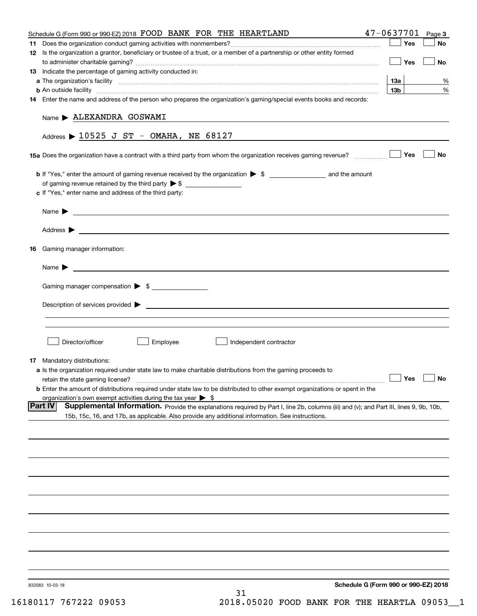| Schedule G (Form 990 or 990-EZ) 2018 FOOD BANK FOR THE HEARTLAND                                                                                                                                                                               | $47 - 0637701$ Page 3 |           |
|------------------------------------------------------------------------------------------------------------------------------------------------------------------------------------------------------------------------------------------------|-----------------------|-----------|
|                                                                                                                                                                                                                                                | Yes                   | No        |
| 12 Is the organization a grantor, beneficiary or trustee of a trust, or a member of a partnership or other entity formed                                                                                                                       | Yes                   | No        |
| 13 Indicate the percentage of gaming activity conducted in:                                                                                                                                                                                    |                       |           |
|                                                                                                                                                                                                                                                | 13a                   | %         |
| <b>b</b> An outside facility <i>[11]</i> [20] [20] <b>https://www.frace.com/interest in the contract of the contract of the contract of the contract of the contract of the contract of the contract of the contract of the contract of th</b> | 13 <sub>b</sub>       | %         |
| 14 Enter the name and address of the person who prepares the organization's gaming/special events books and records:                                                                                                                           |                       |           |
| Name > ALEXANDRA GOSWAMI                                                                                                                                                                                                                       |                       |           |
| Address $\triangleright$ 10525 J ST - OMAHA, NE 68127                                                                                                                                                                                          |                       |           |
| 15a Does the organization have a contract with a third party from whom the organization receives gaming revenue?                                                                                                                               | Yes                   | No        |
|                                                                                                                                                                                                                                                |                       |           |
|                                                                                                                                                                                                                                                |                       |           |
| c If "Yes," enter name and address of the third party:                                                                                                                                                                                         |                       |           |
|                                                                                                                                                                                                                                                |                       |           |
| Address <b>Department of the Contract Contract Contract Contract Contract Contract Contract Contract Contract Contract Contract Contract Contract Contract Contract Contract Contract Contract Contract Contract Contract Contra</b>           |                       |           |
|                                                                                                                                                                                                                                                |                       |           |
| 16 Gaming manager information:                                                                                                                                                                                                                 |                       |           |
| <u> 1989 - Johann Barbara, martin amerikan basal dan berasal dan berasal dalam basal dan berasal dan berasal dan</u><br>Name $\blacktriangleright$                                                                                             |                       |           |
| Gaming manager compensation > \$                                                                                                                                                                                                               |                       |           |
|                                                                                                                                                                                                                                                |                       |           |
|                                                                                                                                                                                                                                                |                       |           |
|                                                                                                                                                                                                                                                |                       |           |
| Employee<br>Director/officer<br>Independent contractor                                                                                                                                                                                         |                       |           |
|                                                                                                                                                                                                                                                |                       |           |
| 17 Mandatory distributions:                                                                                                                                                                                                                    |                       |           |
| <b>a</b> Is the organization required under state law to make charitable distributions from the gaming proceeds to                                                                                                                             | $\Box$ Yes            | $\Box$ No |
| retain the state gaming license?<br><b>b</b> Enter the amount of distributions required under state law to be distributed to other exempt organizations or spent in the                                                                        |                       |           |
| organization's own exempt activities during the tax year $\triangleright$ \$                                                                                                                                                                   |                       |           |
| Supplemental Information. Provide the explanations required by Part I, line 2b, columns (iii) and (v); and Part III, lines 9, 9b, 10b,<br> Part IV                                                                                             |                       |           |
| 15b, 15c, 16, and 17b, as applicable. Also provide any additional information. See instructions.                                                                                                                                               |                       |           |
|                                                                                                                                                                                                                                                |                       |           |
|                                                                                                                                                                                                                                                |                       |           |
|                                                                                                                                                                                                                                                |                       |           |
|                                                                                                                                                                                                                                                |                       |           |
|                                                                                                                                                                                                                                                |                       |           |
|                                                                                                                                                                                                                                                |                       |           |
|                                                                                                                                                                                                                                                |                       |           |
|                                                                                                                                                                                                                                                |                       |           |
|                                                                                                                                                                                                                                                |                       |           |
|                                                                                                                                                                                                                                                |                       |           |
| Schedule G (Form 990 or 990-EZ) 2018<br>832083 10-03-18<br>31                                                                                                                                                                                  |                       |           |
|                                                                                                                                                                                                                                                |                       |           |

16180117 767222 09053 2018.05020 FOOD BANK FOR THE HEARTLA 09053\_\_1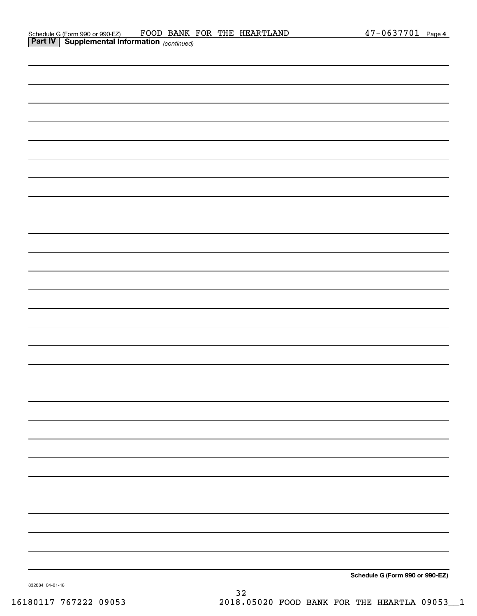| <b>Part IV   Supplemental Information</b> (continued) |  |
|-------------------------------------------------------|--|
|                                                       |  |
|                                                       |  |
|                                                       |  |
|                                                       |  |
|                                                       |  |
|                                                       |  |
|                                                       |  |
|                                                       |  |
|                                                       |  |
|                                                       |  |
|                                                       |  |
|                                                       |  |
|                                                       |  |
|                                                       |  |
|                                                       |  |
|                                                       |  |
|                                                       |  |
|                                                       |  |
|                                                       |  |
|                                                       |  |
|                                                       |  |
|                                                       |  |
|                                                       |  |
|                                                       |  |
|                                                       |  |
|                                                       |  |
|                                                       |  |
|                                                       |  |

**Schedule G (Form 990 or 990-EZ)**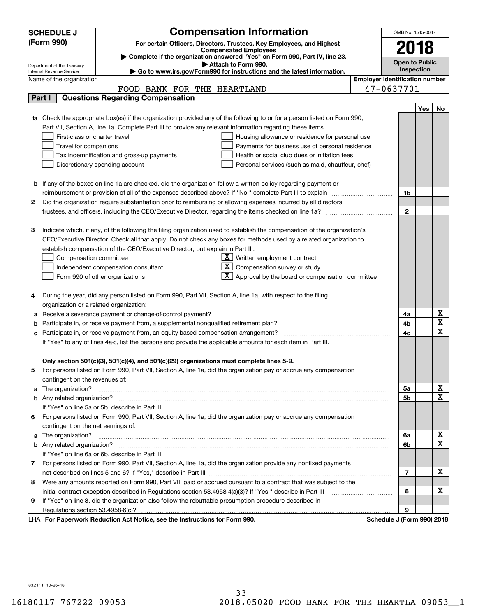|    | <b>SCHEDULE J</b>                                                                                                                                                                                                            | <b>Compensation Information</b>                                                                                                  |  | OMB No. 1545-0047     |            |                                     |  |  |  |
|----|------------------------------------------------------------------------------------------------------------------------------------------------------------------------------------------------------------------------------|----------------------------------------------------------------------------------------------------------------------------------|--|-----------------------|------------|-------------------------------------|--|--|--|
|    | (Form 990)                                                                                                                                                                                                                   | For certain Officers, Directors, Trustees, Key Employees, and Highest                                                            |  |                       |            |                                     |  |  |  |
|    |                                                                                                                                                                                                                              | <b>Compensated Employees</b>                                                                                                     |  | 2018                  |            |                                     |  |  |  |
|    |                                                                                                                                                                                                                              | Complete if the organization answered "Yes" on Form 990, Part IV, line 23.<br>Attach to Form 990.                                |  | <b>Open to Public</b> |            |                                     |  |  |  |
|    | Department of the Treasury<br>Internal Revenue Service                                                                                                                                                                       | Go to www.irs.gov/Form990 for instructions and the latest information.                                                           |  | Inspection            |            |                                     |  |  |  |
|    | <b>Employer identification number</b><br>Name of the organization                                                                                                                                                            |                                                                                                                                  |  |                       |            |                                     |  |  |  |
|    |                                                                                                                                                                                                                              | FOOD BANK FOR THE HEARTLAND                                                                                                      |  | 47-0637701            |            |                                     |  |  |  |
|    | Part I                                                                                                                                                                                                                       | <b>Questions Regarding Compensation</b>                                                                                          |  |                       |            |                                     |  |  |  |
|    |                                                                                                                                                                                                                              |                                                                                                                                  |  |                       | <b>Yes</b> | No                                  |  |  |  |
|    |                                                                                                                                                                                                                              | <b>1a</b> Check the appropriate box(es) if the organization provided any of the following to or for a person listed on Form 990, |  |                       |            |                                     |  |  |  |
|    |                                                                                                                                                                                                                              | Part VII, Section A, line 1a. Complete Part III to provide any relevant information regarding these items.                       |  |                       |            |                                     |  |  |  |
|    | First-class or charter travel                                                                                                                                                                                                | Housing allowance or residence for personal use                                                                                  |  |                       |            |                                     |  |  |  |
|    | Travel for companions                                                                                                                                                                                                        | Payments for business use of personal residence                                                                                  |  |                       |            |                                     |  |  |  |
|    | Tax indemnification and gross-up payments<br>Health or social club dues or initiation fees                                                                                                                                   |                                                                                                                                  |  |                       |            |                                     |  |  |  |
|    | Discretionary spending account<br>Personal services (such as maid, chauffeur, chef)                                                                                                                                          |                                                                                                                                  |  |                       |            |                                     |  |  |  |
|    |                                                                                                                                                                                                                              |                                                                                                                                  |  |                       |            |                                     |  |  |  |
|    |                                                                                                                                                                                                                              | <b>b</b> If any of the boxes on line 1a are checked, did the organization follow a written policy regarding payment or           |  | 1b                    |            |                                     |  |  |  |
| 2  | reimbursement or provision of all of the expenses described above? If "No," complete Part III to explain<br>Did the organization require substantiation prior to reimbursing or allowing expenses incurred by all directors, |                                                                                                                                  |  |                       |            |                                     |  |  |  |
|    |                                                                                                                                                                                                                              |                                                                                                                                  |  | $\mathbf{2}$          |            |                                     |  |  |  |
|    |                                                                                                                                                                                                                              |                                                                                                                                  |  |                       |            |                                     |  |  |  |
| з  |                                                                                                                                                                                                                              | Indicate which, if any, of the following the filing organization used to establish the compensation of the organization's        |  |                       |            |                                     |  |  |  |
|    |                                                                                                                                                                                                                              | CEO/Executive Director. Check all that apply. Do not check any boxes for methods used by a related organization to               |  |                       |            |                                     |  |  |  |
|    |                                                                                                                                                                                                                              | establish compensation of the CEO/Executive Director, but explain in Part III.                                                   |  |                       |            |                                     |  |  |  |
|    | Compensation committee                                                                                                                                                                                                       | $X$ Written employment contract                                                                                                  |  |                       |            |                                     |  |  |  |
|    |                                                                                                                                                                                                                              | Compensation survey or study<br>Independent compensation consultant                                                              |  |                       |            |                                     |  |  |  |
|    |                                                                                                                                                                                                                              | Approval by the board or compensation committee<br>Form 990 of other organizations                                               |  |                       |            |                                     |  |  |  |
|    |                                                                                                                                                                                                                              |                                                                                                                                  |  |                       |            |                                     |  |  |  |
|    |                                                                                                                                                                                                                              | During the year, did any person listed on Form 990, Part VII, Section A, line 1a, with respect to the filing                     |  |                       |            |                                     |  |  |  |
|    | organization or a related organization:                                                                                                                                                                                      |                                                                                                                                  |  |                       |            |                                     |  |  |  |
|    |                                                                                                                                                                                                                              | Receive a severance payment or change-of-control payment?                                                                        |  | 4a                    |            | x                                   |  |  |  |
|    |                                                                                                                                                                                                                              |                                                                                                                                  |  | 4b                    |            | $\overline{\text{x}}$               |  |  |  |
|    |                                                                                                                                                                                                                              | Participate in, or receive payment from, an equity-based compensation arrangement?                                               |  | 4c                    |            | $\overline{\text{x}}$               |  |  |  |
|    |                                                                                                                                                                                                                              | If "Yes" to any of lines 4a-c, list the persons and provide the applicable amounts for each item in Part III.                    |  |                       |            |                                     |  |  |  |
|    |                                                                                                                                                                                                                              |                                                                                                                                  |  |                       |            |                                     |  |  |  |
|    |                                                                                                                                                                                                                              | Only section 501(c)(3), 501(c)(4), and 501(c)(29) organizations must complete lines 5-9.                                         |  |                       |            |                                     |  |  |  |
| 5. |                                                                                                                                                                                                                              | For persons listed on Form 990, Part VII, Section A, line 1a, did the organization pay or accrue any compensation                |  |                       |            |                                     |  |  |  |
|    | contingent on the revenues of:                                                                                                                                                                                               |                                                                                                                                  |  |                       |            |                                     |  |  |  |
|    |                                                                                                                                                                                                                              | a The organization? <b>Manual Community Community</b> Community Community Community Community Community Community Community      |  | 5a                    |            | <u>x</u><br>$\overline{\mathbf{x}}$ |  |  |  |
|    |                                                                                                                                                                                                                              |                                                                                                                                  |  | 5b                    |            |                                     |  |  |  |
|    |                                                                                                                                                                                                                              | If "Yes" on line 5a or 5b, describe in Part III.                                                                                 |  |                       |            |                                     |  |  |  |
| 6. |                                                                                                                                                                                                                              | For persons listed on Form 990, Part VII, Section A, line 1a, did the organization pay or accrue any compensation                |  |                       |            |                                     |  |  |  |
|    | contingent on the net earnings of:                                                                                                                                                                                           |                                                                                                                                  |  |                       |            |                                     |  |  |  |
|    |                                                                                                                                                                                                                              |                                                                                                                                  |  | 6a                    |            | <u>x</u><br>$\overline{\mathbf{x}}$ |  |  |  |
|    |                                                                                                                                                                                                                              | If "Yes" on line 6a or 6b, describe in Part III.                                                                                 |  | 6b                    |            |                                     |  |  |  |
|    |                                                                                                                                                                                                                              | 7 For persons listed on Form 990, Part VII, Section A, line 1a, did the organization provide any nonfixed payments               |  |                       |            |                                     |  |  |  |
|    |                                                                                                                                                                                                                              |                                                                                                                                  |  | $\overline{7}$        |            | х                                   |  |  |  |
| 8  |                                                                                                                                                                                                                              | Were any amounts reported on Form 990, Part VII, paid or accrued pursuant to a contract that was subject to the                  |  |                       |            |                                     |  |  |  |
|    |                                                                                                                                                                                                                              |                                                                                                                                  |  | 8                     |            | х                                   |  |  |  |
| 9  |                                                                                                                                                                                                                              | If "Yes" on line 8, did the organization also follow the rebuttable presumption procedure described in                           |  |                       |            |                                     |  |  |  |
|    |                                                                                                                                                                                                                              |                                                                                                                                  |  | 9                     |            |                                     |  |  |  |
|    |                                                                                                                                                                                                                              | wwark Deduction Act Notice, ace the Instructions for Form 000                                                                    |  | Cohodile I (Found     |            |                                     |  |  |  |

LHA For Paperwork Reduction Act Notice, see the Instructions for Form 990. Schedule J (Form 990) 2018

832111 10-26-18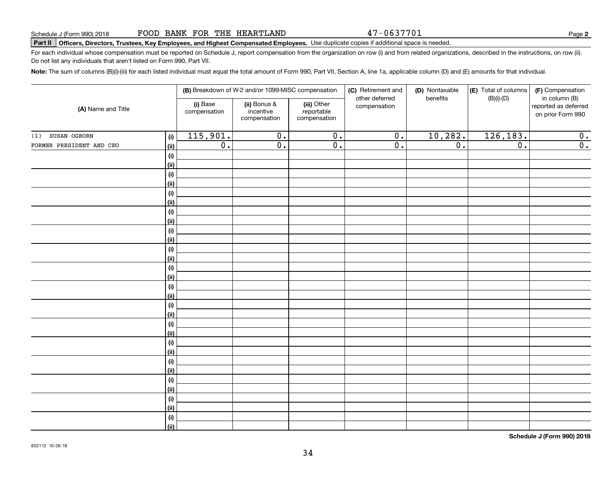47-0637701

**2**

# **Part II Officers, Directors, Trustees, Key Employees, and Highest Compensated Employees.**  Schedule J (Form 990) 2018 Page Use duplicate copies if additional space is needed.

For each individual whose compensation must be reported on Schedule J, report compensation from the organization on row (i) and from related organizations, described in the instructions, on row (ii). Do not list any individuals that aren't listed on Form 990, Part VII.

**Note:**  The sum of columns (B)(i)-(iii) for each listed individual must equal the total amount of Form 990, Part VII, Section A, line 1a, applicable column (D) and (E) amounts for that individual.

| (A) Name and Title       |             |                          | (B) Breakdown of W-2 and/or 1099-MISC compensation |                                           | (C) Retirement and<br>other deferred | (D) Nontaxable<br>benefits | (E) Total of columns<br>$(B)(i)-(D)$ | (F) Compensation<br>in column (B)         |
|--------------------------|-------------|--------------------------|----------------------------------------------------|-------------------------------------------|--------------------------------------|----------------------------|--------------------------------------|-------------------------------------------|
|                          |             | (i) Base<br>compensation | (ii) Bonus &<br>incentive<br>compensation          | (iii) Other<br>reportable<br>compensation | compensation                         |                            |                                      | reported as deferred<br>on prior Form 990 |
| SUSAN OGBORN<br>(1)      | (i)         | 115,901.                 | $\overline{0}$ .                                   | $\overline{0}$ .                          | $\overline{0}$ .                     | 10, 282.                   | 126, 183.                            | 0.                                        |
| FORMER PRESIDENT AND CEO | (ii)        | $\overline{0}$ .         | $\overline{0}$ .                                   | $\overline{0}$ .                          | $\overline{0}$ .                     | $\overline{0}$ .           | $\overline{0}$ .                     | $\overline{0}$ .                          |
|                          | $(\sf{i})$  |                          |                                                    |                                           |                                      |                            |                                      |                                           |
|                          | (ii)        |                          |                                                    |                                           |                                      |                            |                                      |                                           |
|                          | $(\sf{i})$  |                          |                                                    |                                           |                                      |                            |                                      |                                           |
|                          | (ii)        |                          |                                                    |                                           |                                      |                            |                                      |                                           |
|                          | $(\sf{i})$  |                          |                                                    |                                           |                                      |                            |                                      |                                           |
|                          | (ii)        |                          |                                                    |                                           |                                      |                            |                                      |                                           |
|                          | $(\sf{i})$  |                          |                                                    |                                           |                                      |                            |                                      |                                           |
|                          | (ii)        |                          |                                                    |                                           |                                      |                            |                                      |                                           |
|                          | $(\sf{i})$  |                          |                                                    |                                           |                                      |                            |                                      |                                           |
|                          | (ii)        |                          |                                                    |                                           |                                      |                            |                                      |                                           |
|                          | $(\sf{i})$  |                          |                                                    |                                           |                                      |                            |                                      |                                           |
|                          | (ii)        |                          |                                                    |                                           |                                      |                            |                                      |                                           |
|                          | (i)<br>(ii) |                          |                                                    |                                           |                                      |                            |                                      |                                           |
|                          | (i)         |                          |                                                    |                                           |                                      |                            |                                      |                                           |
|                          | (ii)        |                          |                                                    |                                           |                                      |                            |                                      |                                           |
|                          | (i)         |                          |                                                    |                                           |                                      |                            |                                      |                                           |
|                          | (ii)        |                          |                                                    |                                           |                                      |                            |                                      |                                           |
|                          | (i)         |                          |                                                    |                                           |                                      |                            |                                      |                                           |
|                          | (ii)        |                          |                                                    |                                           |                                      |                            |                                      |                                           |
|                          | (i)         |                          |                                                    |                                           |                                      |                            |                                      |                                           |
|                          | (ii)        |                          |                                                    |                                           |                                      |                            |                                      |                                           |
|                          | (i)         |                          |                                                    |                                           |                                      |                            |                                      |                                           |
|                          | (ii)        |                          |                                                    |                                           |                                      |                            |                                      |                                           |
|                          | (i)         |                          |                                                    |                                           |                                      |                            |                                      |                                           |
|                          | (ii)        |                          |                                                    |                                           |                                      |                            |                                      |                                           |
|                          | (i)         |                          |                                                    |                                           |                                      |                            |                                      |                                           |
|                          | (ii)        |                          |                                                    |                                           |                                      |                            |                                      |                                           |
|                          | $(\sf{i})$  |                          |                                                    |                                           |                                      |                            |                                      |                                           |
|                          | (ii)        |                          |                                                    |                                           |                                      |                            |                                      |                                           |

**Schedule J (Form 990) 2018**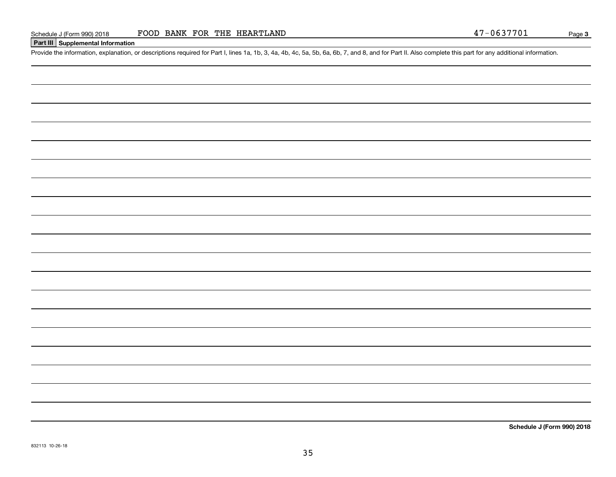#### **Part III Supplemental Information**

Schedule J (Form 990) 2018 FOOD BANK FOR THE HEARTLAND 47-0637701<br>Part III Supplemental Information<br>Provide the information, explanation, or descriptions required for Part I, lines 1a, 1b, 3, 4a, 4b, 4c, 5a, 5b, 6a, 6b, 7

**Schedule J (Form 990) 2018**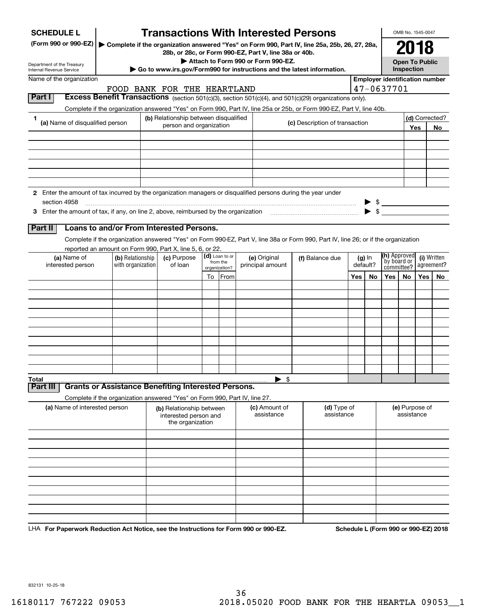| <b>SCHEDULE L</b>                                                                                                             |                   |                                       |                                                                            |  |                           | <b>Transactions With Interested Persons</b>                                                                                        |  |                                |     |                |                           | OMB No. 1545-0047            |     |             |
|-------------------------------------------------------------------------------------------------------------------------------|-------------------|---------------------------------------|----------------------------------------------------------------------------|--|---------------------------|------------------------------------------------------------------------------------------------------------------------------------|--|--------------------------------|-----|----------------|---------------------------|------------------------------|-----|-------------|
| (Form 990 or 990-EZ)                                                                                                          |                   |                                       |                                                                            |  |                           | Complete if the organization answered "Yes" on Form 990, Part IV, line 25a, 25b, 26, 27, 28a,                                      |  |                                |     |                |                           | 2018                         |     |             |
|                                                                                                                               |                   |                                       |                                                                            |  |                           | 28b, or 28c, or Form 990-EZ, Part V, line 38a or 40b.<br>Attach to Form 990 or Form 990-EZ.                                        |  |                                |     |                |                           | <b>Open To Public</b>        |     |             |
| Department of the Treasury<br>Internal Revenue Service                                                                        |                   |                                       |                                                                            |  |                           | Go to www.irs.gov/Form990 for instructions and the latest information.                                                             |  |                                |     |                |                           | Inspection                   |     |             |
| Name of the organization                                                                                                      |                   | <b>Employer identification number</b> |                                                                            |  |                           |                                                                                                                                    |  |                                |     |                |                           |                              |     |             |
| Part I                                                                                                                        |                   |                                       | FOOD BANK FOR THE HEARTLAND                                                |  |                           | Excess Benefit Transactions (section 501(c)(3), section 501(c)(4), and 501(c)(29) organizations only).                             |  |                                |     |                | 47-0637701                |                              |     |             |
|                                                                                                                               |                   |                                       |                                                                            |  |                           | Complete if the organization answered "Yes" on Form 990, Part IV, line 25a or 25b, or Form 990-EZ, Part V, line 40b.               |  |                                |     |                |                           |                              |     |             |
| 1                                                                                                                             |                   |                                       | (b) Relationship between disqualified                                      |  |                           |                                                                                                                                    |  |                                |     | (d) Corrected? |                           |                              |     |             |
| (a) Name of disqualified person                                                                                               |                   |                                       | person and organization                                                    |  |                           |                                                                                                                                    |  | (c) Description of transaction |     |                |                           |                              | Yes | No          |
|                                                                                                                               |                   |                                       |                                                                            |  |                           |                                                                                                                                    |  |                                |     |                |                           |                              |     |             |
|                                                                                                                               |                   |                                       |                                                                            |  |                           |                                                                                                                                    |  |                                |     |                |                           |                              |     |             |
|                                                                                                                               |                   |                                       |                                                                            |  |                           |                                                                                                                                    |  |                                |     |                |                           |                              |     |             |
|                                                                                                                               |                   |                                       |                                                                            |  |                           |                                                                                                                                    |  |                                |     |                |                           |                              |     |             |
|                                                                                                                               |                   |                                       |                                                                            |  |                           |                                                                                                                                    |  |                                |     |                |                           |                              |     |             |
| 2 Enter the amount of tax incurred by the organization managers or disqualified persons during the year under<br>section 4958 |                   |                                       |                                                                            |  |                           |                                                                                                                                    |  |                                |     |                |                           |                              |     |             |
|                                                                                                                               |                   |                                       |                                                                            |  |                           |                                                                                                                                    |  |                                |     |                | $\blacktriangleright$ \$  |                              |     |             |
|                                                                                                                               |                   |                                       |                                                                            |  |                           |                                                                                                                                    |  |                                |     |                |                           |                              |     |             |
| Part II                                                                                                                       |                   |                                       | Loans to and/or From Interested Persons.                                   |  |                           |                                                                                                                                    |  |                                |     |                |                           |                              |     |             |
|                                                                                                                               |                   |                                       |                                                                            |  |                           | Complete if the organization answered "Yes" on Form 990-EZ, Part V, line 38a or Form 990, Part IV, line 26; or if the organization |  |                                |     |                |                           |                              |     |             |
| (a) Name of                                                                                                                   | (b) Relationship  |                                       | reported an amount on Form 990, Part X, line 5, 6, or 22.<br>(c) Purpose   |  | (d) Loan to or            | (e) Original                                                                                                                       |  | (f) Balance due                |     | $(g)$ In       | (h) Approved              |                              |     | (i) Written |
| interested person                                                                                                             | with organization |                                       | of loan                                                                    |  | from the<br>organization? | principal amount                                                                                                                   |  |                                |     | default?       | by board or<br>committee? |                              |     | agreement?  |
|                                                                                                                               |                   |                                       |                                                                            |  | To From                   |                                                                                                                                    |  |                                | Yes | No             | Yes                       | No                           | Yes | No.         |
|                                                                                                                               |                   |                                       |                                                                            |  |                           |                                                                                                                                    |  |                                |     |                |                           |                              |     |             |
|                                                                                                                               |                   |                                       |                                                                            |  |                           |                                                                                                                                    |  |                                |     |                |                           |                              |     |             |
|                                                                                                                               |                   |                                       |                                                                            |  |                           |                                                                                                                                    |  |                                |     |                |                           |                              |     |             |
|                                                                                                                               |                   |                                       |                                                                            |  |                           |                                                                                                                                    |  |                                |     |                |                           |                              |     |             |
|                                                                                                                               |                   |                                       |                                                                            |  |                           |                                                                                                                                    |  |                                |     |                |                           |                              |     |             |
|                                                                                                                               |                   |                                       |                                                                            |  |                           |                                                                                                                                    |  |                                |     |                |                           |                              |     |             |
|                                                                                                                               |                   |                                       |                                                                            |  |                           |                                                                                                                                    |  |                                |     |                |                           |                              |     |             |
|                                                                                                                               |                   |                                       |                                                                            |  |                           |                                                                                                                                    |  |                                |     |                |                           |                              |     |             |
| Total                                                                                                                         |                   |                                       |                                                                            |  |                           | $\blacktriangleright$ \$                                                                                                           |  |                                |     |                |                           |                              |     |             |
| Part II                                                                                                                       |                   |                                       | <b>Grants or Assistance Benefiting Interested Persons.</b>                 |  |                           |                                                                                                                                    |  |                                |     |                |                           |                              |     |             |
|                                                                                                                               |                   |                                       | Complete if the organization answered "Yes" on Form 990, Part IV, line 27. |  |                           |                                                                                                                                    |  |                                |     |                |                           |                              |     |             |
| (a) Name of interested person                                                                                                 |                   |                                       | (b) Relationship between<br>interested person and<br>the organization      |  |                           | (c) Amount of<br>assistance                                                                                                        |  | (d) Type of<br>assistance      |     |                |                           | (e) Purpose of<br>assistance |     |             |
|                                                                                                                               |                   |                                       |                                                                            |  |                           |                                                                                                                                    |  |                                |     |                |                           |                              |     |             |
|                                                                                                                               |                   |                                       |                                                                            |  |                           |                                                                                                                                    |  |                                |     |                |                           |                              |     |             |
|                                                                                                                               |                   |                                       |                                                                            |  |                           |                                                                                                                                    |  |                                |     |                |                           |                              |     |             |
|                                                                                                                               |                   |                                       |                                                                            |  |                           |                                                                                                                                    |  |                                |     |                |                           |                              |     |             |
|                                                                                                                               |                   |                                       |                                                                            |  |                           |                                                                                                                                    |  |                                |     |                |                           |                              |     |             |
|                                                                                                                               |                   |                                       |                                                                            |  |                           |                                                                                                                                    |  |                                |     |                |                           |                              |     |             |
|                                                                                                                               |                   |                                       |                                                                            |  |                           |                                                                                                                                    |  |                                |     |                |                           |                              |     |             |
|                                                                                                                               |                   |                                       |                                                                            |  |                           |                                                                                                                                    |  |                                |     |                |                           |                              |     |             |
|                                                                                                                               |                   |                                       |                                                                            |  |                           |                                                                                                                                    |  |                                |     |                |                           |                              |     |             |

LHA For Paperwork Reduction Act Notice, see the Instructions for Form 990 or 990-EZ. Schedule L (Form 990 or 990-EZ) 2018

832131 10-25-18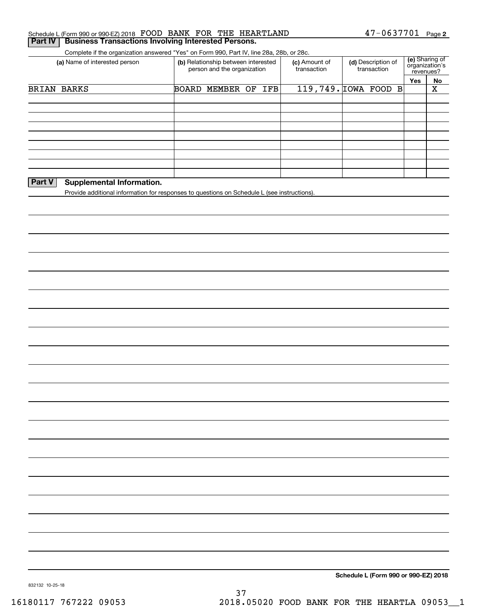| (a) Name of interested person                                                               | (b) Relationship between interested | Complete if the organization answered "Yes" on Form 990, Part IV, line 28a, 28b, or 28c. | (c) Amount of | (d) Description of   | (e) Sharing of<br>organization's |                         |  |  |
|---------------------------------------------------------------------------------------------|-------------------------------------|------------------------------------------------------------------------------------------|---------------|----------------------|----------------------------------|-------------------------|--|--|
|                                                                                             | person and the organization         |                                                                                          | transaction   | transaction          |                                  | revenues?<br>No         |  |  |
| BRIAN BARKS                                                                                 | BOARD MEMBER OF IFB                 |                                                                                          |               | 119,749. IOWA FOOD B | Yes                              | $\overline{\textbf{X}}$ |  |  |
|                                                                                             |                                     |                                                                                          |               |                      |                                  |                         |  |  |
|                                                                                             |                                     |                                                                                          |               |                      |                                  |                         |  |  |
|                                                                                             |                                     |                                                                                          |               |                      |                                  |                         |  |  |
|                                                                                             |                                     |                                                                                          |               |                      |                                  |                         |  |  |
|                                                                                             |                                     |                                                                                          |               |                      |                                  |                         |  |  |
|                                                                                             |                                     |                                                                                          |               |                      |                                  |                         |  |  |
|                                                                                             |                                     |                                                                                          |               |                      |                                  |                         |  |  |
| Part V<br><b>Supplemental Information.</b>                                                  |                                     |                                                                                          |               |                      |                                  |                         |  |  |
| Provide additional information for responses to questions on Schedule L (see instructions). |                                     |                                                                                          |               |                      |                                  |                         |  |  |
|                                                                                             |                                     |                                                                                          |               |                      |                                  |                         |  |  |
|                                                                                             |                                     |                                                                                          |               |                      |                                  |                         |  |  |
|                                                                                             |                                     |                                                                                          |               |                      |                                  |                         |  |  |
|                                                                                             |                                     |                                                                                          |               |                      |                                  |                         |  |  |
|                                                                                             |                                     |                                                                                          |               |                      |                                  |                         |  |  |
|                                                                                             |                                     |                                                                                          |               |                      |                                  |                         |  |  |
|                                                                                             |                                     |                                                                                          |               |                      |                                  |                         |  |  |
|                                                                                             |                                     |                                                                                          |               |                      |                                  |                         |  |  |
|                                                                                             |                                     |                                                                                          |               |                      |                                  |                         |  |  |
|                                                                                             |                                     |                                                                                          |               |                      |                                  |                         |  |  |
|                                                                                             |                                     |                                                                                          |               |                      |                                  |                         |  |  |
|                                                                                             |                                     |                                                                                          |               |                      |                                  |                         |  |  |
|                                                                                             |                                     |                                                                                          |               |                      |                                  |                         |  |  |
|                                                                                             |                                     |                                                                                          |               |                      |                                  |                         |  |  |
|                                                                                             |                                     |                                                                                          |               |                      |                                  |                         |  |  |
|                                                                                             |                                     |                                                                                          |               |                      |                                  |                         |  |  |
|                                                                                             |                                     |                                                                                          |               |                      |                                  |                         |  |  |
|                                                                                             |                                     |                                                                                          |               |                      |                                  |                         |  |  |
|                                                                                             |                                     |                                                                                          |               |                      |                                  |                         |  |  |
|                                                                                             |                                     |                                                                                          |               |                      |                                  |                         |  |  |
|                                                                                             |                                     |                                                                                          |               |                      |                                  |                         |  |  |
|                                                                                             |                                     |                                                                                          |               |                      |                                  |                         |  |  |
|                                                                                             |                                     |                                                                                          |               |                      |                                  |                         |  |  |
|                                                                                             |                                     |                                                                                          |               |                      |                                  |                         |  |  |
|                                                                                             |                                     |                                                                                          |               |                      |                                  |                         |  |  |
|                                                                                             |                                     |                                                                                          |               |                      |                                  |                         |  |  |
|                                                                                             |                                     |                                                                                          |               |                      |                                  |                         |  |  |
|                                                                                             |                                     |                                                                                          |               |                      |                                  |                         |  |  |
|                                                                                             |                                     |                                                                                          |               |                      |                                  |                         |  |  |
|                                                                                             |                                     |                                                                                          |               |                      |                                  |                         |  |  |
|                                                                                             |                                     |                                                                                          |               |                      |                                  |                         |  |  |
|                                                                                             |                                     |                                                                                          |               |                      |                                  |                         |  |  |
|                                                                                             |                                     |                                                                                          |               |                      |                                  |                         |  |  |

Schedule L (Form 990 or 990-EZ) 2018 F'OOD BANK F'OR 'I'HE HEAR'I'LLAND 4 7 - 0 6 3 7 7 0 L Page

FOOD BANK FOR THE HEARTLAND

37 16180117 767222 09053 2018.05020 FOOD BANK FOR THE HEARTLA 09053\_\_1

**2** 47-0637701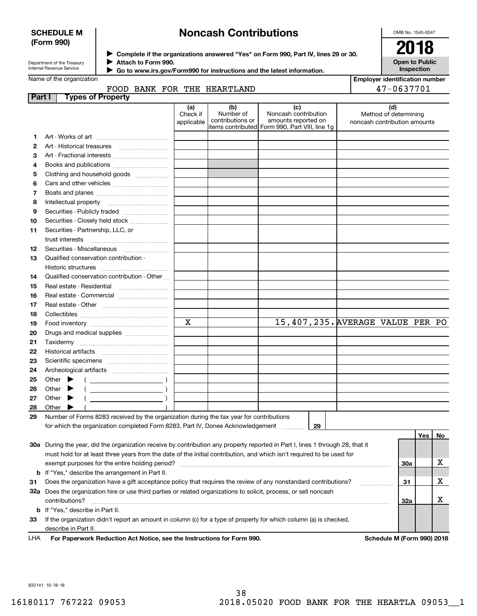#### **SCHEDULE M (Form 990)**

# **Noncash Contributions**

OMB No. 1545-0047

| Department of the Treasury |
|----------------------------|
| Internal Revenue Service   |

**Complete if the organizations answered "Yes" on Form 990, Part IV, lines 29 or 30.** <sup>J</sup>**2018 Attach to Form 990.** J

**Open to Public Inspection**

|              | Internal Revenue Service<br>Go to www.irs.gov/Form990 for instructions and the latest information.                                                                        |                               |                                      |                                                                                                       | Inspection                                                   |
|--------------|---------------------------------------------------------------------------------------------------------------------------------------------------------------------------|-------------------------------|--------------------------------------|-------------------------------------------------------------------------------------------------------|--------------------------------------------------------------|
|              | Name of the organization                                                                                                                                                  |                               |                                      |                                                                                                       | <b>Employer identification number</b>                        |
|              | FOOD BANK FOR THE HEARTLAND                                                                                                                                               |                               |                                      |                                                                                                       | 47-0637701                                                   |
|              | Part I<br><b>Types of Property</b>                                                                                                                                        |                               |                                      |                                                                                                       |                                                              |
|              |                                                                                                                                                                           | (a)<br>Check if<br>applicable | (b)<br>Number of<br>contributions or | (c)<br>Noncash contribution<br>amounts reported on<br>items contributed  Form 990, Part VIII, line 1g | (d)<br>Method of determining<br>noncash contribution amounts |
| 1            |                                                                                                                                                                           |                               |                                      |                                                                                                       |                                                              |
| $\mathbf{2}$ |                                                                                                                                                                           |                               |                                      |                                                                                                       |                                                              |
| 3            | Art - Fractional interests                                                                                                                                                |                               |                                      |                                                                                                       |                                                              |
| 4            |                                                                                                                                                                           |                               |                                      |                                                                                                       |                                                              |
| 5            | Clothing and household goods                                                                                                                                              |                               |                                      |                                                                                                       |                                                              |
| 6            |                                                                                                                                                                           |                               |                                      |                                                                                                       |                                                              |
| 7            |                                                                                                                                                                           |                               |                                      |                                                                                                       |                                                              |
| 8            |                                                                                                                                                                           |                               |                                      |                                                                                                       |                                                              |
| 9            | Securities - Publicly traded                                                                                                                                              |                               |                                      |                                                                                                       |                                                              |
| 10           | Securities - Closely held stock                                                                                                                                           |                               |                                      |                                                                                                       |                                                              |
| 11           | Securities - Partnership, LLC, or                                                                                                                                         |                               |                                      |                                                                                                       |                                                              |
|              | trust interests                                                                                                                                                           |                               |                                      |                                                                                                       |                                                              |
| 12           | Securities - Miscellaneous                                                                                                                                                |                               |                                      |                                                                                                       |                                                              |
| 13           | Qualified conservation contribution -                                                                                                                                     |                               |                                      |                                                                                                       |                                                              |
|              | Historic structures                                                                                                                                                       |                               |                                      |                                                                                                       |                                                              |
| 14           | Qualified conservation contribution - Other                                                                                                                               |                               |                                      |                                                                                                       |                                                              |
| 15           | Real estate - Residential                                                                                                                                                 |                               |                                      |                                                                                                       |                                                              |
| 16           |                                                                                                                                                                           |                               |                                      |                                                                                                       |                                                              |
| 17           |                                                                                                                                                                           |                               |                                      |                                                                                                       |                                                              |
| 18           |                                                                                                                                                                           |                               |                                      |                                                                                                       |                                                              |
| 19           |                                                                                                                                                                           | $\overline{\mathbf{x}}$       |                                      | 15,407,235. AVERAGE VALUE PER PO                                                                      |                                                              |
| 20           | Drugs and medical supplies                                                                                                                                                |                               |                                      |                                                                                                       |                                                              |
| 21           |                                                                                                                                                                           |                               |                                      |                                                                                                       |                                                              |
| 22           |                                                                                                                                                                           |                               |                                      |                                                                                                       |                                                              |
| 23           |                                                                                                                                                                           |                               |                                      |                                                                                                       |                                                              |
| 24           |                                                                                                                                                                           |                               |                                      |                                                                                                       |                                                              |
| 25           | Other $\blacktriangleright$<br>$($ $)$                                                                                                                                    |                               |                                      |                                                                                                       |                                                              |
| 26           | Other $\blacktriangleright$                                                                                                                                               |                               |                                      |                                                                                                       |                                                              |
| 27           | Other $\blacktriangleright$                                                                                                                                               |                               |                                      |                                                                                                       |                                                              |
| 28           | Other $\blacktriangleright$                                                                                                                                               |                               |                                      |                                                                                                       |                                                              |
| 29           | Number of Forms 8283 received by the organization during the tax year for contributions<br>for which the organization completed Form 8283, Part IV, Donee Acknowledgement |                               |                                      | 29                                                                                                    |                                                              |

|     |                                                                                                                                |     | Yes | No |
|-----|--------------------------------------------------------------------------------------------------------------------------------|-----|-----|----|
|     | 30a During the year, did the organization receive by contribution any property reported in Part I, lines 1 through 28, that it |     |     |    |
|     | must hold for at least three years from the date of the initial contribution, and which isn't required to be used for          |     |     |    |
|     | exempt purposes for the entire holding period?                                                                                 | 30a |     |    |
|     | <b>b</b> If "Yes," describe the arrangement in Part II.                                                                        |     |     |    |
| 31. | Does the organization have a gift acceptance policy that requires the review of any nonstandard contributions?                 | 31  |     | ⋏  |
| 32a | Does the organization hire or use third parties or related organizations to solicit, process, or sell noncash                  |     |     |    |
|     | contributions?                                                                                                                 | 32a |     |    |
|     | <b>b</b> If "Yes," describe in Part II.                                                                                        |     |     |    |
| 33  | If the organization didn't report an amount in column (c) for a type of property for which column (a) is checked,              |     |     |    |
|     | describe in Part II.                                                                                                           |     |     |    |
|     | .<br>.<br>$- - -$                                                                                                              |     |     |    |

**For Paperwork Reduction Act Notice, see the Instructions for Form 990. Schedule M (Form 990) 2018** LHA

832141 10-18-18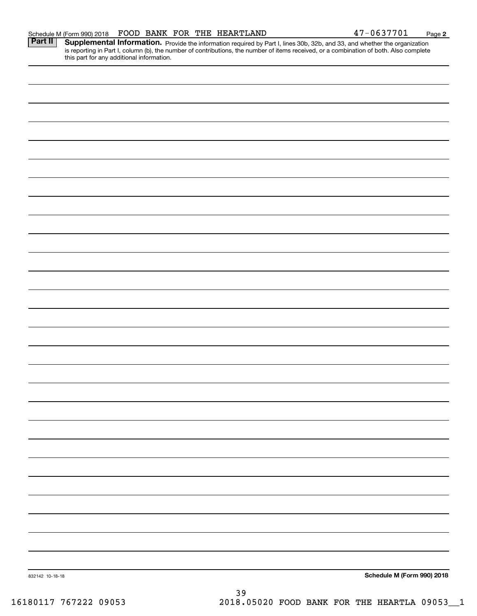| 832142 10-18-18 |      | Schedule M (Form 990) 2018 |
|-----------------|------|----------------------------|
|                 | $39$ |                            |

Part II | Supplemental Information. Provide the information required by Part I, lines 30b, 32b, and 33, and whether the organization is reporting in Part I, column (b), the number of contributions, the number of items received, or a combination of both. Also complete this part for any additional information.

**2**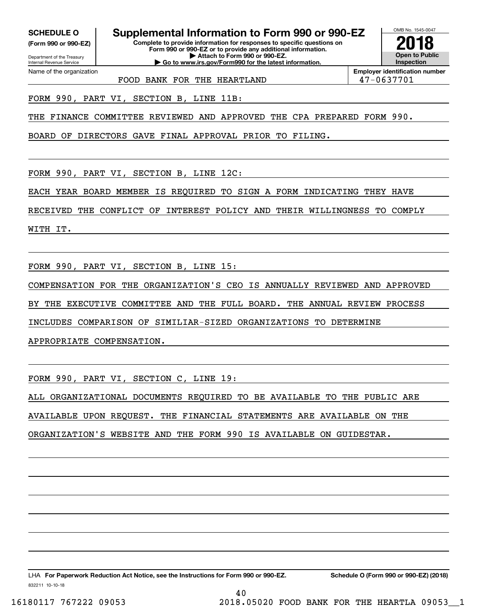**(Form 990 or 990-EZ)**

Department of the Treasury Internal Revenue Service Name of the organization

**SCHEDULE O Supplemental Information to Form 990 or 990-EZ**

**Complete to provide information for responses to specific questions on Form 990 or 990-EZ or to provide any additional information. | Attach to Form 990 or 990-EZ. | Go to www.irs.gov/Form990 for the latest information.**



**Employer identification number**

FOOD BANK FOR THE HEARTLAND  $\vert$  47-0637701

FORM 990, PART VI, SECTION B, LINE 11B:

THE FINANCE COMMITTEE REVIEWED AND APPROVED THE CPA PREPARED FORM 990.

BOARD OF DIRECTORS GAVE FINAL APPROVAL PRIOR TO FILING.

FORM 990, PART VI, SECTION B, LINE 12C:

EACH YEAR BOARD MEMBER IS REQUIRED TO SIGN A FORM INDICATING THEY HAVE

RECEIVED THE CONFLICT OF INTEREST POLICY AND THEIR WILLINGNESS TO COMPLY

WITH IT.

FORM 990, PART VI, SECTION B, LINE 15:

COMPENSATION FOR THE ORGANIZATION'S CEO IS ANNUALLY REVIEWED AND APPROVED

BY THE EXECUTIVE COMMITTEE AND THE FULL BOARD. THE ANNUAL REVIEW PROCESS

INCLUDES COMPARISON OF SIMILIAR-SIZED ORGANIZATIONS TO DETERMINE

APPROPRIATE COMPENSATION.

FORM 990, PART VI, SECTION C, LINE 19:

ALL ORGANIZATIONAL DOCUMENTS REQUIRED TO BE AVAILABLE TO THE PUBLIC ARE

40

AVAILABLE UPON REQUEST. THE FINANCIAL STATEMENTS ARE AVAILABLE ON THE

ORGANIZATION'S WEBSITE AND THE FORM 990 IS AVAILABLE ON GUIDESTAR.

832211 10-10-18 LHA For Paperwork Reduction Act Notice, see the Instructions for Form 990 or 990-EZ. Schedule O (Form 990 or 990-EZ) (2018)

16180117 767222 09053 2018.05020 FOOD BANK FOR THE HEARTLA 09053\_\_1